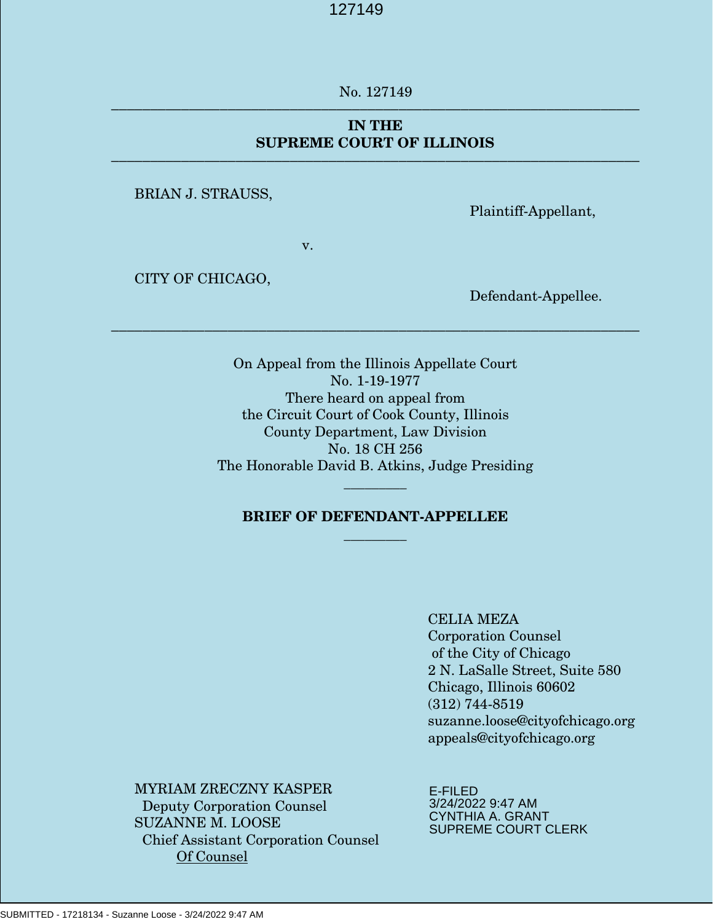\_\_\_\_\_ No. 127149 ––––––––––––––––––––––––––––––––––––––––––––––––––––––––––––––––––––

#### **NATURE OF THE CASE**................................................................................. 1 **ISSUES PRESENTED** ..................................................................................... 1 **IN THE SUPREME COURT OF ILLINOIS**

––––––––––––––––––––––––––––––––––––––––––––––––––––––––––––––––––––

**BRIAN J. STRAUSS, W. S. J. S. J. S. J. S. J. S. J. S. J. S. J. S. J. S. J. S. J. S. J. S. J. S. J. S. J. S. J. S. J. S. J. S. J. S. J. S. J. S. J. S. J. S. J. S. J. S. J. S. J. S. J. S. J. S. J. S. J. S. J. S. J. S. J. S.** 

Plaintiff-Appellant,

v.

CITY OF CHICAGO,

**ARGUMENT** ........................................................................................................ Defendant-Appellee.

On Appeal from the Illinois Appellate Court No. 1-19-1977 There heard on appeal from the Circuit Court of Cook County, Illinois County Department, Law Division No. 18 CH 256 The Honorable David B. Atkins, Judge Presiding

**CONCLUSION** ....................................................................................................

––––––––––––––––––––––––––––––––––––––––––––––––––––––––––––––––––––

## **BRIEF OF DEFENDANT-APPELLEE \_\_\_\_\_\_\_\_\_**

\_\_\_\_\_\_\_\_\_

#### CELIA MEZA

Corporation Counsel of the City of Chicago 2 N. LaSalle Street, Suite 580 Chicago, Illinois 60602 (312) 744-8519 suzanne.loose@cityofchicago.org appeals@cityofchicago.org

MYRIAM ZRECZNY KASPER Deputy Corporation Counsel SUZANNE M. LOOSE Chief Assistant Corporation Counsel Of Counsel

E-FILED 3/24/2022 9:47 AM CYNTHIA A. GRANT SUPREME COURT CLERK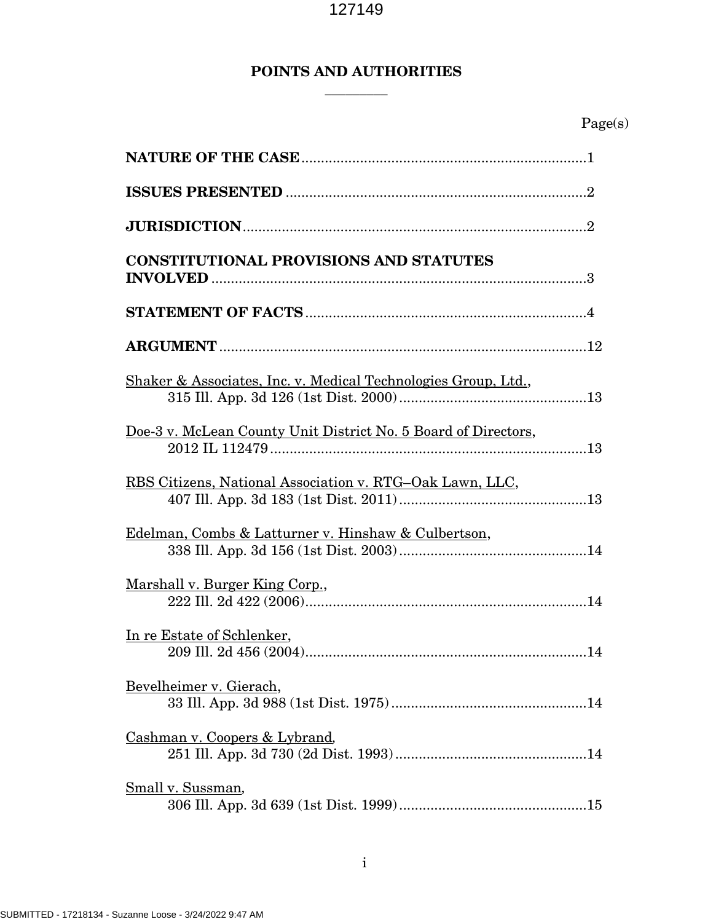## **POINTS AND AUTHORITIES**

**\_\_\_\_\_\_\_\_\_**

| <b>CONSTITUTIONAL PROVISIONS AND STATUTES</b>                  |
|----------------------------------------------------------------|
|                                                                |
|                                                                |
| Shaker & Associates, Inc. v. Medical Technologies Group, Ltd., |
| Doe-3 v. McLean County Unit District No. 5 Board of Directors, |
| RBS Citizens, National Association v. RTG-Oak Lawn, LLC,       |
| Edelman, Combs & Latturner v. Hinshaw & Culbertson,            |
| Marshall v. Burger King Corp.,                                 |
| In re Estate of Schlenker,                                     |
| Bevelheimer v. Gierach,                                        |
| Cashman v. Coopers & Lybrand,                                  |
| Small v. Sussman,                                              |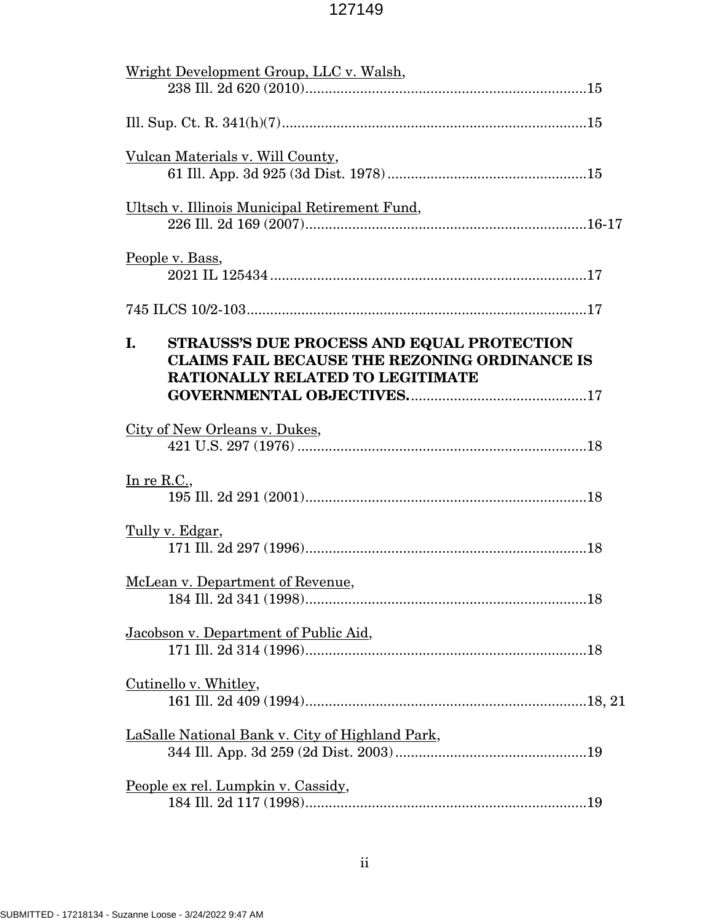| Wright Development Group, LLC v. Walsh,                                                                                                             |
|-----------------------------------------------------------------------------------------------------------------------------------------------------|
|                                                                                                                                                     |
| Vulcan Materials v. Will County,                                                                                                                    |
| Ultsch v. Illinois Municipal Retirement Fund,                                                                                                       |
| People v. Bass,                                                                                                                                     |
|                                                                                                                                                     |
| STRAUSS'S DUE PROCESS AND EQUAL PROTECTION<br>L.<br><b>CLAIMS FAIL BECAUSE THE REZONING ORDINANCE IS</b><br><b>RATIONALLY RELATED TO LEGITIMATE</b> |
| City of New Orleans v. Dukes,                                                                                                                       |
| In re R.C.,                                                                                                                                         |
| Tully v. Edgar,                                                                                                                                     |
| McLean v. Department of Revenue,                                                                                                                    |
| Jacobson v. Department of Public Aid,                                                                                                               |
| Cutinello v. Whitley,                                                                                                                               |
| LaSalle National Bank v. City of Highland Park,                                                                                                     |
| People ex rel. Lumpkin v. Cassidy,                                                                                                                  |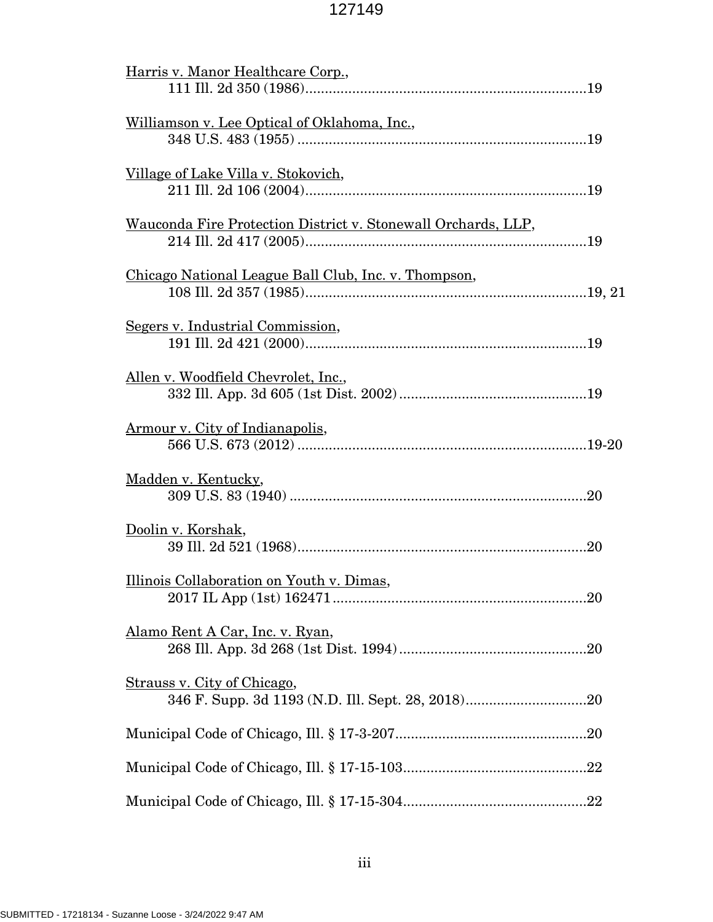| Harris v. Manor Healthcare Corp.,                             |
|---------------------------------------------------------------|
| Williamson v. Lee Optical of Oklahoma, Inc.,                  |
| Village of Lake Villa v. Stokovich,                           |
| Wauconda Fire Protection District v. Stonewall Orchards, LLP, |
| Chicago National League Ball Club, Inc. v. Thompson,          |
| Segers v. Industrial Commission,                              |
| Allen v. Woodfield Chevrolet, Inc.,                           |
| Armour v. City of Indianapolis,                               |
| Madden v. Kentucky,                                           |
| Doolin v. Korshak,                                            |
| Illinois Collaboration on Youth v. Dimas,                     |
| Alamo Rent A Car, Inc. v. Ryan,                               |
| Strauss v. City of Chicago,                                   |
|                                                               |
|                                                               |
|                                                               |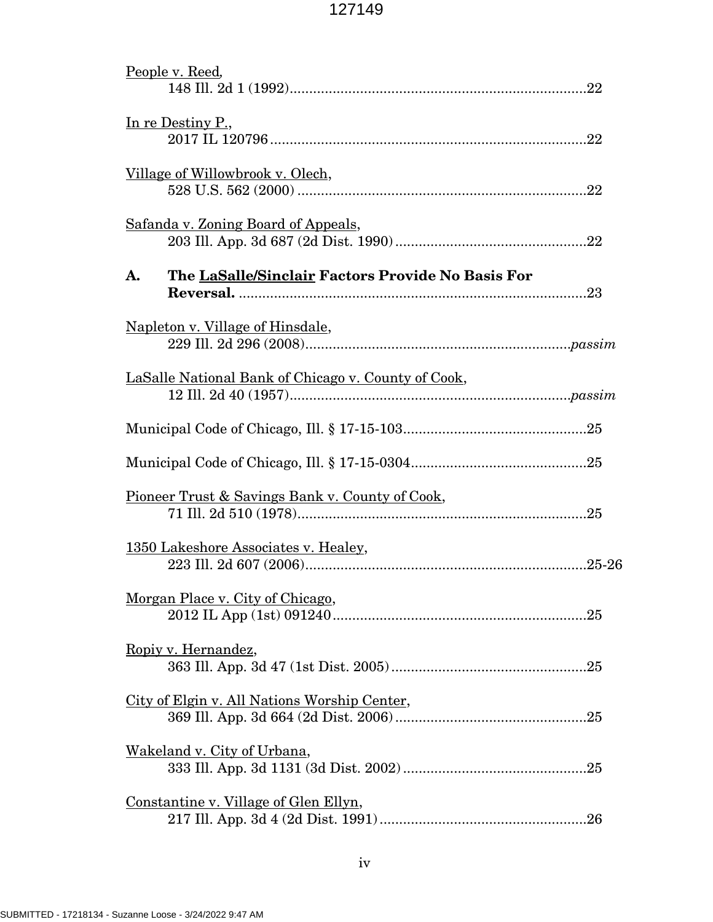| People v. Reed,                                            |
|------------------------------------------------------------|
| In re Destiny P.,                                          |
| Village of Willowbrook v. Olech,                           |
| Safanda v. Zoning Board of Appeals,                        |
| The LaSalle/Sinclair Factors Provide No Basis For<br>A.    |
| Napleton v. Village of Hinsdale,                           |
| LaSalle National Bank of Chicago v. County of Cook,        |
|                                                            |
|                                                            |
| <u>Pioneer Trust &amp; Savings Bank v. County of Cook,</u> |
| 1350 Lakeshore Associates v. Healey,                       |
| Morgan Place v. City of Chicago,                           |
| Ropiy v. Hernandez,                                        |
| City of Elgin v. All Nations Worship Center,               |
| Wakeland v. City of Urbana,                                |
| Constantine v. Village of Glen Ellyn,                      |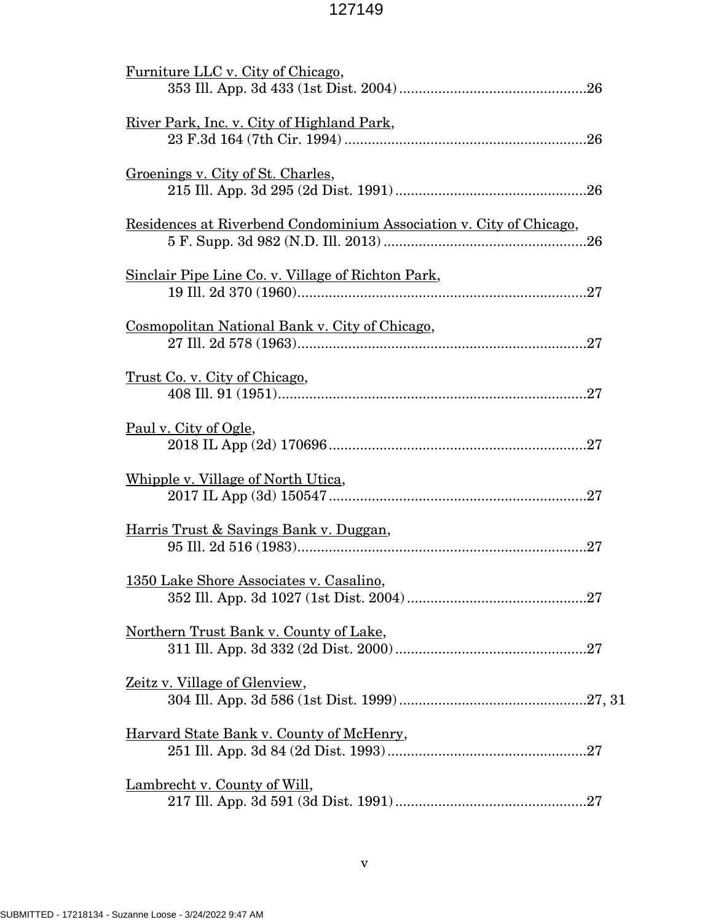| Furniture LLC v. City of Chicago,                                   |
|---------------------------------------------------------------------|
| <u>River Park, Inc. v. City of Highland Park,</u>                   |
| Groenings v. City of St. Charles,                                   |
| Residences at Riverbend Condominium Association v. City of Chicago, |
| <u>Sinclair Pipe Line Co. v. Village of Richton Park,</u>           |
| Cosmopolitan National Bank v. City of Chicago,                      |
| <u>Trust Co. v. City of Chicago,</u>                                |
| Paul v. City of Ogle,                                               |
| Whipple v. Village of North Utica,                                  |
| Harris Trust & Savings Bank v. Duggan,                              |
| 1350 Lake Shore Associates v. Casalino,                             |
| <u>Northern Trust Bank v. County of Lake,</u>                       |
| <u>Zeitz v. Village of Glenview,</u>                                |
| <u>Harvard State Bank v. County of McHenry,</u>                     |
| Lambrecht v. County of Will,                                        |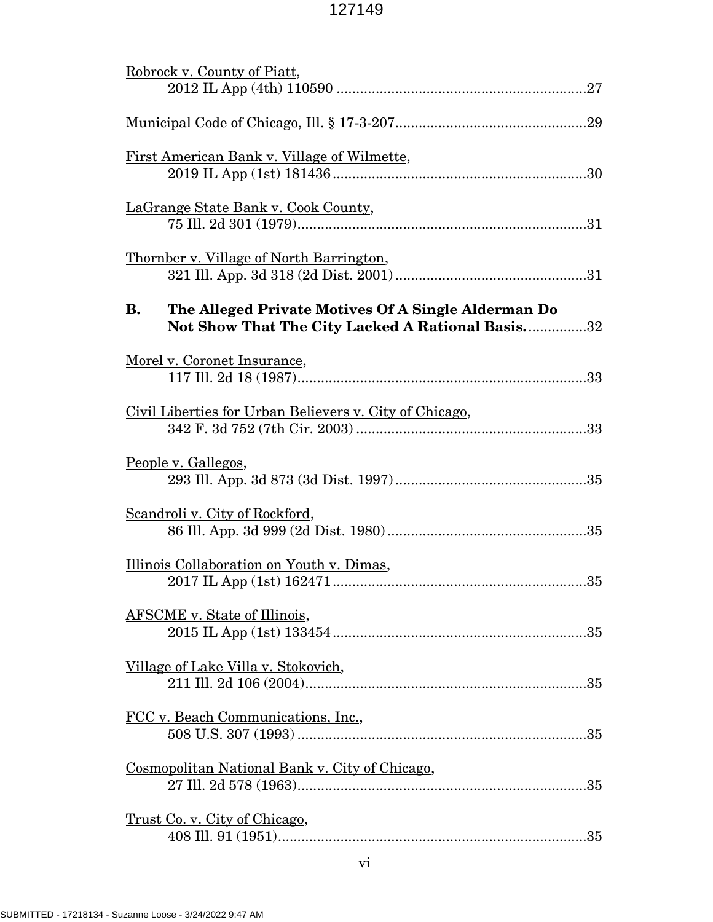| Robrock v. County of Piatt,                                                                                   |
|---------------------------------------------------------------------------------------------------------------|
|                                                                                                               |
| First American Bank v. Village of Wilmette,                                                                   |
| LaGrange State Bank v. Cook County,                                                                           |
| Thornber v. Village of North Barrington,                                                                      |
| The Alleged Private Motives Of A Single Alderman Do<br>В.<br>Not Show That The City Lacked A Rational Basis32 |
| Morel v. Coronet Insurance,                                                                                   |
| Civil Liberties for Urban Believers v. City of Chicago,                                                       |
| <u>People v. Gallegos,</u>                                                                                    |
| Scandroli v. City of Rockford,                                                                                |
| Illinois Collaboration on Youth v. Dimas,                                                                     |
| <b>AFSCME</b> v. State of Illinois,                                                                           |
| Village of Lake Villa v. Stokovich,                                                                           |
| FCC v. Beach Communications, Inc.,                                                                            |
| Cosmopolitan National Bank v. City of Chicago,                                                                |
| <u>Trust Co. v. City of Chicago,</u>                                                                          |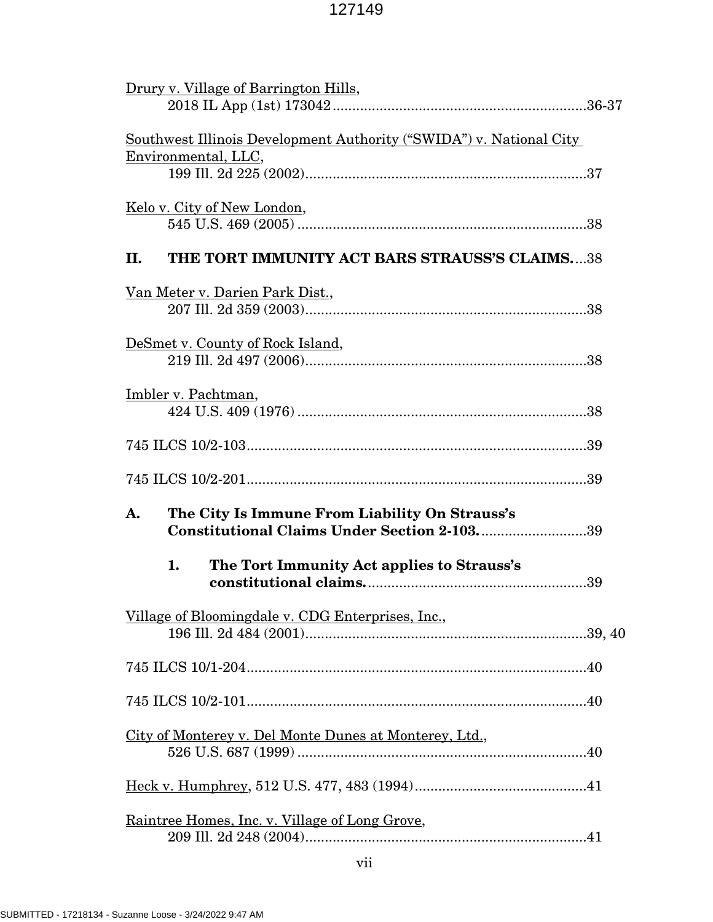| Drury v. Village of Barrington Hills,                                                               |  |  |  |
|-----------------------------------------------------------------------------------------------------|--|--|--|
| <u>Southwest Illinois Development Authority ("SWIDA") v. National City</u><br>Environmental, LLC,   |  |  |  |
| <u>Kelo v. City of New London,</u>                                                                  |  |  |  |
| THE TORT IMMUNITY ACT BARS STRAUSS'S CLAIMS38<br>П.                                                 |  |  |  |
| <u>Van Meter v. Darien Park Dist.,</u>                                                              |  |  |  |
| DeSmet v. County of Rock Island,                                                                    |  |  |  |
| Imbler v. Pachtman,                                                                                 |  |  |  |
|                                                                                                     |  |  |  |
|                                                                                                     |  |  |  |
| The City Is Immune From Liability On Strauss's<br>A.<br>Constitutional Claims Under Section 2-10339 |  |  |  |
| The Tort Immunity Act applies to Strauss's<br>1.                                                    |  |  |  |
|                                                                                                     |  |  |  |
| Village of Bloomingdale v. CDG Enterprises, Inc.,                                                   |  |  |  |
|                                                                                                     |  |  |  |
|                                                                                                     |  |  |  |
| City of Monterey v. Del Monte Dunes at Monterey, Ltd.,                                              |  |  |  |
|                                                                                                     |  |  |  |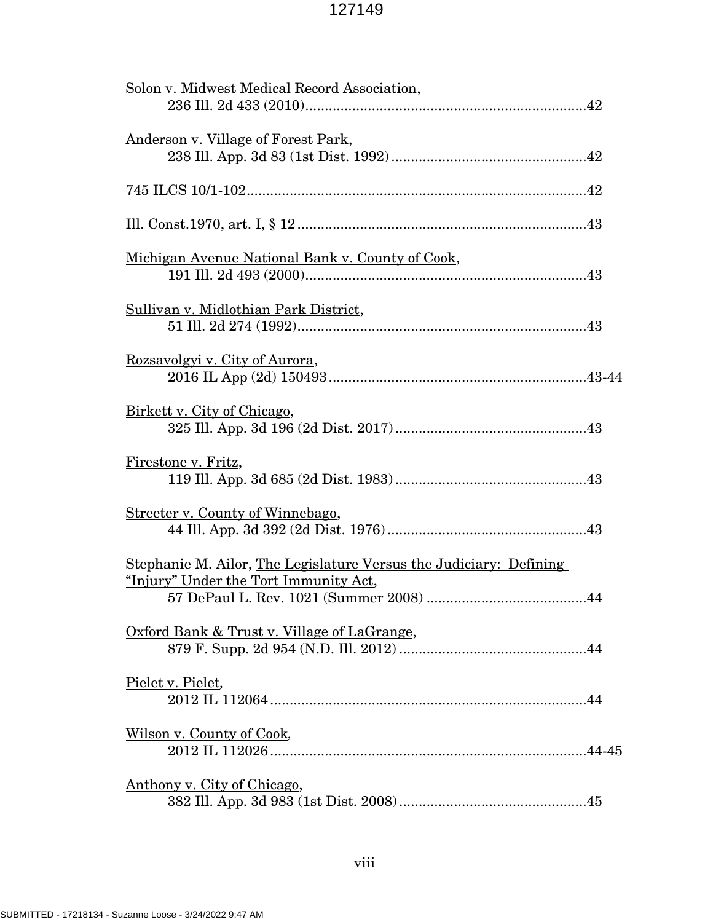| Solon v. Midwest Medical Record Association,                                                                |
|-------------------------------------------------------------------------------------------------------------|
| <u>Anderson v. Village of Forest Park,</u>                                                                  |
|                                                                                                             |
|                                                                                                             |
| Michigan Avenue National Bank v. County of Cook,                                                            |
| Sullivan y. Midlothian Park District,                                                                       |
| Rozsavolgyi v. City of Aurora,                                                                              |
| Birkett v. City of Chicago,                                                                                 |
| Firestone v. Fritz,                                                                                         |
| Streeter v. County of Winnebago,                                                                            |
| Stephanie M. Ailor, The Legislature Versus the Judiciary: Defining<br>"Injury" Under the Tort Immunity Act, |
| Oxford Bank & Trust v. Village of LaGrange,                                                                 |
| Pielet v. Pielet,                                                                                           |
| <u>Wilson v. County of Cook</u>                                                                             |
| Anthony v. City of Chicago,                                                                                 |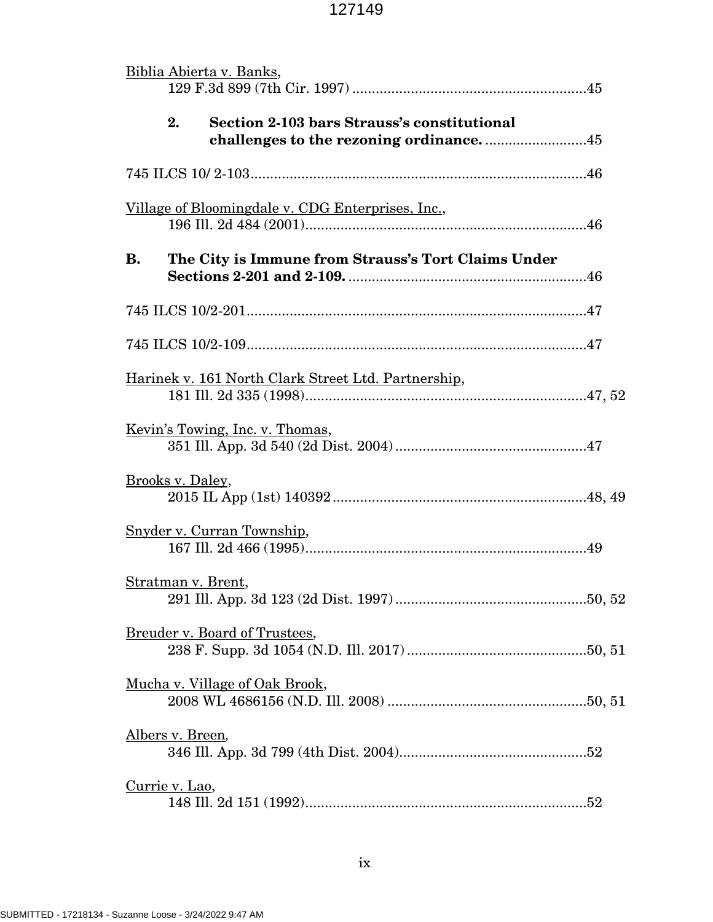|           | Biblia Abierta v. Banks,                                 |  |
|-----------|----------------------------------------------------------|--|
|           | 2.<br><b>Section 2-103 bars Strauss's constitutional</b> |  |
|           |                                                          |  |
|           | Village of Bloomingdale v. CDG Enterprises, Inc.,        |  |
| <b>B.</b> | The City is Immune from Strauss's Tort Claims Under      |  |
|           |                                                          |  |
|           |                                                          |  |
|           | Harinek v. 161 North Clark Street Ltd. Partnership,      |  |
|           | <u>Kevin's Towing, Inc. v. Thomas,</u>                   |  |
|           | Brooks v. Daley,                                         |  |
|           | Snyder v. Curran Township,                               |  |
|           | Stratman v. Brent,                                       |  |
|           | Breuder v. Board of Trustees,                            |  |
|           | Mucha v. Village of Oak Brook,                           |  |
|           | Albers v. Breen,                                         |  |
|           | <u>Currie v. Lao,</u>                                    |  |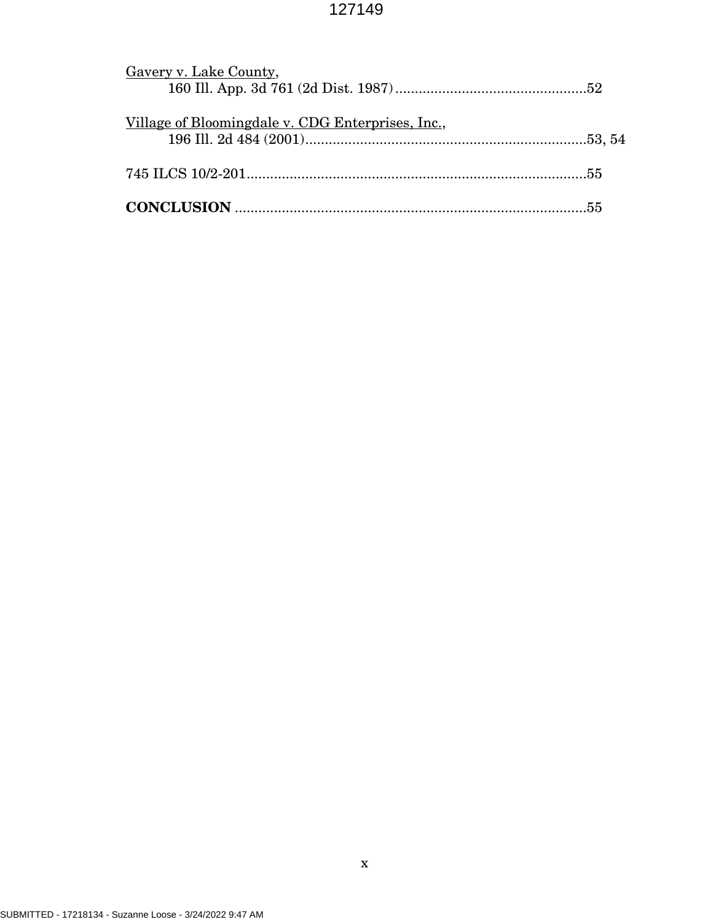| Gavery v. Lake County,                            |  |
|---------------------------------------------------|--|
|                                                   |  |
|                                                   |  |
| Village of Bloomingdale v. CDG Enterprises, Inc., |  |
|                                                   |  |
|                                                   |  |
|                                                   |  |
|                                                   |  |
|                                                   |  |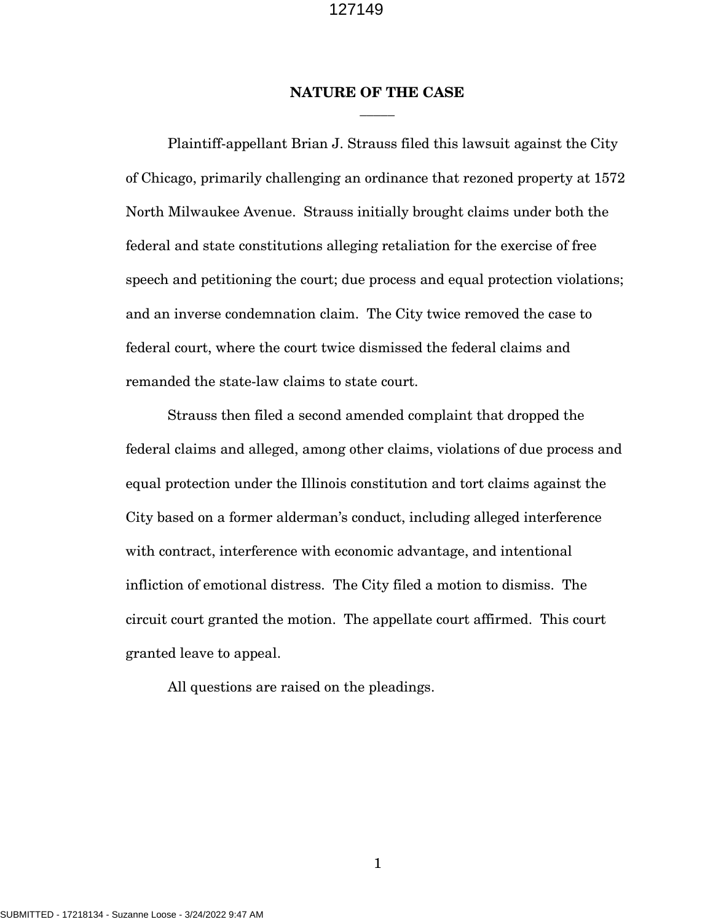### **NATURE OF THE CASE** \_\_\_\_\_

Plaintiff-appellant Brian J. Strauss filed this lawsuit against the City of Chicago, primarily challenging an ordinance that rezoned property at 1572 North Milwaukee Avenue. Strauss initially brought claims under both the federal and state constitutions alleging retaliation for the exercise of free speech and petitioning the court; due process and equal protection violations; and an inverse condemnation claim. The City twice removed the case to federal court, where the court twice dismissed the federal claims and remanded the state-law claims to state court.

Strauss then filed a second amended complaint that dropped the federal claims and alleged, among other claims, violations of due process and equal protection under the Illinois constitution and tort claims against the City based on a former alderman's conduct, including alleged interference with contract, interference with economic advantage, and intentional infliction of emotional distress. The City filed a motion to dismiss. The circuit court granted the motion. The appellate court affirmed. This court granted leave to appeal.

All questions are raised on the pleadings.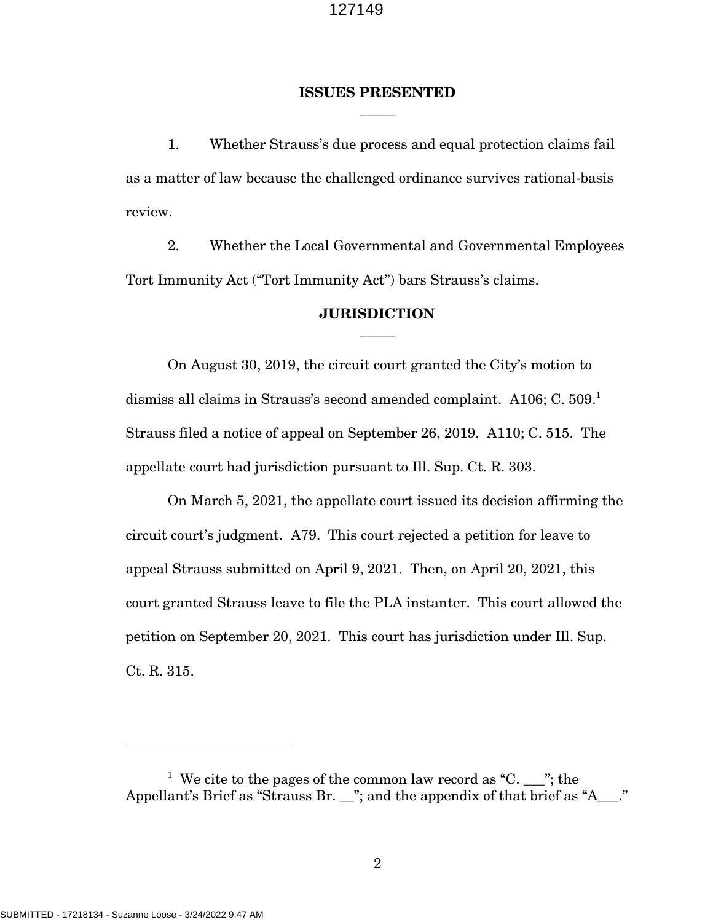### **ISSUES PRESENTED** \_\_\_\_\_

1. Whether Strauss's due process and equal protection claims fail as a matter of law because the challenged ordinance survives rational-basis review.

2. Whether the Local Governmental and Governmental Employees Tort Immunity Act ("Tort Immunity Act") bars Strauss's claims.

### **JURISDICTION** \_\_\_\_\_

On August 30, 2019, the circuit court granted the City's motion to dismiss all claims in Strauss's second amended complaint. A106; C. 509.<sup>1</sup> Strauss filed a notice of appeal on September 26, 2019. A110; C. 515. The appellate court had jurisdiction pursuant to Ill. Sup. Ct. R. 303.

On March 5, 2021, the appellate court issued its decision affirming the circuit court's judgment. A79. This court rejected a petition for leave to appeal Strauss submitted on April 9, 2021. Then, on April 20, 2021, this court granted Strauss leave to file the PLA instanter. This court allowed the petition on September 20, 2021. This court has jurisdiction under Ill. Sup. Ct. R. 315.

<sup>&</sup>lt;sup>1</sup> We cite to the pages of the common law record as "C. \_\_\_"; the Appellant's Brief as "Strauss Br. \_\_"; and the appendix of that brief as "A\_\_\_."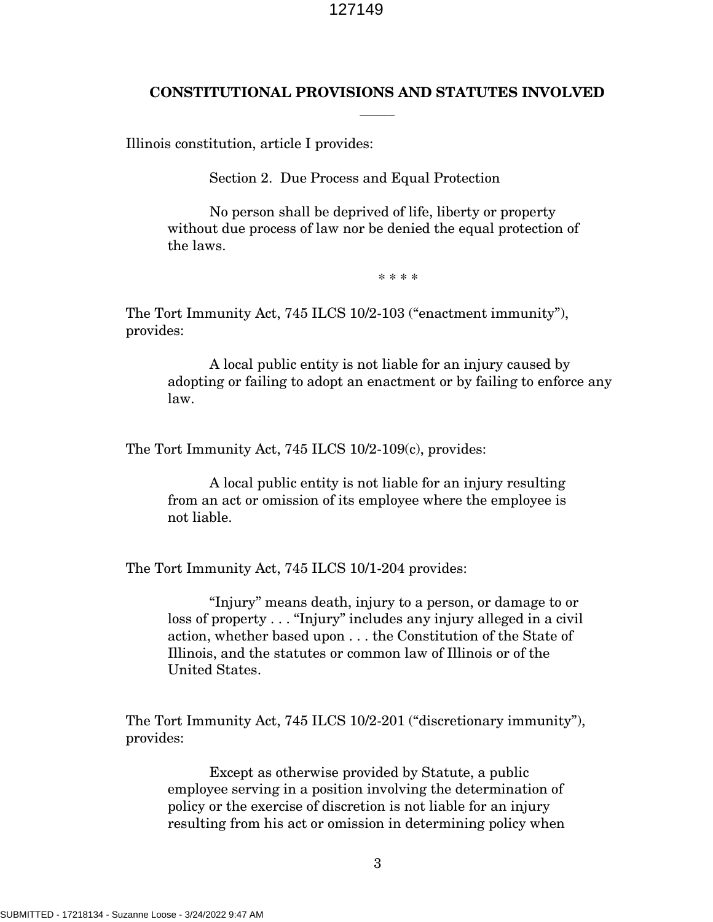## **CONSTITUTIONAL PROVISIONS AND STATUTES INVOLVED** \_\_\_\_\_

Illinois constitution, article I provides:

Section 2. Due Process and Equal Protection

No person shall be deprived of life, liberty or property without due process of law nor be denied the equal protection of the laws.

\* \* \* \*

The Tort Immunity Act, 745 ILCS 10/2-103 ("enactment immunity"), provides:

A local public entity is not liable for an injury caused by adopting or failing to adopt an enactment or by failing to enforce any law.

The Tort Immunity Act, 745 ILCS 10/2-109(c), provides:

A local public entity is not liable for an injury resulting from an act or omission of its employee where the employee is not liable.

The Tort Immunity Act, 745 ILCS 10/1-204 provides:

"Injury" means death, injury to a person, or damage to or loss of property . . . "Injury" includes any injury alleged in a civil action, whether based upon . . . the Constitution of the State of Illinois, and the statutes or common law of Illinois or of the United States.

The Tort Immunity Act, 745 ILCS 10/2-201 ("discretionary immunity"), provides:

Except as otherwise provided by Statute, a public employee serving in a position involving the determination of policy or the exercise of discretion is not liable for an injury resulting from his act or omission in determining policy when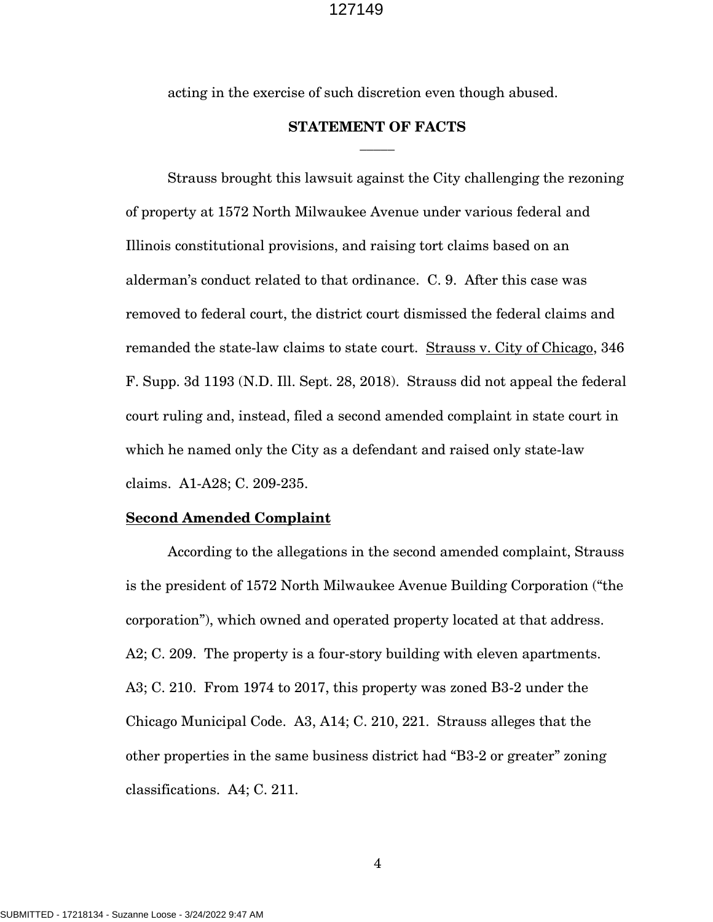acting in the exercise of such discretion even though abused.

### **STATEMENT OF FACTS**  $\overline{\phantom{a}}$

Strauss brought this lawsuit against the City challenging the rezoning of property at 1572 North Milwaukee Avenue under various federal and Illinois constitutional provisions, and raising tort claims based on an alderman's conduct related to that ordinance. C. 9. After this case was removed to federal court, the district court dismissed the federal claims and remanded the state-law claims to state court. Strauss v. City of Chicago, 346 F. Supp. 3d 1193 (N.D. Ill. Sept. 28, 2018). Strauss did not appeal the federal court ruling and, instead, filed a second amended complaint in state court in which he named only the City as a defendant and raised only state-law claims. A1-A28; C. 209-235.

### **Second Amended Complaint**

According to the allegations in the second amended complaint, Strauss is the president of 1572 North Milwaukee Avenue Building Corporation ("the corporation"), which owned and operated property located at that address. A2; C. 209. The property is a four-story building with eleven apartments. A3; C. 210. From 1974 to 2017, this property was zoned B3-2 under the Chicago Municipal Code. A3, A14; C. 210, 221. Strauss alleges that the other properties in the same business district had "B3-2 or greater" zoning classifications. A4; C. 211.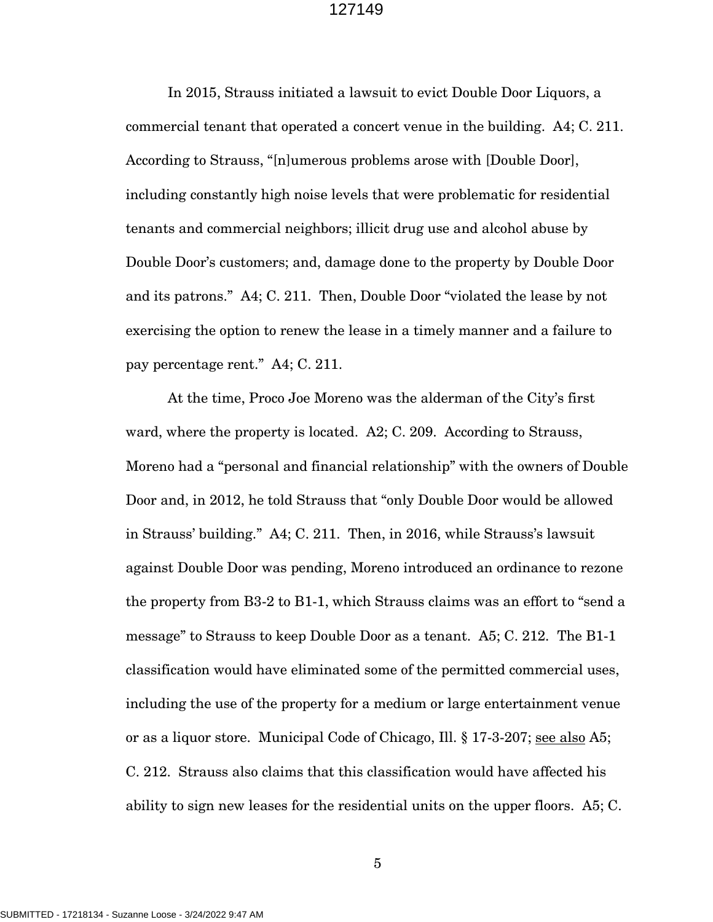In 2015, Strauss initiated a lawsuit to evict Double Door Liquors, a commercial tenant that operated a concert venue in the building. A4; C. 211. According to Strauss, "[n]umerous problems arose with [Double Door], including constantly high noise levels that were problematic for residential tenants and commercial neighbors; illicit drug use and alcohol abuse by Double Door's customers; and, damage done to the property by Double Door and its patrons." A4; C. 211. Then, Double Door "violated the lease by not exercising the option to renew the lease in a timely manner and a failure to pay percentage rent." A4; C. 211.

At the time, Proco Joe Moreno was the alderman of the City's first ward, where the property is located. A2; C. 209. According to Strauss, Moreno had a "personal and financial relationship" with the owners of Double Door and, in 2012, he told Strauss that "only Double Door would be allowed in Strauss' building." A4; C. 211. Then, in 2016, while Strauss's lawsuit against Double Door was pending, Moreno introduced an ordinance to rezone the property from B3-2 to B1-1, which Strauss claims was an effort to "send a message" to Strauss to keep Double Door as a tenant. A5; C. 212. The B1-1 classification would have eliminated some of the permitted commercial uses, including the use of the property for a medium or large entertainment venue or as a liquor store. Municipal Code of Chicago, Ill. § 17-3-207; see also A5; C. 212. Strauss also claims that this classification would have affected his ability to sign new leases for the residential units on the upper floors. A5; C.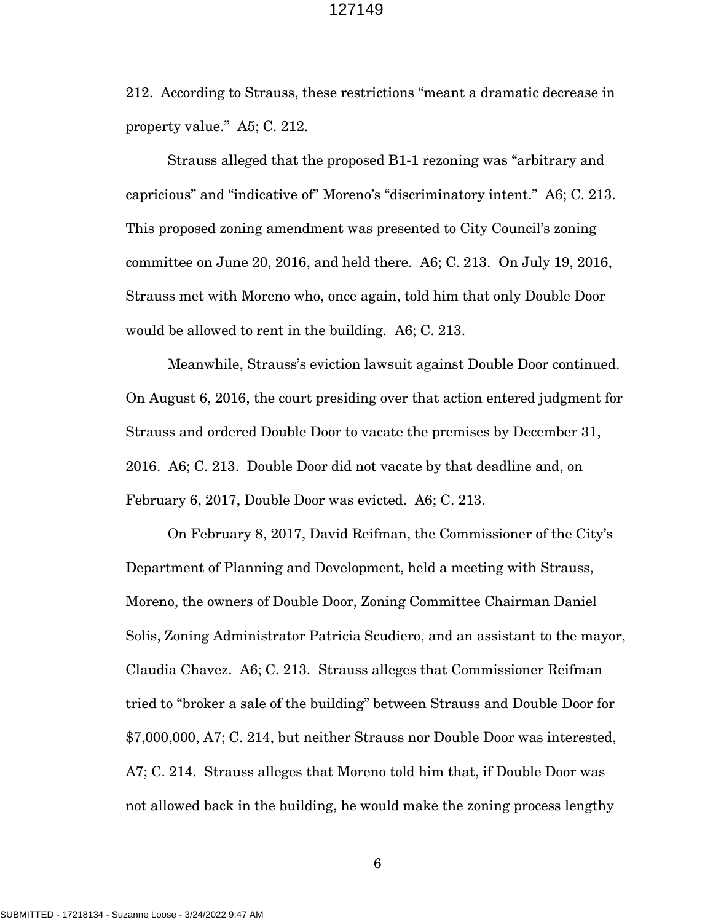212. According to Strauss, these restrictions "meant a dramatic decrease in property value." A5; C. 212.

Strauss alleged that the proposed B1-1 rezoning was "arbitrary and capricious" and "indicative of" Moreno's "discriminatory intent." A6; C. 213. This proposed zoning amendment was presented to City Council's zoning committee on June 20, 2016, and held there. A6; C. 213. On July 19, 2016, Strauss met with Moreno who, once again, told him that only Double Door would be allowed to rent in the building. A6; C. 213.

Meanwhile, Strauss's eviction lawsuit against Double Door continued. On August 6, 2016, the court presiding over that action entered judgment for Strauss and ordered Double Door to vacate the premises by December 31, 2016. A6; C. 213. Double Door did not vacate by that deadline and, on February 6, 2017, Double Door was evicted. A6; C. 213.

On February 8, 2017, David Reifman, the Commissioner of the City's Department of Planning and Development, held a meeting with Strauss, Moreno, the owners of Double Door, Zoning Committee Chairman Daniel Solis, Zoning Administrator Patricia Scudiero, and an assistant to the mayor, Claudia Chavez. A6; C. 213. Strauss alleges that Commissioner Reifman tried to "broker a sale of the building" between Strauss and Double Door for \$7,000,000, A7; C. 214, but neither Strauss nor Double Door was interested, A7; C. 214. Strauss alleges that Moreno told him that, if Double Door was not allowed back in the building, he would make the zoning process lengthy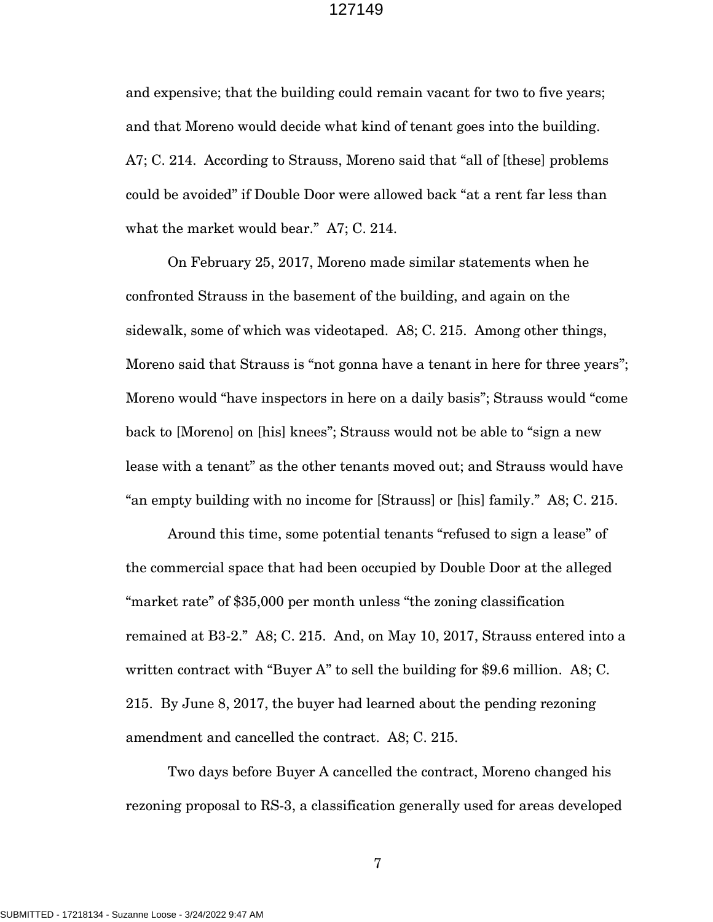and expensive; that the building could remain vacant for two to five years; and that Moreno would decide what kind of tenant goes into the building. A7; C. 214. According to Strauss, Moreno said that "all of [these] problems could be avoided" if Double Door were allowed back "at a rent far less than what the market would bear." A7; C. 214.

On February 25, 2017, Moreno made similar statements when he confronted Strauss in the basement of the building, and again on the sidewalk, some of which was videotaped. A8; C. 215. Among other things, Moreno said that Strauss is "not gonna have a tenant in here for three years"; Moreno would "have inspectors in here on a daily basis"; Strauss would "come back to [Moreno] on [his] knees"; Strauss would not be able to "sign a new lease with a tenant" as the other tenants moved out; and Strauss would have "an empty building with no income for [Strauss] or [his] family." A8; C. 215.

Around this time, some potential tenants "refused to sign a lease" of the commercial space that had been occupied by Double Door at the alleged "market rate" of \$35,000 per month unless "the zoning classification remained at B3-2." A8; C. 215. And, on May 10, 2017, Strauss entered into a written contract with "Buyer A" to sell the building for \$9.6 million. A8; C. 215. By June 8, 2017, the buyer had learned about the pending rezoning amendment and cancelled the contract. A8; C. 215.

Two days before Buyer A cancelled the contract, Moreno changed his rezoning proposal to RS-3, a classification generally used for areas developed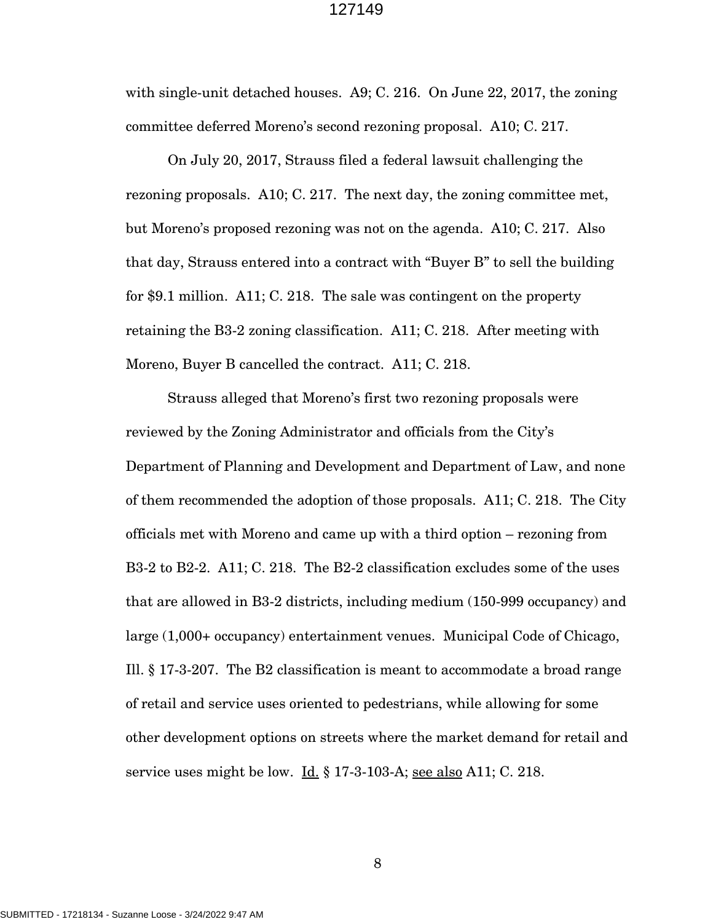with single-unit detached houses. A9; C. 216. On June 22, 2017, the zoning committee deferred Moreno's second rezoning proposal. A10; C. 217.

On July 20, 2017, Strauss filed a federal lawsuit challenging the rezoning proposals. A10; C. 217. The next day, the zoning committee met, but Moreno's proposed rezoning was not on the agenda. A10; C. 217. Also that day, Strauss entered into a contract with "Buyer B" to sell the building for \$9.1 million. A11; C. 218. The sale was contingent on the property retaining the B3-2 zoning classification. A11; C. 218. After meeting with Moreno, Buyer B cancelled the contract. A11; C. 218.

Strauss alleged that Moreno's first two rezoning proposals were reviewed by the Zoning Administrator and officials from the City's Department of Planning and Development and Department of Law, and none of them recommended the adoption of those proposals. A11; C. 218. The City officials met with Moreno and came up with a third option – rezoning from B3-2 to B2-2. A11; C. 218. The B2-2 classification excludes some of the uses that are allowed in B3-2 districts, including medium (150-999 occupancy) and large (1,000+ occupancy) entertainment venues. Municipal Code of Chicago, Ill. § 17-3-207. The B2 classification is meant to accommodate a broad range of retail and service uses oriented to pedestrians, while allowing for some other development options on streets where the market demand for retail and service uses might be low. Id. § 17-3-103-A; see also A11; C. 218.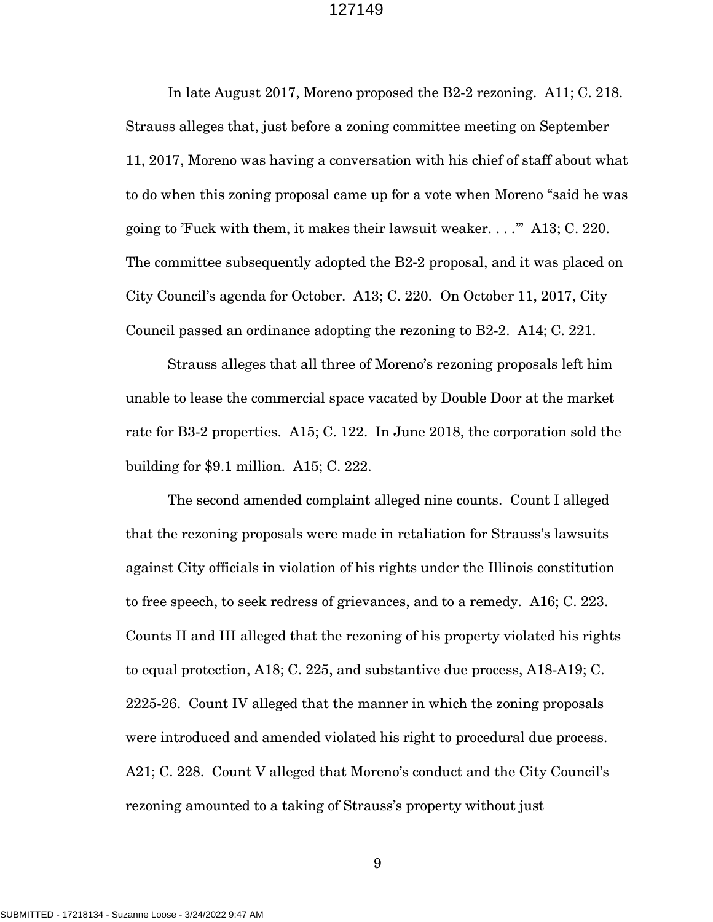In late August 2017, Moreno proposed the B2-2 rezoning. A11; C. 218. Strauss alleges that, just before a zoning committee meeting on September 11, 2017, Moreno was having a conversation with his chief of staff about what to do when this zoning proposal came up for a vote when Moreno "said he was going to 'Fuck with them, it makes their lawsuit weaker. . . .'" A13; C. 220. The committee subsequently adopted the B2-2 proposal, and it was placed on City Council's agenda for October. A13; C. 220. On October 11, 2017, City Council passed an ordinance adopting the rezoning to B2-2. A14; C. 221.

Strauss alleges that all three of Moreno's rezoning proposals left him unable to lease the commercial space vacated by Double Door at the market rate for B3-2 properties. A15; C. 122. In June 2018, the corporation sold the building for \$9.1 million. A15; C. 222.

The second amended complaint alleged nine counts. Count I alleged that the rezoning proposals were made in retaliation for Strauss's lawsuits against City officials in violation of his rights under the Illinois constitution to free speech, to seek redress of grievances, and to a remedy. A16; C. 223. Counts II and III alleged that the rezoning of his property violated his rights to equal protection, A18; C. 225, and substantive due process, A18-A19; C. 2225-26. Count IV alleged that the manner in which the zoning proposals were introduced and amended violated his right to procedural due process. A21; C. 228. Count V alleged that Moreno's conduct and the City Council's rezoning amounted to a taking of Strauss's property without just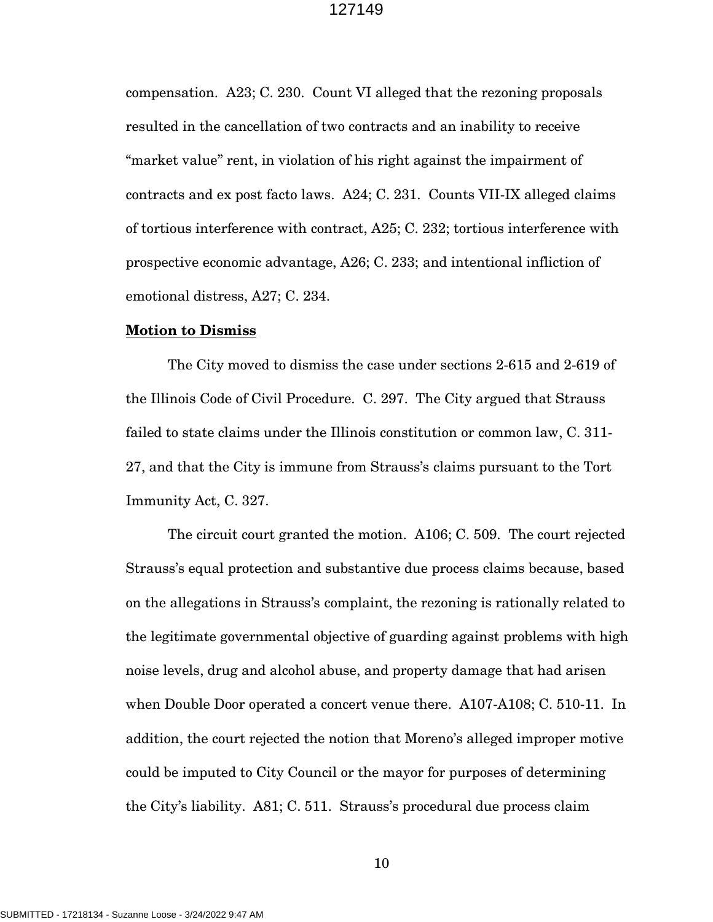compensation. A23; C. 230. Count VI alleged that the rezoning proposals resulted in the cancellation of two contracts and an inability to receive "market value" rent, in violation of his right against the impairment of contracts and ex post facto laws. A24; C. 231. Counts VII-IX alleged claims of tortious interference with contract, A25; C. 232; tortious interference with prospective economic advantage, A26; C. 233; and intentional infliction of emotional distress, A27; C. 234.

#### **Motion to Dismiss**

The City moved to dismiss the case under sections 2-615 and 2-619 of the Illinois Code of Civil Procedure. C. 297. The City argued that Strauss failed to state claims under the Illinois constitution or common law, C. 311- 27, and that the City is immune from Strauss's claims pursuant to the Tort Immunity Act, C. 327.

The circuit court granted the motion. A106; C. 509. The court rejected Strauss's equal protection and substantive due process claims because, based on the allegations in Strauss's complaint, the rezoning is rationally related to the legitimate governmental objective of guarding against problems with high noise levels, drug and alcohol abuse, and property damage that had arisen when Double Door operated a concert venue there. A107-A108; C. 510-11. In addition, the court rejected the notion that Moreno's alleged improper motive could be imputed to City Council or the mayor for purposes of determining the City's liability. A81; C. 511. Strauss's procedural due process claim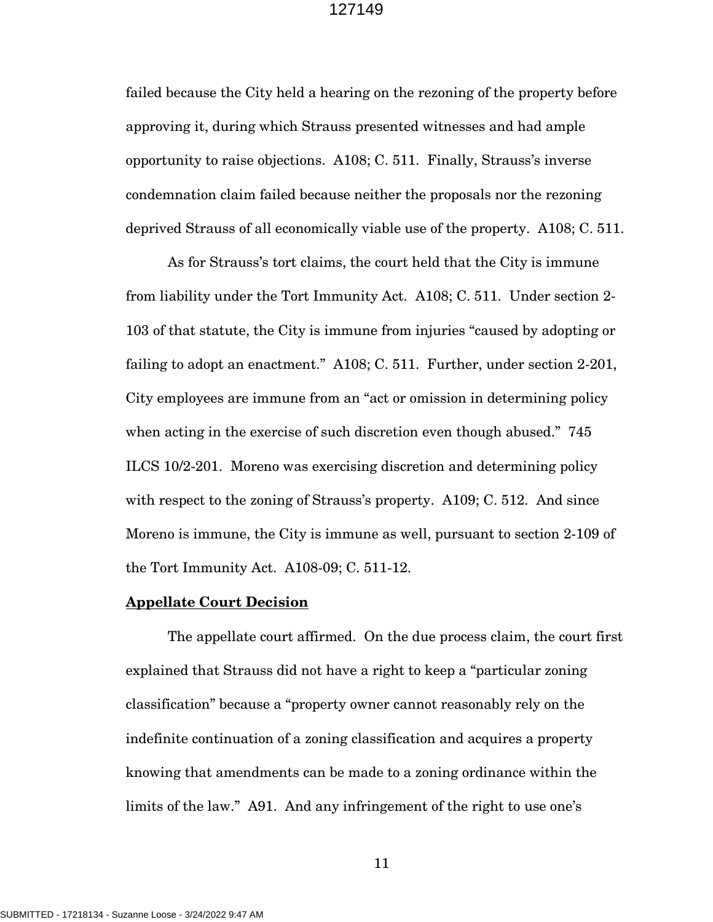failed because the City held a hearing on the rezoning of the property before approving it, during which Strauss presented witnesses and had ample opportunity to raise objections. A108; C. 511. Finally, Strauss's inverse condemnation claim failed because neither the proposals nor the rezoning deprived Strauss of all economically viable use of the property. A108; C. 511.

As for Strauss's tort claims, the court held that the City is immune from liability under the Tort Immunity Act. A108; C. 511. Under section 2- 103 of that statute, the City is immune from injuries "caused by adopting or failing to adopt an enactment." A108; C. 511. Further, under section 2-201, City employees are immune from an "act or omission in determining policy when acting in the exercise of such discretion even though abused." 745 ILCS 10/2-201. Moreno was exercising discretion and determining policy with respect to the zoning of Strauss's property. A109; C. 512. And since Moreno is immune, the City is immune as well, pursuant to section 2-109 of the Tort Immunity Act. A108-09; C. 511-12.

#### **Appellate Court Decision**

The appellate court affirmed. On the due process claim, the court first explained that Strauss did not have a right to keep a "particular zoning classification" because a "property owner cannot reasonably rely on the indefinite continuation of a zoning classification and acquires a property knowing that amendments can be made to a zoning ordinance within the limits of the law." A91. And any infringement of the right to use one's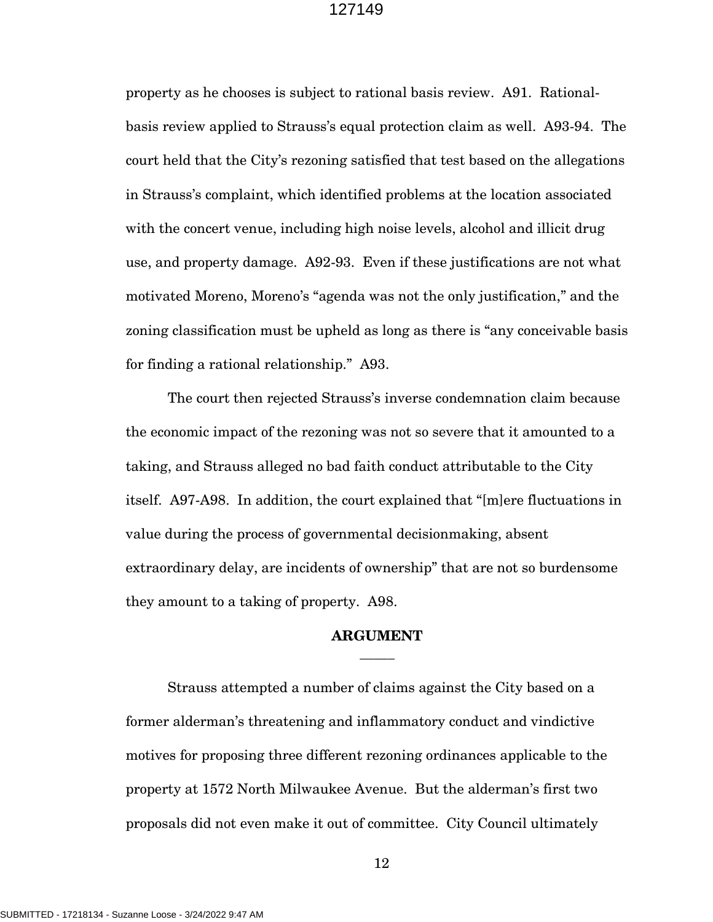property as he chooses is subject to rational basis review. A91. Rationalbasis review applied to Strauss's equal protection claim as well. A93-94. The court held that the City's rezoning satisfied that test based on the allegations in Strauss's complaint, which identified problems at the location associated with the concert venue, including high noise levels, alcohol and illicit drug use, and property damage. A92-93. Even if these justifications are not what motivated Moreno, Moreno's "agenda was not the only justification," and the zoning classification must be upheld as long as there is "any conceivable basis for finding a rational relationship." A93.

The court then rejected Strauss's inverse condemnation claim because the economic impact of the rezoning was not so severe that it amounted to a taking, and Strauss alleged no bad faith conduct attributable to the City itself. A97-A98. In addition, the court explained that "[m]ere fluctuations in value during the process of governmental decisionmaking, absent extraordinary delay, are incidents of ownership" that are not so burdensome they amount to a taking of property. A98.

## **ARGUMENT**  $\overline{\phantom{a}}$

Strauss attempted a number of claims against the City based on a former alderman's threatening and inflammatory conduct and vindictive motives for proposing three different rezoning ordinances applicable to the property at 1572 North Milwaukee Avenue. But the alderman's first two proposals did not even make it out of committee. City Council ultimately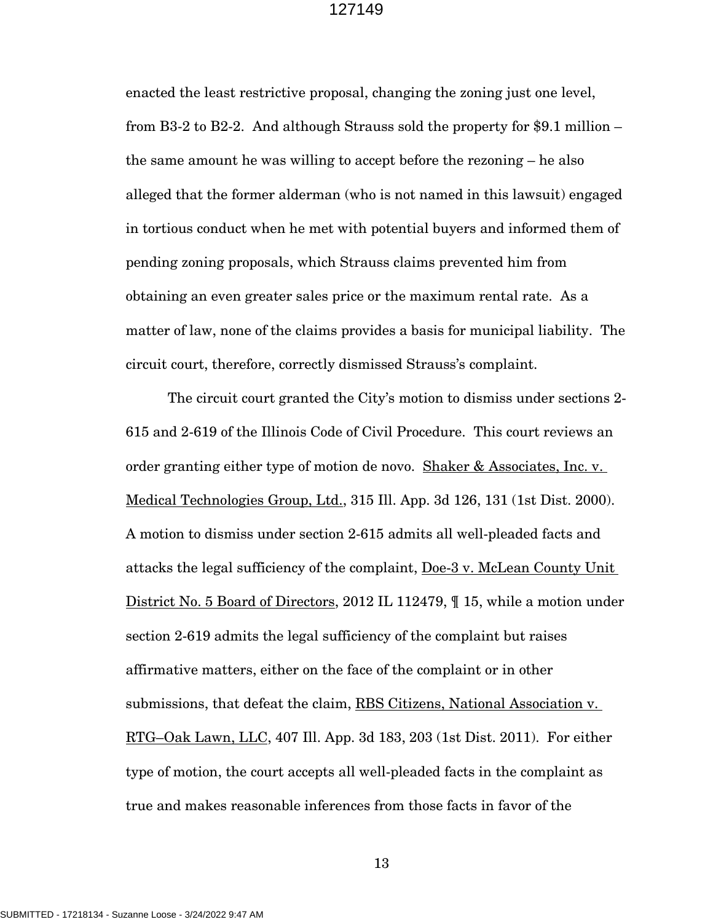enacted the least restrictive proposal, changing the zoning just one level, from B3-2 to B2-2. And although Strauss sold the property for \$9.1 million – the same amount he was willing to accept before the rezoning – he also alleged that the former alderman (who is not named in this lawsuit) engaged in tortious conduct when he met with potential buyers and informed them of pending zoning proposals, which Strauss claims prevented him from obtaining an even greater sales price or the maximum rental rate. As a matter of law, none of the claims provides a basis for municipal liability. The circuit court, therefore, correctly dismissed Strauss's complaint.

The circuit court granted the City's motion to dismiss under sections 2- 615 and 2-619 of the Illinois Code of Civil Procedure. This court reviews an order granting either type of motion de novo. Shaker & Associates, Inc. v. Medical Technologies Group, Ltd., 315 Ill. App. 3d 126, 131 (1st Dist. 2000). A motion to dismiss under section 2-615 admits all well-pleaded facts and attacks the legal sufficiency of the complaint, Doe-3 v. McLean County Unit District No. 5 Board of Directors, 2012 IL 112479, ¶ 15, while a motion under section 2-619 admits the legal sufficiency of the complaint but raises affirmative matters, either on the face of the complaint or in other submissions, that defeat the claim, RBS Citizens, National Association v. RTG–Oak Lawn, LLC, 407 Ill. App. 3d 183, 203 (1st Dist. 2011). For either type of motion, the court accepts all well-pleaded facts in the complaint as true and makes reasonable inferences from those facts in favor of the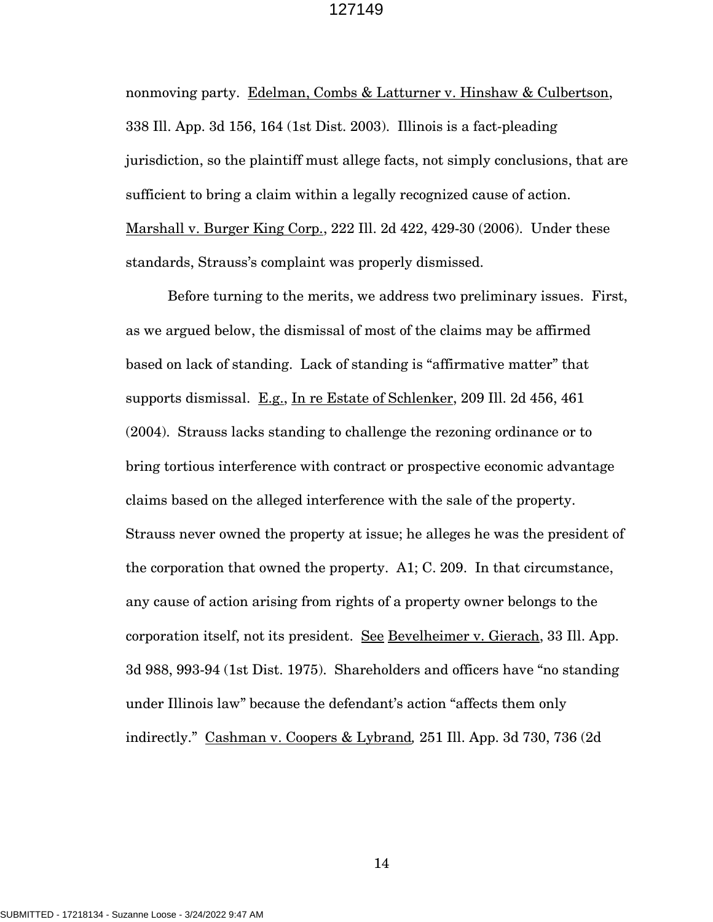nonmoving party. Edelman, Combs & Latturner v. Hinshaw & Culbertson, 338 Ill. App. 3d 156, 164 (1st Dist. 2003). Illinois is a fact-pleading jurisdiction, so the plaintiff must allege facts, not simply conclusions, that are sufficient to bring a claim within a legally recognized cause of action. Marshall v. Burger King Corp., 222 Ill. 2d 422, 429-30 (2006). Under these standards, Strauss's complaint was properly dismissed.

Before turning to the merits, we address two preliminary issues. First, as we argued below, the dismissal of most of the claims may be affirmed based on lack of standing. Lack of standing is "affirmative matter" that supports dismissal. E.g., In re Estate of Schlenker, 209 Ill. 2d 456, 461 (2004). Strauss lacks standing to challenge the rezoning ordinance or to bring tortious interference with contract or prospective economic advantage claims based on the alleged interference with the sale of the property. Strauss never owned the property at issue; he alleges he was the president of the corporation that owned the property. A1; C. 209. In that circumstance, any cause of action arising from rights of a property owner belongs to the corporation itself, not its president. See Bevelheimer v. Gierach, 33 Ill. App. 3d 988, 993-94 (1st Dist. 1975). Shareholders and officers have "no standing under Illinois law" because the defendant's action "affects them only indirectly." Cashman v. Coopers & Lybrand*,* 251 Ill. App. 3d 730, 736 (2d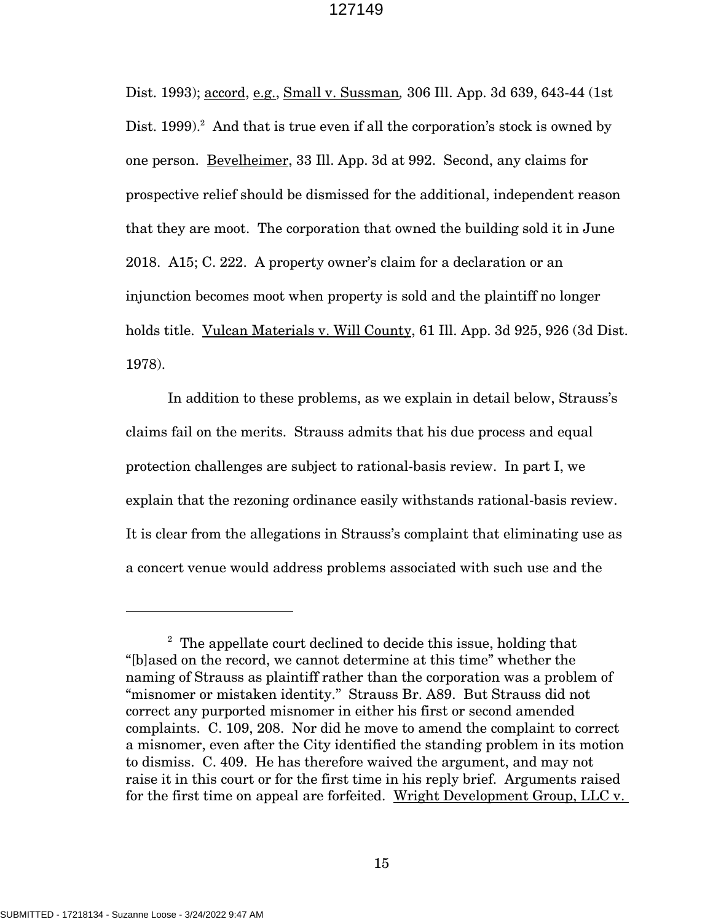Dist. 1993); accord, e.g., Small v. Sussman*,* 306 Ill. App. 3d 639, 643-44 (1st Dist. 1999).<sup>2</sup> And that is true even if all the corporation's stock is owned by one person. Bevelheimer, 33 Ill. App. 3d at 992. Second, any claims for prospective relief should be dismissed for the additional, independent reason that they are moot. The corporation that owned the building sold it in June 2018. A15; C. 222. A property owner's claim for a declaration or an injunction becomes moot when property is sold and the plaintiff no longer holds title. Vulcan Materials v. Will County, 61 Ill. App. 3d 925, 926 (3d Dist. 1978).

In addition to these problems, as we explain in detail below, Strauss's claims fail on the merits. Strauss admits that his due process and equal protection challenges are subject to rational-basis review. In part I, we explain that the rezoning ordinance easily withstands rational-basis review. It is clear from the allegations in Strauss's complaint that eliminating use as a concert venue would address problems associated with such use and the

 $2^{\circ}$  The appellate court declined to decide this issue, holding that "[b]ased on the record, we cannot determine at this time" whether the naming of Strauss as plaintiff rather than the corporation was a problem of "misnomer or mistaken identity." Strauss Br. A89. But Strauss did not correct any purported misnomer in either his first or second amended complaints. C. 109, 208. Nor did he move to amend the complaint to correct a misnomer, even after the City identified the standing problem in its motion to dismiss. C. 409. He has therefore waived the argument, and may not raise it in this court or for the first time in his reply brief. Arguments raised for the first time on appeal are forfeited. Wright Development Group, LLC v.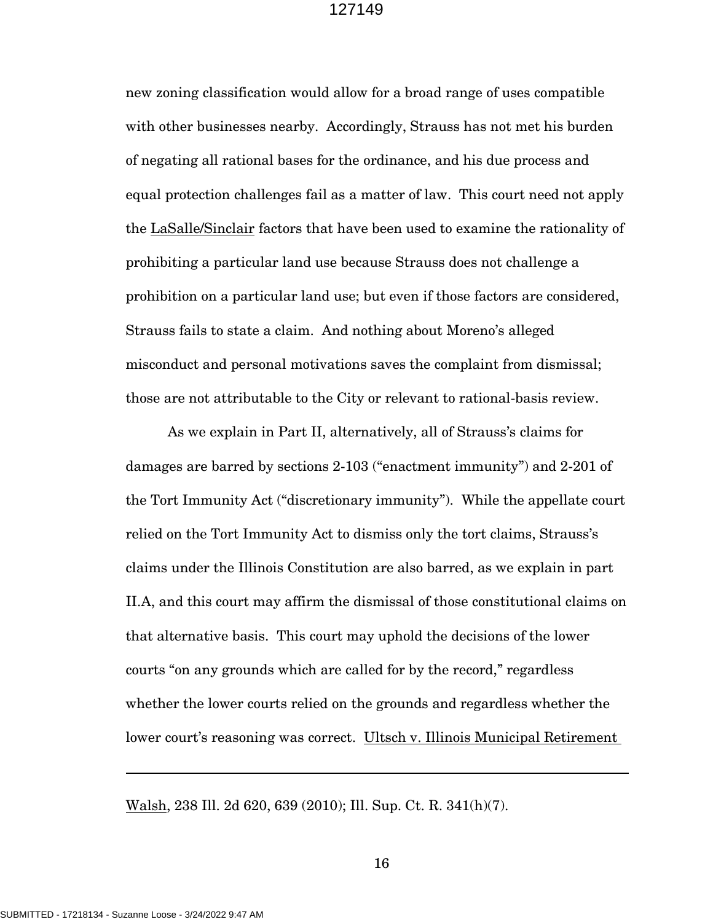new zoning classification would allow for a broad range of uses compatible with other businesses nearby. Accordingly, Strauss has not met his burden of negating all rational bases for the ordinance, and his due process and equal protection challenges fail as a matter of law. This court need not apply the LaSalle/Sinclair factors that have been used to examine the rationality of prohibiting a particular land use because Strauss does not challenge a prohibition on a particular land use; but even if those factors are considered, Strauss fails to state a claim. And nothing about Moreno's alleged misconduct and personal motivations saves the complaint from dismissal; those are not attributable to the City or relevant to rational-basis review.

As we explain in Part II, alternatively, all of Strauss's claims for damages are barred by sections 2-103 ("enactment immunity") and 2-201 of the Tort Immunity Act ("discretionary immunity"). While the appellate court relied on the Tort Immunity Act to dismiss only the tort claims, Strauss's claims under the Illinois Constitution are also barred, as we explain in part II.A, and this court may affirm the dismissal of those constitutional claims on that alternative basis. This court may uphold the decisions of the lower courts "on any grounds which are called for by the record," regardless whether the lower courts relied on the grounds and regardless whether the lower court's reasoning was correct. Ultsch v. Illinois Municipal Retirement

Walsh, 238 Ill. 2d 620, 639 (2010); Ill. Sup. Ct. R. 341(h)(7).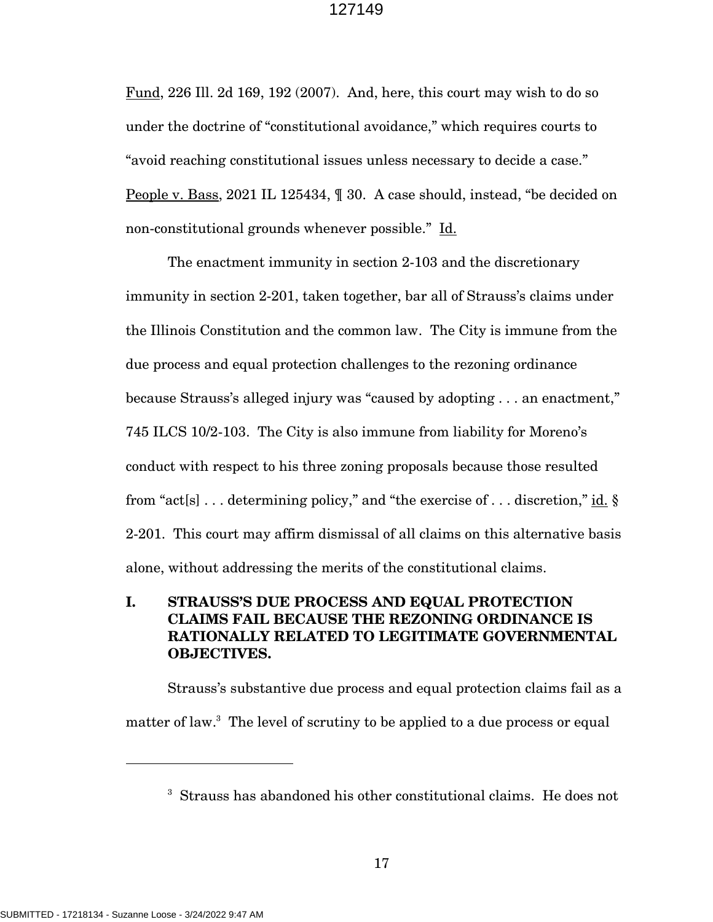Fund, 226 Ill. 2d 169, 192 (2007). And, here, this court may wish to do so under the doctrine of "constitutional avoidance," which requires courts to "avoid reaching constitutional issues unless necessary to decide a case." People v. Bass, 2021 IL 125434, ¶ 30. A case should, instead, "be decided on non-constitutional grounds whenever possible." Id.

The enactment immunity in section 2-103 and the discretionary immunity in section 2-201, taken together, bar all of Strauss's claims under the Illinois Constitution and the common law. The City is immune from the due process and equal protection challenges to the rezoning ordinance because Strauss's alleged injury was "caused by adopting . . . an enactment," 745 ILCS 10/2-103. The City is also immune from liability for Moreno's conduct with respect to his three zoning proposals because those resulted from "act[s] . . . determining policy," and "the exercise of . . . discretion," id. § 2-201. This court may affirm dismissal of all claims on this alternative basis alone, without addressing the merits of the constitutional claims.

## **I. STRAUSS'S DUE PROCESS AND EQUAL PROTECTION CLAIMS FAIL BECAUSE THE REZONING ORDINANCE IS RATIONALLY RELATED TO LEGITIMATE GOVERNMENTAL OBJECTIVES.**

Strauss's substantive due process and equal protection claims fail as a matter of law.<sup>3</sup> The level of scrutiny to be applied to a due process or equal

<sup>3</sup> Strauss has abandoned his other constitutional claims. He does not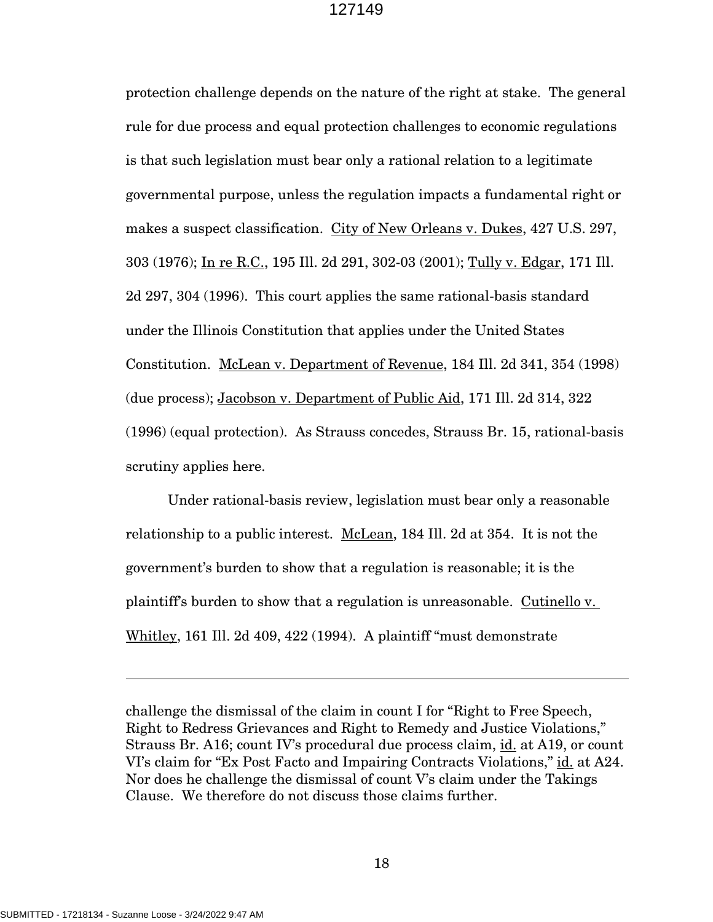protection challenge depends on the nature of the right at stake. The general rule for due process and equal protection challenges to economic regulations is that such legislation must bear only a rational relation to a legitimate governmental purpose, unless the regulation impacts a fundamental right or makes a suspect classification. City of New Orleans v. Dukes, 427 U.S. 297, 303 (1976); In re R.C., 195 Ill. 2d 291, 302-03 (2001); Tully v. Edgar, 171 Ill. 2d 297, 304 (1996). This court applies the same rational-basis standard under the Illinois Constitution that applies under the United States Constitution. McLean v. Department of Revenue, 184 Ill. 2d 341, 354 (1998) (due process); Jacobson v. Department of Public Aid, 171 Ill. 2d 314, 322 (1996) (equal protection). As Strauss concedes, Strauss Br. 15, rational-basis scrutiny applies here.

Under rational-basis review, legislation must bear only a reasonable relationship to a public interest. McLean, 184 Ill. 2d at 354. It is not the government's burden to show that a regulation is reasonable; it is the plaintiff's burden to show that a regulation is unreasonable. Cutinello v. Whitley, 161 Ill. 2d 409, 422 (1994). A plaintiff "must demonstrate

challenge the dismissal of the claim in count I for "Right to Free Speech, Right to Redress Grievances and Right to Remedy and Justice Violations," Strauss Br. A16; count IV's procedural due process claim, id. at A19, or count VI's claim for "Ex Post Facto and Impairing Contracts Violations," id. at A24. Nor does he challenge the dismissal of count V's claim under the Takings Clause. We therefore do not discuss those claims further.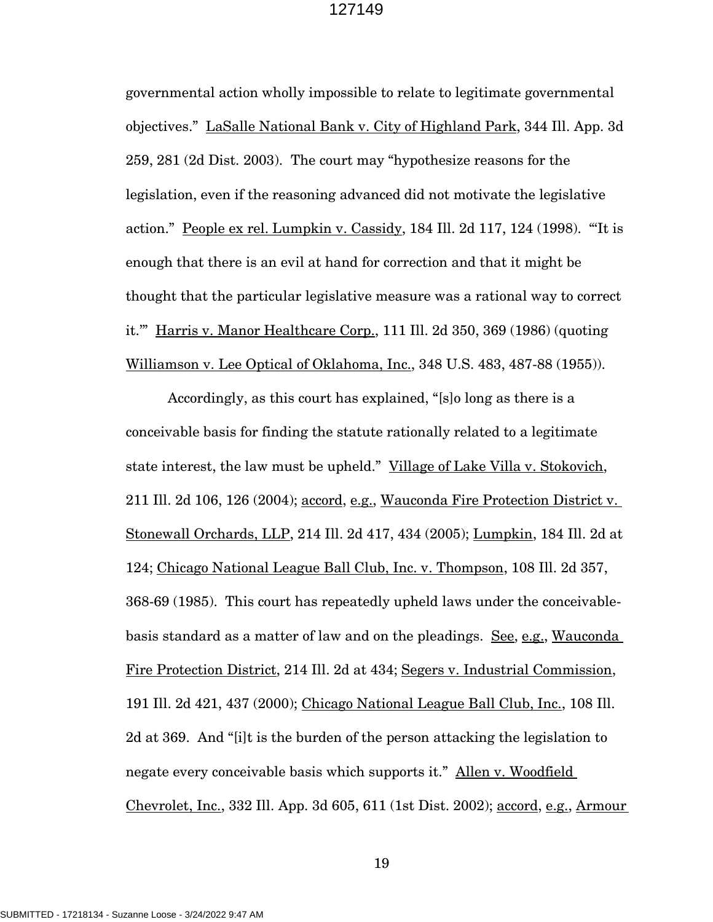governmental action wholly impossible to relate to legitimate governmental objectives." LaSalle National Bank v. City of Highland Park, 344 Ill. App. 3d 259, 281 (2d Dist. 2003). The court may "hypothesize reasons for the legislation, even if the reasoning advanced did not motivate the legislative action." People ex rel. Lumpkin v. Cassidy, 184 Ill. 2d 117, 124 (1998). "'It is enough that there is an evil at hand for correction and that it might be thought that the particular legislative measure was a rational way to correct it.'" Harris v. Manor Healthcare Corp., 111 Ill. 2d 350, 369 (1986) (quoting Williamson v. Lee Optical of Oklahoma, Inc., 348 U.S. 483, 487-88 (1955)).

Accordingly, as this court has explained, "[s]o long as there is a conceivable basis for finding the statute rationally related to a legitimate state interest, the law must be upheld." Village of Lake Villa v. Stokovich, 211 Ill. 2d 106, 126 (2004); accord, e.g., Wauconda Fire Protection District v. Stonewall Orchards, LLP, 214 Ill. 2d 417, 434 (2005); Lumpkin, 184 Ill. 2d at 124; Chicago National League Ball Club, Inc. v. Thompson, 108 Ill. 2d 357, 368-69 (1985). This court has repeatedly upheld laws under the conceivablebasis standard as a matter of law and on the pleadings. See, e.g., Wauconda Fire Protection District, 214 Ill. 2d at 434; Segers v. Industrial Commission, 191 Ill. 2d 421, 437 (2000); Chicago National League Ball Club, Inc., 108 Ill. 2d at 369. And "[i]t is the burden of the person attacking the legislation to negate every conceivable basis which supports it." Allen v. Woodfield Chevrolet, Inc., 332 Ill. App. 3d 605, 611 (1st Dist. 2002); accord, e.g., Armour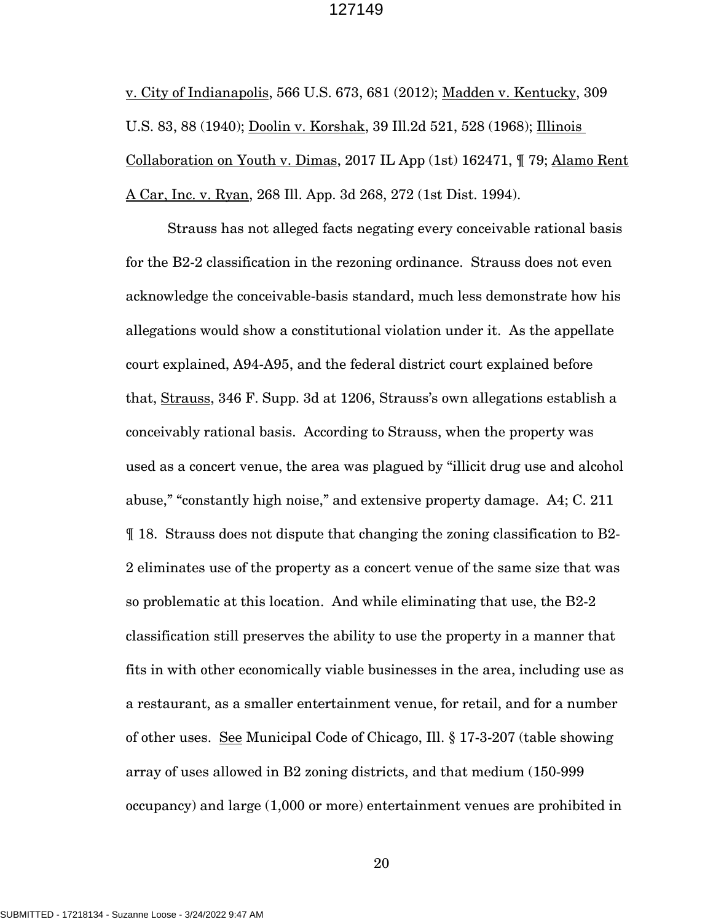v. City of Indianapolis, 566 U.S. 673, 681 (2012); Madden v. Kentucky, 309 U.S. 83, 88 (1940); Doolin v. Korshak, 39 Ill.2d 521, 528 (1968); Illinois Collaboration on Youth v. Dimas, 2017 IL App (1st) 162471, ¶ 79; Alamo Rent A Car, Inc. v. Ryan, 268 Ill. App. 3d 268, 272 (1st Dist. 1994).

Strauss has not alleged facts negating every conceivable rational basis for the B2-2 classification in the rezoning ordinance. Strauss does not even acknowledge the conceivable-basis standard, much less demonstrate how his allegations would show a constitutional violation under it. As the appellate court explained, A94-A95, and the federal district court explained before that, Strauss, 346 F. Supp. 3d at 1206, Strauss's own allegations establish a conceivably rational basis. According to Strauss, when the property was used as a concert venue, the area was plagued by "illicit drug use and alcohol abuse," "constantly high noise," and extensive property damage. A4; C. 211 ¶ 18. Strauss does not dispute that changing the zoning classification to B2- 2 eliminates use of the property as a concert venue of the same size that was so problematic at this location. And while eliminating that use, the B2-2 classification still preserves the ability to use the property in a manner that fits in with other economically viable businesses in the area, including use as a restaurant, as a smaller entertainment venue, for retail, and for a number of other uses. See Municipal Code of Chicago, Ill. § 17-3-207 (table showing array of uses allowed in B2 zoning districts, and that medium (150-999 occupancy) and large (1,000 or more) entertainment venues are prohibited in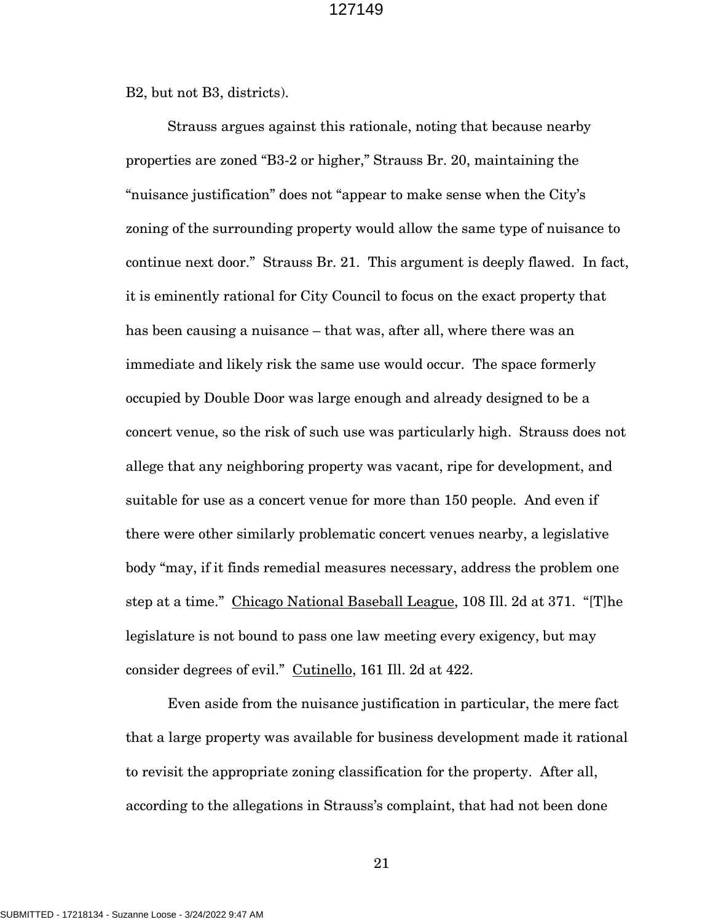B2, but not B3, districts).

Strauss argues against this rationale, noting that because nearby properties are zoned "B3-2 or higher," Strauss Br. 20, maintaining the "nuisance justification" does not "appear to make sense when the City's zoning of the surrounding property would allow the same type of nuisance to continue next door." Strauss Br. 21. This argument is deeply flawed. In fact, it is eminently rational for City Council to focus on the exact property that has been causing a nuisance – that was, after all, where there was an immediate and likely risk the same use would occur. The space formerly occupied by Double Door was large enough and already designed to be a concert venue, so the risk of such use was particularly high. Strauss does not allege that any neighboring property was vacant, ripe for development, and suitable for use as a concert venue for more than 150 people. And even if there were other similarly problematic concert venues nearby, a legislative body "may, if it finds remedial measures necessary, address the problem one step at a time." Chicago National Baseball League, 108 Ill. 2d at 371. "[T]he legislature is not bound to pass one law meeting every exigency, but may consider degrees of evil." Cutinello, 161 Ill. 2d at 422.

Even aside from the nuisance justification in particular, the mere fact that a large property was available for business development made it rational to revisit the appropriate zoning classification for the property. After all, according to the allegations in Strauss's complaint, that had not been done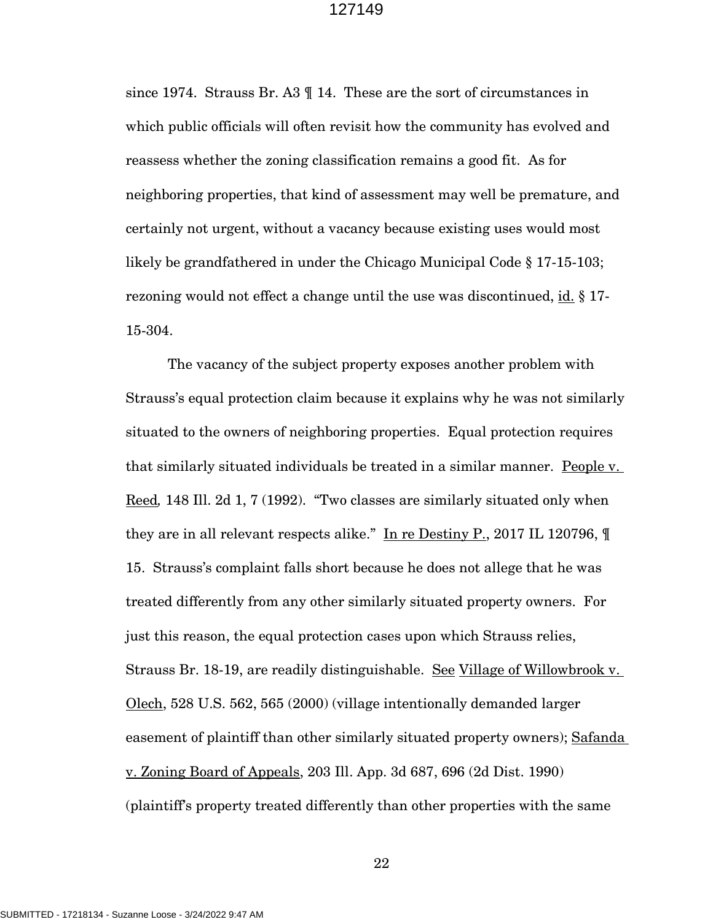since 1974. Strauss Br. A3 ¶ 14. These are the sort of circumstances in which public officials will often revisit how the community has evolved and reassess whether the zoning classification remains a good fit. As for neighboring properties, that kind of assessment may well be premature, and certainly not urgent, without a vacancy because existing uses would most likely be grandfathered in under the Chicago Municipal Code § 17-15-103; rezoning would not effect a change until the use was discontinued, id. § 17- 15-304.

The vacancy of the subject property exposes another problem with Strauss's equal protection claim because it explains why he was not similarly situated to the owners of neighboring properties. Equal protection requires that similarly situated individuals be treated in a similar manner. People v. Reed*,* 148 Ill. 2d 1, 7 (1992). "Two classes are similarly situated only when they are in all relevant respects alike." In re Destiny P., 2017 IL 120796,  $\P$ 15. Strauss's complaint falls short because he does not allege that he was treated differently from any other similarly situated property owners. For just this reason, the equal protection cases upon which Strauss relies, Strauss Br. 18-19, are readily distinguishable. See Village of Willowbrook v. Olech, 528 U.S. 562, 565 (2000) (village intentionally demanded larger easement of plaintiff than other similarly situated property owners); Safanda v. Zoning Board of Appeals, 203 Ill. App. 3d 687, 696 (2d Dist. 1990) (plaintiff's property treated differently than other properties with the same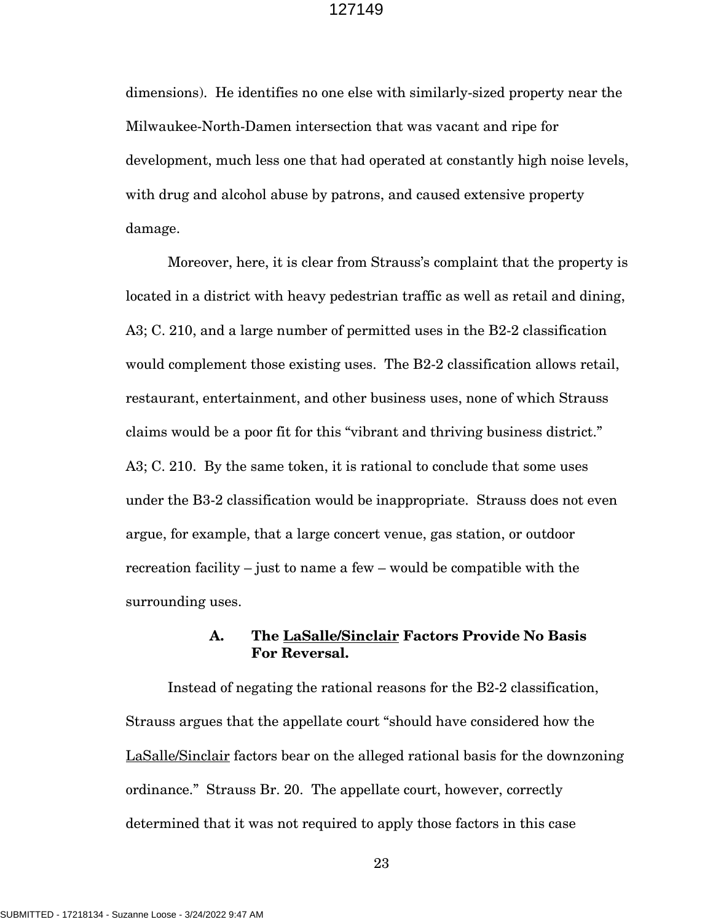dimensions). He identifies no one else with similarly-sized property near the Milwaukee-North-Damen intersection that was vacant and ripe for development, much less one that had operated at constantly high noise levels, with drug and alcohol abuse by patrons, and caused extensive property damage.

Moreover, here, it is clear from Strauss's complaint that the property is located in a district with heavy pedestrian traffic as well as retail and dining, A3; C. 210, and a large number of permitted uses in the B2-2 classification would complement those existing uses. The B2-2 classification allows retail, restaurant, entertainment, and other business uses, none of which Strauss claims would be a poor fit for this "vibrant and thriving business district." A3; C. 210. By the same token, it is rational to conclude that some uses under the B3-2 classification would be inappropriate. Strauss does not even argue, for example, that a large concert venue, gas station, or outdoor recreation facility – just to name a few – would be compatible with the surrounding uses.

## **A. The LaSalle/Sinclair Factors Provide No Basis For Reversal.**

Instead of negating the rational reasons for the B2-2 classification, Strauss argues that the appellate court "should have considered how the LaSalle/Sinclair factors bear on the alleged rational basis for the downzoning ordinance." Strauss Br. 20. The appellate court, however, correctly determined that it was not required to apply those factors in this case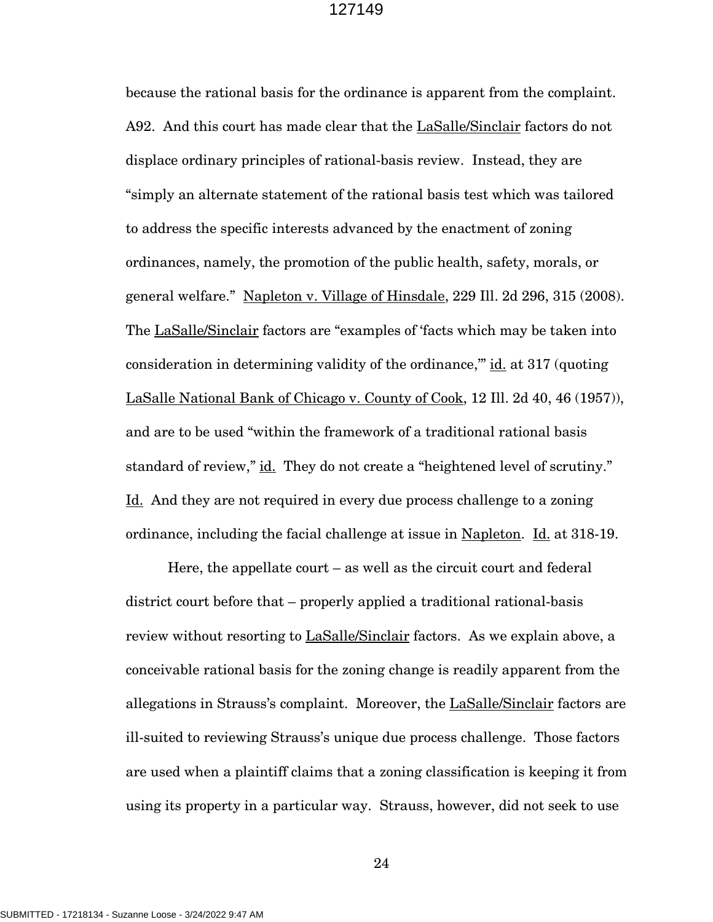because the rational basis for the ordinance is apparent from the complaint. A92. And this court has made clear that the LaSalle/Sinclair factors do not displace ordinary principles of rational-basis review. Instead, they are "simply an alternate statement of the rational basis test which was tailored to address the specific interests advanced by the enactment of zoning ordinances, namely, the promotion of the public health, safety, morals, or general welfare." Napleton v. Village of Hinsdale, 229 Ill. 2d 296, 315 (2008). The LaSalle/Sinclair factors are "examples of 'facts which may be taken into consideration in determining validity of the ordinance," id. at 317 (quoting LaSalle National Bank of Chicago v. County of Cook, 12 Ill. 2d 40, 46 (1957)), and are to be used "within the framework of a traditional rational basis standard of review," id. They do not create a "heightened level of scrutiny." Id. And they are not required in every due process challenge to a zoning ordinance, including the facial challenge at issue in Napleton. Id. at 318-19.

Here, the appellate court – as well as the circuit court and federal district court before that – properly applied a traditional rational-basis review without resorting to LaSalle/Sinclair factors. As we explain above, a conceivable rational basis for the zoning change is readily apparent from the allegations in Strauss's complaint. Moreover, the LaSalle/Sinclair factors are ill-suited to reviewing Strauss's unique due process challenge. Those factors are used when a plaintiff claims that a zoning classification is keeping it from using its property in a particular way. Strauss, however, did not seek to use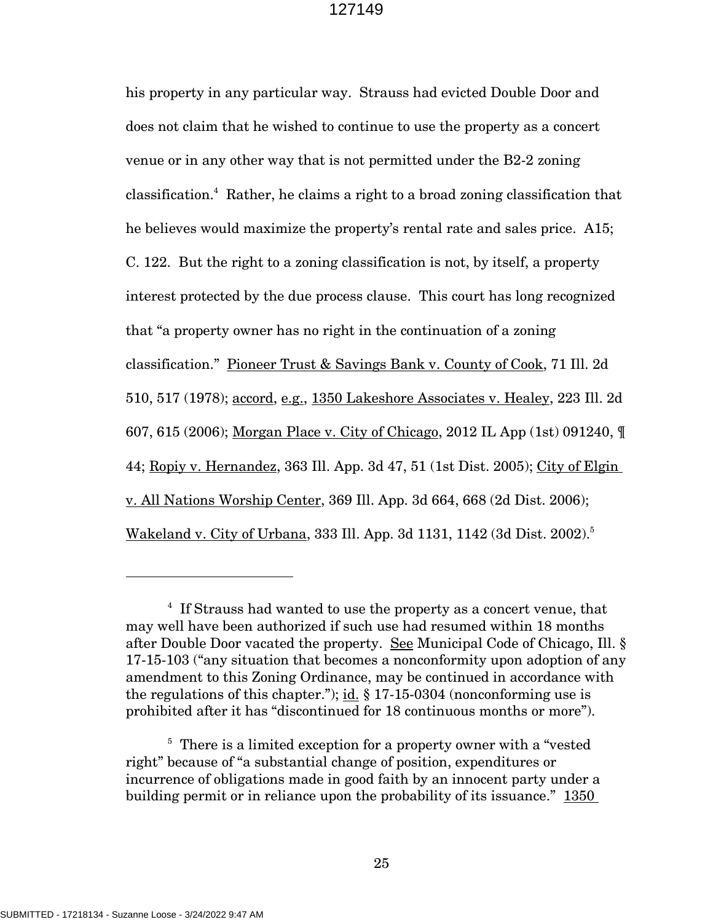his property in any particular way. Strauss had evicted Double Door and does not claim that he wished to continue to use the property as a concert venue or in any other way that is not permitted under the B2-2 zoning classification. 4 Rather, he claims a right to a broad zoning classification that he believes would maximize the property's rental rate and sales price. A15; C. 122. But the right to a zoning classification is not, by itself, a property interest protected by the due process clause. This court has long recognized that "a property owner has no right in the continuation of a zoning classification." Pioneer Trust & Savings Bank v. County of Cook, 71 Ill. 2d 510, 517 (1978); accord, e.g., 1350 Lakeshore Associates v. Healey, 223 Ill. 2d 607, 615 (2006); Morgan Place v. City of Chicago, 2012 IL App (1st) 091240, ¶ 44; Ropiy v. Hernandez, 363 Ill. App. 3d 47, 51 (1st Dist. 2005); City of Elgin v. All Nations Worship Center, 369 Ill. App. 3d 664, 668 (2d Dist. 2006); Wakeland v. City of Urbana, 333 Ill. App. 3d 1131, 1142 (3d Dist. 2002).<sup>5</sup>

<sup>&</sup>lt;sup>4</sup> If Strauss had wanted to use the property as a concert venue, that may well have been authorized if such use had resumed within 18 months after Double Door vacated the property. See Municipal Code of Chicago, Ill. § 17-15-103 ("any situation that becomes a nonconformity upon adoption of any amendment to this Zoning Ordinance, may be continued in accordance with the regulations of this chapter."); id.  $\S 17-15-0304$  (nonconforming use is prohibited after it has "discontinued for 18 continuous months or more").

<sup>&</sup>lt;sup>5</sup> There is a limited exception for a property owner with a "vested" right" because of "a substantial change of position, expenditures or incurrence of obligations made in good faith by an innocent party under a building permit or in reliance upon the probability of its issuance." 1350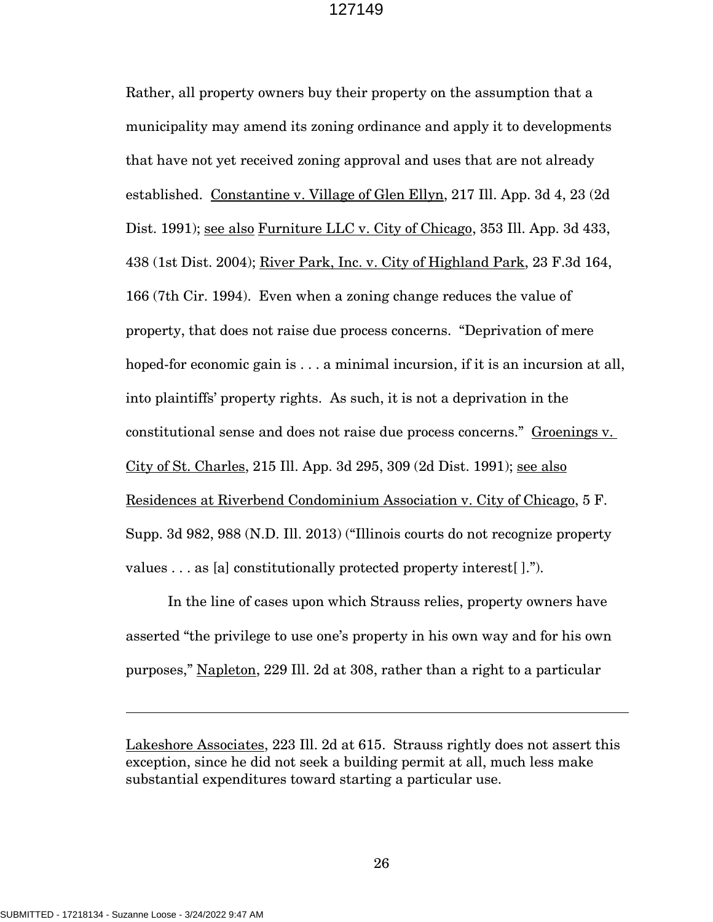Rather, all property owners buy their property on the assumption that a municipality may amend its zoning ordinance and apply it to developments that have not yet received zoning approval and uses that are not already established. Constantine v. Village of Glen Ellyn, 217 Ill. App. 3d 4, 23 (2d Dist. 1991); <u>see also Furniture LLC v. City of Chicago</u>, 353 Ill. App. 3d 433, 438 (1st Dist. 2004); River Park, Inc. v. City of Highland Park, 23 F.3d 164, 166 (7th Cir. 1994). Even when a zoning change reduces the value of property, that does not raise due process concerns. "Deprivation of mere hoped-for economic gain is . . . a minimal incursion, if it is an incursion at all, into plaintiffs' property rights. As such, it is not a deprivation in the constitutional sense and does not raise due process concerns." Groenings v. City of St. Charles, 215 Ill. App. 3d 295, 309 (2d Dist. 1991); see also Residences at Riverbend Condominium Association v. City of Chicago, 5 F. Supp. 3d 982, 988 (N.D. Ill. 2013) ("Illinois courts do not recognize property values . . . as [a] constitutionally protected property interest[ ].").

In the line of cases upon which Strauss relies, property owners have asserted "the privilege to use one's property in his own way and for his own purposes," Napleton, 229 Ill. 2d at 308, rather than a right to a particular

Lakeshore Associates, 223 Ill. 2d at 615. Strauss rightly does not assert this exception, since he did not seek a building permit at all, much less make substantial expenditures toward starting a particular use.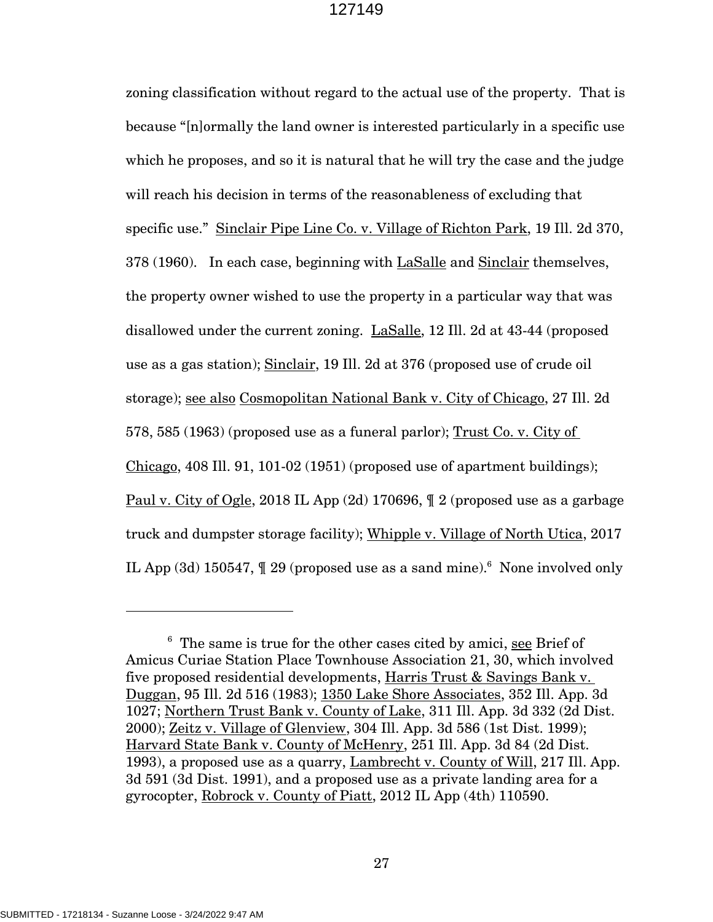zoning classification without regard to the actual use of the property. That is because "[n]ormally the land owner is interested particularly in a specific use which he proposes, and so it is natural that he will try the case and the judge will reach his decision in terms of the reasonableness of excluding that specific use." Sinclair Pipe Line Co. v. Village of Richton Park, 19 Ill. 2d 370, 378 (1960). In each case, beginning with LaSalle and Sinclair themselves, the property owner wished to use the property in a particular way that was disallowed under the current zoning. LaSalle, 12 Ill. 2d at 43-44 (proposed use as a gas station); Sinclair, 19 Ill. 2d at 376 (proposed use of crude oil storage); see also Cosmopolitan National Bank v. City of Chicago, 27 Ill. 2d 578, 585 (1963) (proposed use as a funeral parlor); Trust Co. v. City of Chicago, 408 Ill. 91, 101-02 (1951) (proposed use of apartment buildings); Paul v. City of Ogle, 2018 IL App (2d) 170696, ¶ 2 (proposed use as a garbage truck and dumpster storage facility); Whipple v. Village of North Utica, 2017 IL App (3d) 150547,  $\parallel$  29 (proposed use as a sand mine).<sup>6</sup> None involved only

<sup>&</sup>lt;sup>6</sup> The same is true for the other cases cited by amici, see Brief of Amicus Curiae Station Place Townhouse Association 21, 30, which involved five proposed residential developments, Harris Trust & Savings Bank v. Duggan, 95 Ill. 2d 516 (1983); 1350 Lake Shore Associates, 352 Ill. App. 3d 1027; Northern Trust Bank v. County of Lake, 311 Ill. App. 3d 332 (2d Dist. 2000); Zeitz v. Village of Glenview, 304 Ill. App. 3d 586 (1st Dist. 1999); Harvard State Bank v. County of McHenry, 251 Ill. App. 3d 84 (2d Dist. 1993), a proposed use as a quarry, Lambrecht v. County of Will, 217 Ill. App. 3d 591 (3d Dist. 1991), and a proposed use as a private landing area for a gyrocopter, Robrock v. County of Piatt, 2012 IL App (4th) 110590.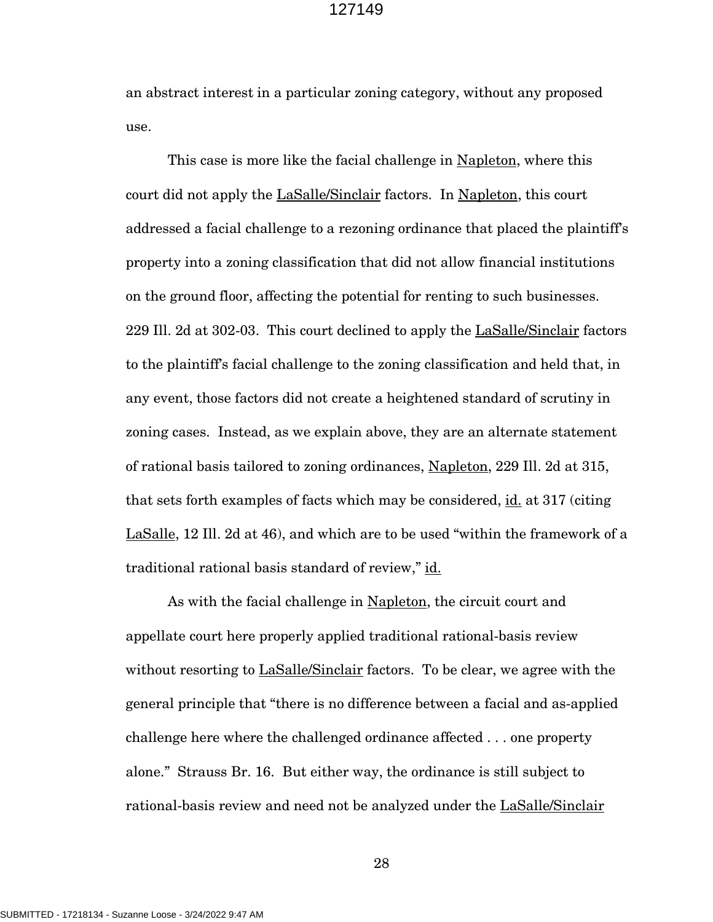an abstract interest in a particular zoning category, without any proposed use.

This case is more like the facial challenge in Napleton, where this court did not apply the LaSalle/Sinclair factors. In Napleton, this court addressed a facial challenge to a rezoning ordinance that placed the plaintiff's property into a zoning classification that did not allow financial institutions on the ground floor, affecting the potential for renting to such businesses. 229 Ill. 2d at 302-03. This court declined to apply the LaSalle/Sinclair factors to the plaintiff's facial challenge to the zoning classification and held that, in any event, those factors did not create a heightened standard of scrutiny in zoning cases. Instead, as we explain above, they are an alternate statement of rational basis tailored to zoning ordinances, Napleton, 229 Ill. 2d at 315, that sets forth examples of facts which may be considered, id. at 317 (citing LaSalle, 12 Ill. 2d at 46), and which are to be used "within the framework of a traditional rational basis standard of review," id.

As with the facial challenge in Napleton, the circuit court and appellate court here properly applied traditional rational-basis review without resorting to **LaSalle/Sinclair** factors. To be clear, we agree with the general principle that "there is no difference between a facial and as-applied challenge here where the challenged ordinance affected . . . one property alone." Strauss Br. 16. But either way, the ordinance is still subject to rational-basis review and need not be analyzed under the LaSalle/Sinclair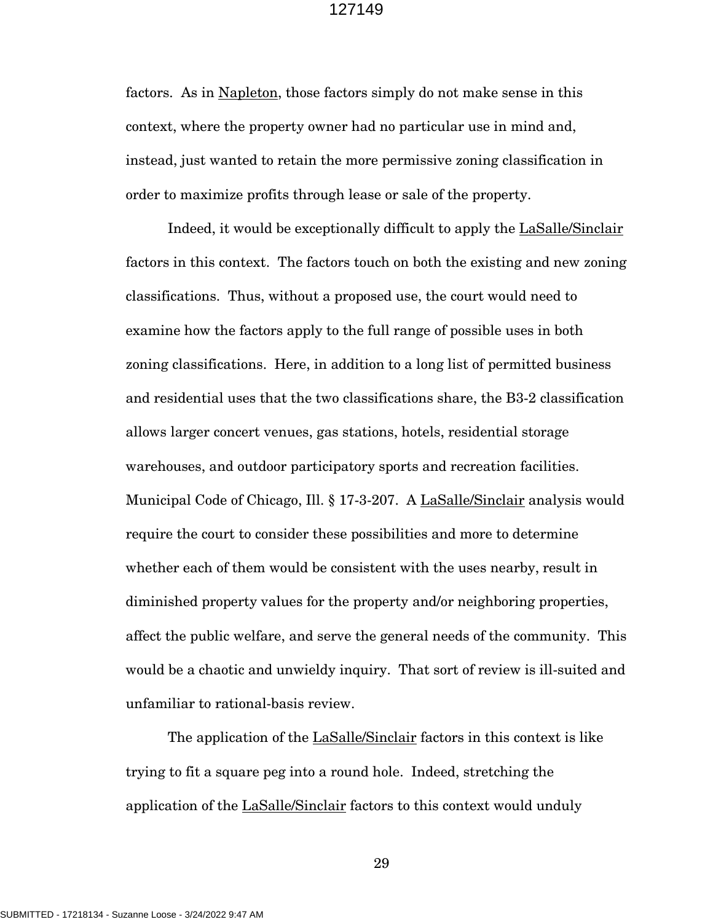factors. As in Napleton, those factors simply do not make sense in this context, where the property owner had no particular use in mind and, instead, just wanted to retain the more permissive zoning classification in order to maximize profits through lease or sale of the property.

Indeed, it would be exceptionally difficult to apply the LaSalle/Sinclair factors in this context. The factors touch on both the existing and new zoning classifications. Thus, without a proposed use, the court would need to examine how the factors apply to the full range of possible uses in both zoning classifications. Here, in addition to a long list of permitted business and residential uses that the two classifications share, the B3-2 classification allows larger concert venues, gas stations, hotels, residential storage warehouses, and outdoor participatory sports and recreation facilities. Municipal Code of Chicago, Ill. § 17-3-207. A LaSalle/Sinclair analysis would require the court to consider these possibilities and more to determine whether each of them would be consistent with the uses nearby, result in diminished property values for the property and/or neighboring properties, affect the public welfare, and serve the general needs of the community. This would be a chaotic and unwieldy inquiry. That sort of review is ill-suited and unfamiliar to rational-basis review.

The application of the LaSalle/Sinclair factors in this context is like trying to fit a square peg into a round hole. Indeed, stretching the application of the LaSalle/Sinclair factors to this context would unduly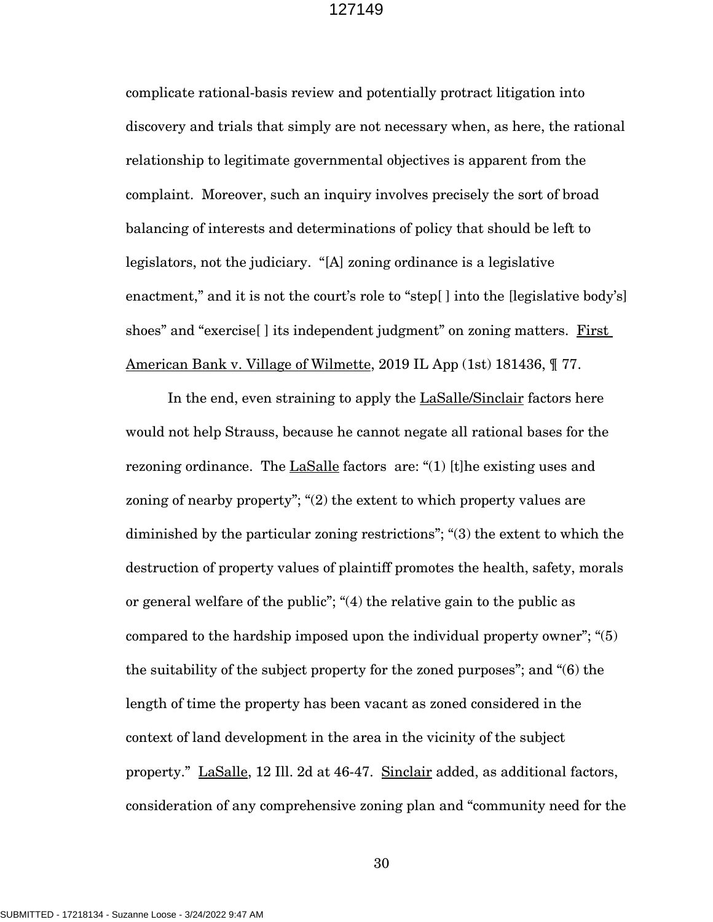complicate rational-basis review and potentially protract litigation into discovery and trials that simply are not necessary when, as here, the rational relationship to legitimate governmental objectives is apparent from the complaint. Moreover, such an inquiry involves precisely the sort of broad balancing of interests and determinations of policy that should be left to legislators, not the judiciary. "[A] zoning ordinance is a legislative enactment," and it is not the court's role to "step[] into the [legislative body's] shoes" and "exercise<sup>[]</sup> its independent judgment" on zoning matters. First American Bank v. Village of Wilmette, 2019 IL App (1st) 181436,  $\parallel$  77.

In the end, even straining to apply the LaSalle/Sinclair factors here would not help Strauss, because he cannot negate all rational bases for the rezoning ordinance. The LaSalle factors are: "(1) [t]he existing uses and zoning of nearby property"; "(2) the extent to which property values are diminished by the particular zoning restrictions"; "(3) the extent to which the destruction of property values of plaintiff promotes the health, safety, morals or general welfare of the public"; "(4) the relative gain to the public as compared to the hardship imposed upon the individual property owner"; "(5) the suitability of the subject property for the zoned purposes"; and "(6) the length of time the property has been vacant as zoned considered in the context of land development in the area in the vicinity of the subject property." LaSalle, 12 Ill. 2d at 46-47. Sinclair added, as additional factors, consideration of any comprehensive zoning plan and "community need for the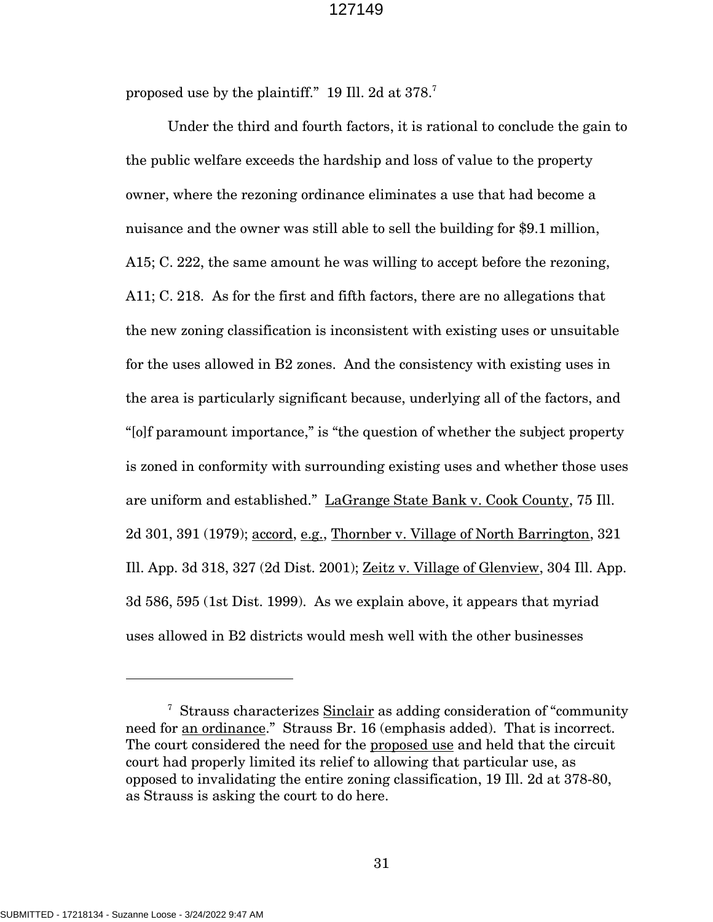proposed use by the plaintiff." 19 Ill. 2d at 378. 7

Under the third and fourth factors, it is rational to conclude the gain to the public welfare exceeds the hardship and loss of value to the property owner, where the rezoning ordinance eliminates a use that had become a nuisance and the owner was still able to sell the building for \$9.1 million, A15; C. 222, the same amount he was willing to accept before the rezoning, A11; C. 218. As for the first and fifth factors, there are no allegations that the new zoning classification is inconsistent with existing uses or unsuitable for the uses allowed in B2 zones. And the consistency with existing uses in the area is particularly significant because, underlying all of the factors, and "[o]f paramount importance," is "the question of whether the subject property is zoned in conformity with surrounding existing uses and whether those uses are uniform and established." LaGrange State Bank v. Cook County, 75 Ill. 2d 301, 391 (1979); accord, e.g., Thornber v. Village of North Barrington, 321 Ill. App. 3d 318, 327 (2d Dist. 2001); Zeitz v. Village of Glenview, 304 Ill. App. 3d 586, 595 (1st Dist. 1999). As we explain above, it appears that myriad uses allowed in B2 districts would mesh well with the other businesses

<sup>&</sup>lt;sup>7</sup> Strauss characterizes Sinclair as adding consideration of "community" need for an ordinance." Strauss Br. 16 (emphasis added). That is incorrect. The court considered the need for the proposed use and held that the circuit court had properly limited its relief to allowing that particular use, as opposed to invalidating the entire zoning classification, 19 Ill. 2d at 378-80, as Strauss is asking the court to do here.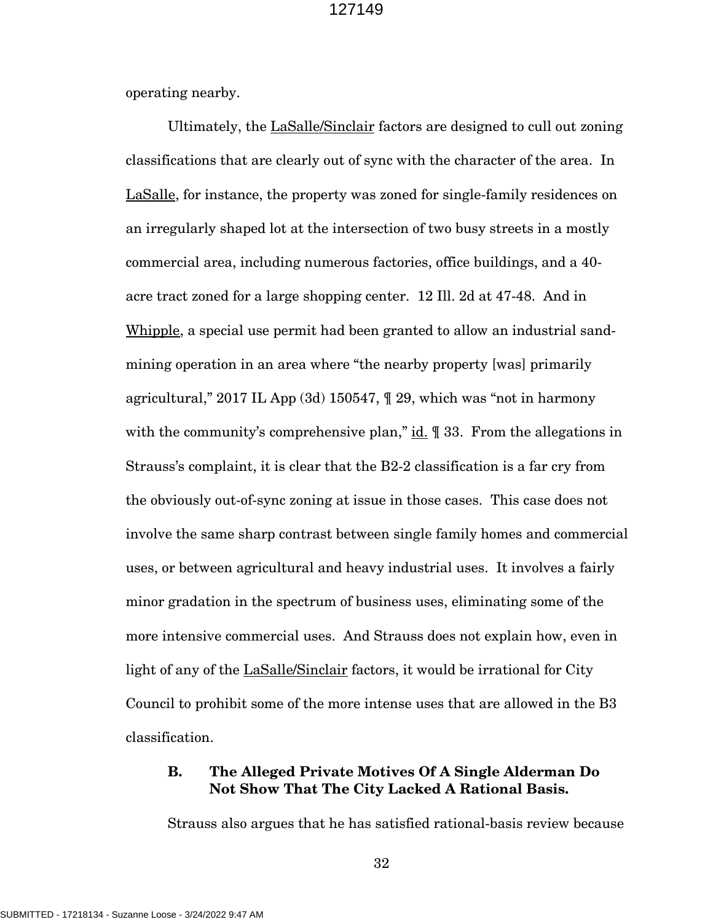operating nearby.

Ultimately, the LaSalle/Sinclair factors are designed to cull out zoning classifications that are clearly out of sync with the character of the area. In LaSalle, for instance, the property was zoned for single-family residences on an irregularly shaped lot at the intersection of two busy streets in a mostly commercial area, including numerous factories, office buildings, and a 40 acre tract zoned for a large shopping center. 12 Ill. 2d at 47-48. And in Whipple, a special use permit had been granted to allow an industrial sandmining operation in an area where "the nearby property [was] primarily agricultural," 2017 IL App (3d) 150547, ¶ 29, which was "not in harmony with the community's comprehensive plan," id.  $\parallel$  33. From the allegations in Strauss's complaint, it is clear that the B2-2 classification is a far cry from the obviously out-of-sync zoning at issue in those cases. This case does not involve the same sharp contrast between single family homes and commercial uses, or between agricultural and heavy industrial uses. It involves a fairly minor gradation in the spectrum of business uses, eliminating some of the more intensive commercial uses. And Strauss does not explain how, even in light of any of the LaSalle/Sinclair factors, it would be irrational for City Council to prohibit some of the more intense uses that are allowed in the B3 classification.

## **B. The Alleged Private Motives Of A Single Alderman Do Not Show That The City Lacked A Rational Basis.**

Strauss also argues that he has satisfied rational-basis review because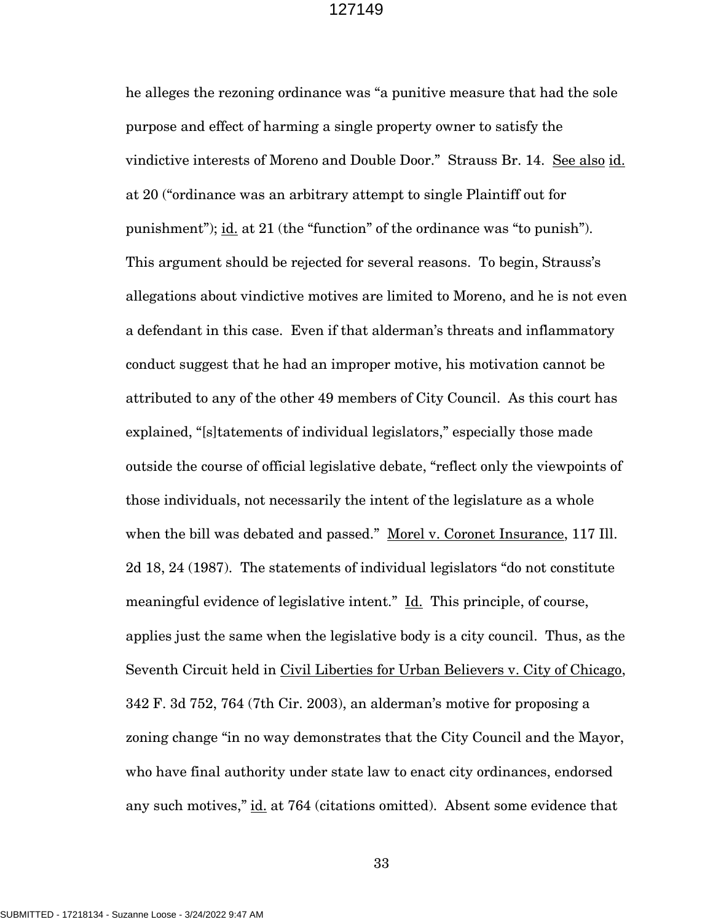he alleges the rezoning ordinance was "a punitive measure that had the sole purpose and effect of harming a single property owner to satisfy the vindictive interests of Moreno and Double Door." Strauss Br. 14. See also id. at 20 ("ordinance was an arbitrary attempt to single Plaintiff out for punishment"); <u>id.</u> at 21 (the "function" of the ordinance was "to punish"). This argument should be rejected for several reasons. To begin, Strauss's allegations about vindictive motives are limited to Moreno, and he is not even a defendant in this case. Even if that alderman's threats and inflammatory conduct suggest that he had an improper motive, his motivation cannot be attributed to any of the other 49 members of City Council. As this court has explained, "[s]tatements of individual legislators," especially those made outside the course of official legislative debate, "reflect only the viewpoints of those individuals, not necessarily the intent of the legislature as a whole when the bill was debated and passed." Morel v. Coronet Insurance, 117 Ill. 2d 18, 24 (1987). The statements of individual legislators "do not constitute meaningful evidence of legislative intent." Id. This principle, of course, applies just the same when the legislative body is a city council. Thus, as the Seventh Circuit held in Civil Liberties for Urban Believers v. City of Chicago, 342 F. 3d 752, 764 (7th Cir. 2003), an alderman's motive for proposing a zoning change "in no way demonstrates that the City Council and the Mayor, who have final authority under state law to enact city ordinances, endorsed any such motives," id. at 764 (citations omitted). Absent some evidence that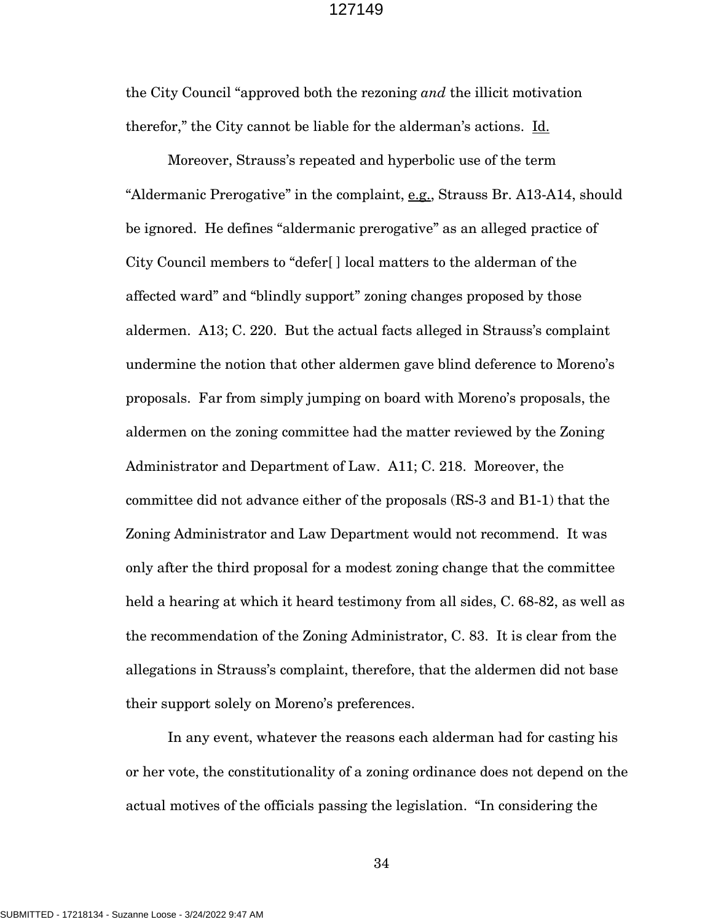the City Council "approved both the rezoning *and* the illicit motivation therefor," the City cannot be liable for the alderman's actions. Id.

Moreover, Strauss's repeated and hyperbolic use of the term "Aldermanic Prerogative" in the complaint, e.g., Strauss Br. A13-A14, should be ignored. He defines "aldermanic prerogative" as an alleged practice of City Council members to "defer[ ] local matters to the alderman of the affected ward" and "blindly support" zoning changes proposed by those aldermen. A13; C. 220. But the actual facts alleged in Strauss's complaint undermine the notion that other aldermen gave blind deference to Moreno's proposals. Far from simply jumping on board with Moreno's proposals, the aldermen on the zoning committee had the matter reviewed by the Zoning Administrator and Department of Law. A11; C. 218. Moreover, the committee did not advance either of the proposals (RS-3 and B1-1) that the Zoning Administrator and Law Department would not recommend. It was only after the third proposal for a modest zoning change that the committee held a hearing at which it heard testimony from all sides, C. 68-82, as well as the recommendation of the Zoning Administrator, C. 83. It is clear from the allegations in Strauss's complaint, therefore, that the aldermen did not base their support solely on Moreno's preferences.

In any event, whatever the reasons each alderman had for casting his or her vote, the constitutionality of a zoning ordinance does not depend on the actual motives of the officials passing the legislation. "In considering the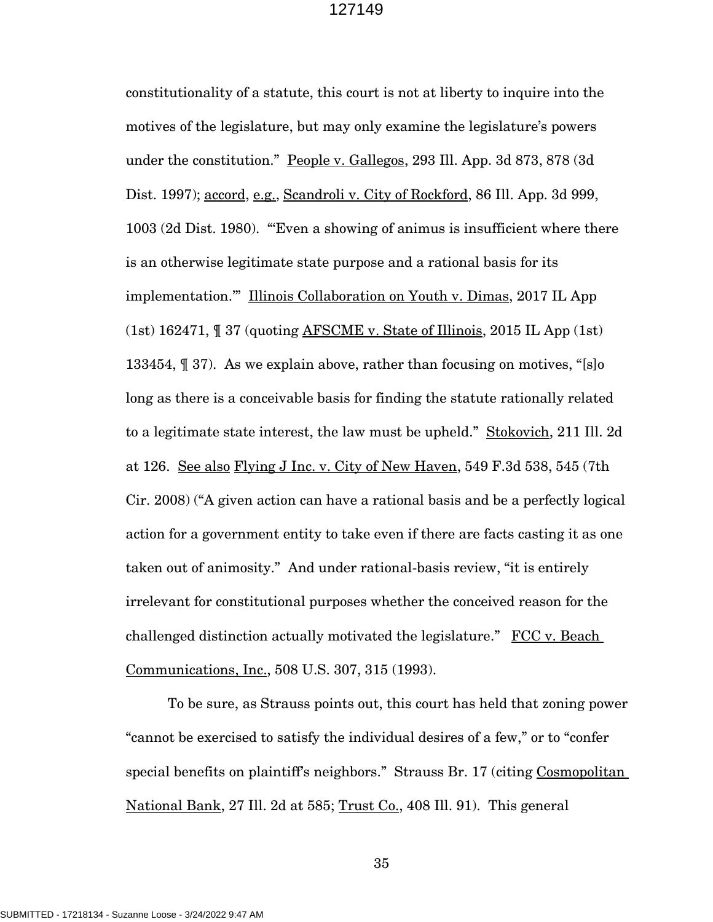constitutionality of a statute, this court is not at liberty to inquire into the motives of the legislature, but may only examine the legislature's powers under the constitution." People v. Gallegos, 293 Ill. App. 3d 873, 878 (3d Dist. 1997); accord, e.g., Scandroli v. City of Rockford, 86 Ill. App. 3d 999, 1003 (2d Dist. 1980). "'Even a showing of animus is insufficient where there is an otherwise legitimate state purpose and a rational basis for its implementation.'" Illinois Collaboration on Youth v. Dimas, 2017 IL App (1st)  $162471$ ,  $\text{T}$  37 (quoting AFSCME v. State of Illinois, 2015 IL App (1st) 133454, ¶ 37). As we explain above, rather than focusing on motives, "[s]o long as there is a conceivable basis for finding the statute rationally related to a legitimate state interest, the law must be upheld." Stokovich, 211 Ill. 2d at 126. See also Flying J Inc. v. City of New Haven, 549 F.3d 538, 545 (7th Cir. 2008) ("A given action can have a rational basis and be a perfectly logical action for a government entity to take even if there are facts casting it as one taken out of animosity." And under rational-basis review, "it is entirely irrelevant for constitutional purposes whether the conceived reason for the challenged distinction actually motivated the legislature." FCC v. Beach Communications, Inc., 508 U.S. 307, 315 (1993).

To be sure, as Strauss points out, this court has held that zoning power "cannot be exercised to satisfy the individual desires of a few," or to "confer special benefits on plaintiff's neighbors." Strauss Br. 17 (citing Cosmopolitan National Bank, 27 Ill. 2d at 585; Trust Co., 408 Ill. 91). This general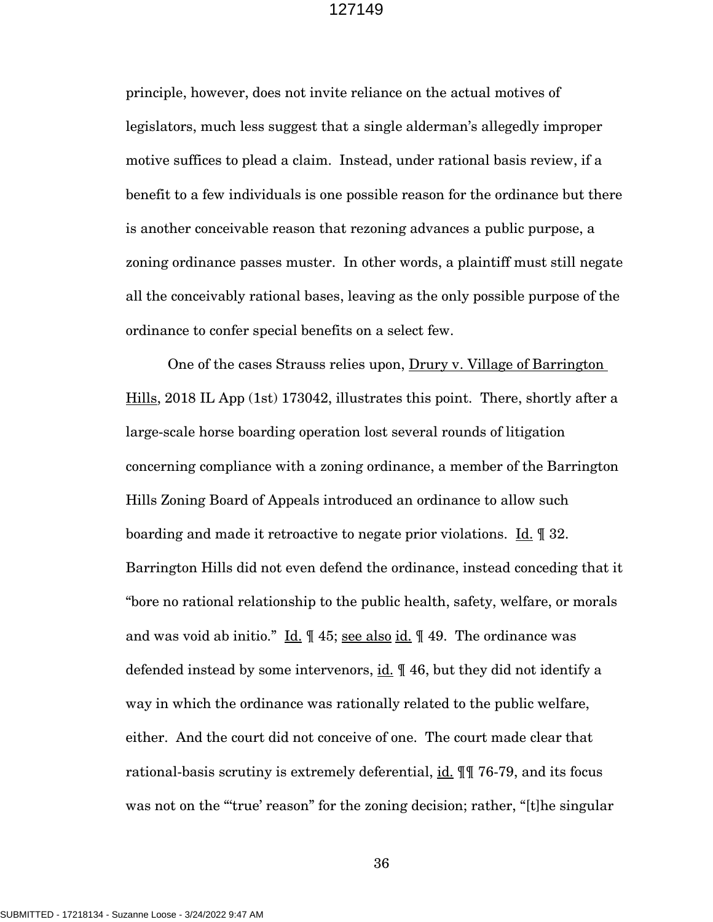principle, however, does not invite reliance on the actual motives of legislators, much less suggest that a single alderman's allegedly improper motive suffices to plead a claim. Instead, under rational basis review, if a benefit to a few individuals is one possible reason for the ordinance but there is another conceivable reason that rezoning advances a public purpose, a zoning ordinance passes muster. In other words, a plaintiff must still negate all the conceivably rational bases, leaving as the only possible purpose of the ordinance to confer special benefits on a select few.

One of the cases Strauss relies upon, Drury v. Village of Barrington Hills, 2018 IL App (1st) 173042, illustrates this point. There, shortly after a large-scale horse boarding operation lost several rounds of litigation concerning compliance with a zoning ordinance, a member of the Barrington Hills Zoning Board of Appeals introduced an ordinance to allow such boarding and made it retroactive to negate prior violations. Id. ¶ 32. Barrington Hills did not even defend the ordinance, instead conceding that it "bore no rational relationship to the public health, safety, welfare, or morals and was void ab initio." Id. ¶ 45; see also id. ¶ 49. The ordinance was defended instead by some intervenors, id.  $\parallel$  46, but they did not identify a way in which the ordinance was rationally related to the public welfare, either. And the court did not conceive of one. The court made clear that rational-basis scrutiny is extremely deferential, id. ¶¶ 76-79, and its focus was not on the "'true' reason" for the zoning decision; rather, "[t]he singular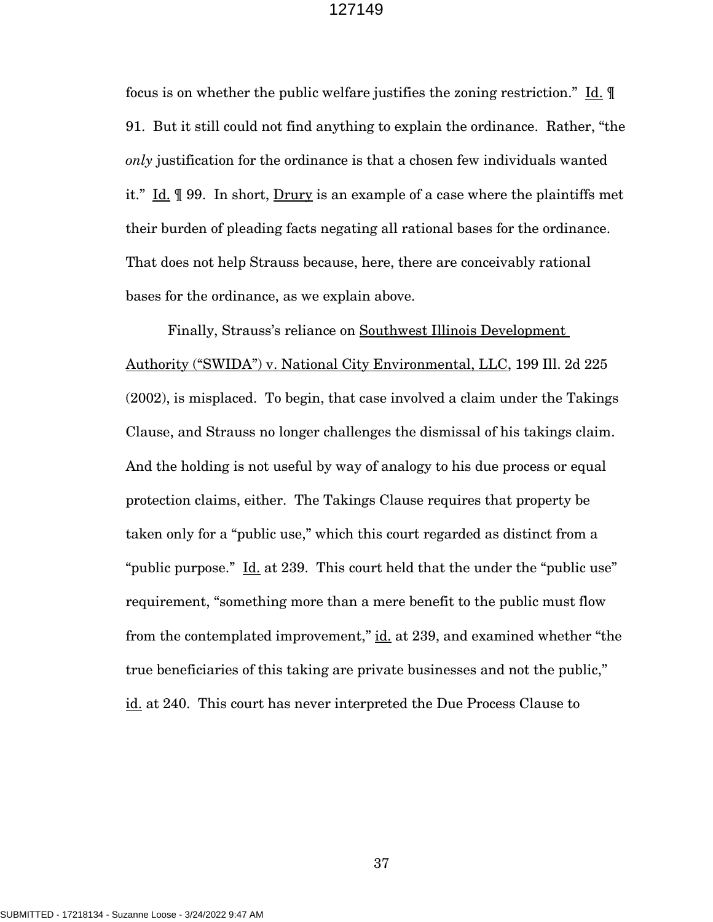focus is on whether the public welfare justifies the zoning restriction." Id. ¶ 91. But it still could not find anything to explain the ordinance. Rather, "the *only* justification for the ordinance is that a chosen few individuals wanted it." Id. || 99. In short, Drury is an example of a case where the plaintiffs met their burden of pleading facts negating all rational bases for the ordinance. That does not help Strauss because, here, there are conceivably rational bases for the ordinance, as we explain above.

Finally, Strauss's reliance on Southwest Illinois Development Authority ("SWIDA") v. National City Environmental, LLC, 199 Ill. 2d 225 (2002), is misplaced. To begin, that case involved a claim under the Takings Clause, and Strauss no longer challenges the dismissal of his takings claim. And the holding is not useful by way of analogy to his due process or equal protection claims, either. The Takings Clause requires that property be taken only for a "public use," which this court regarded as distinct from a "public purpose." Id. at 239. This court held that the under the "public use" requirement, "something more than a mere benefit to the public must flow from the contemplated improvement," id. at 239, and examined whether "the true beneficiaries of this taking are private businesses and not the public," id. at 240. This court has never interpreted the Due Process Clause to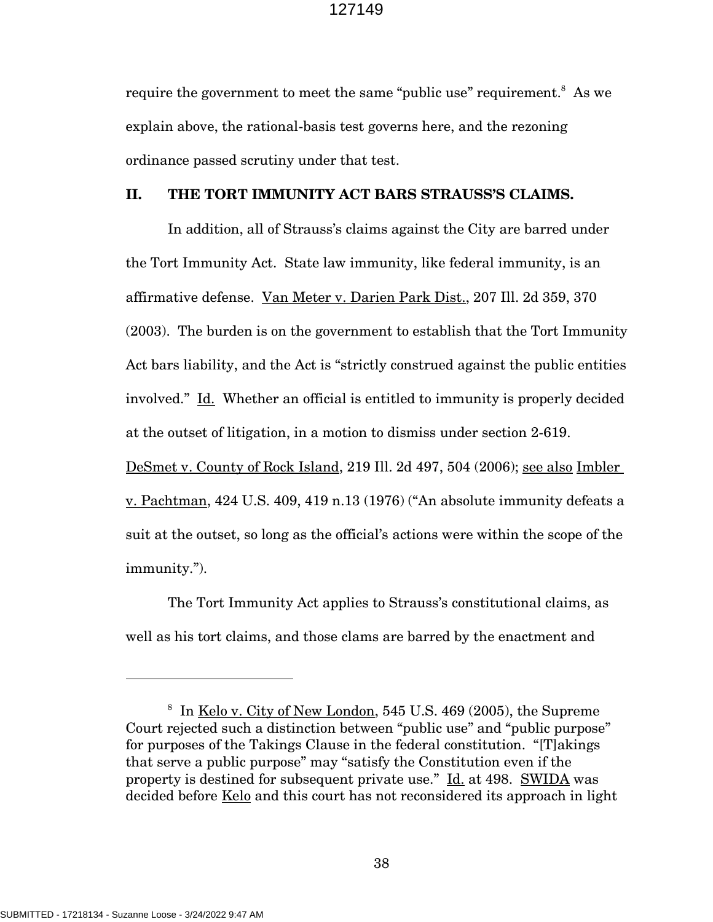require the government to meet the same "public use" requirement.<sup>8</sup> As we explain above, the rational-basis test governs here, and the rezoning ordinance passed scrutiny under that test.

#### **II. THE TORT IMMUNITY ACT BARS STRAUSS'S CLAIMS.**

In addition, all of Strauss's claims against the City are barred under the Tort Immunity Act. State law immunity, like federal immunity, is an affirmative defense. Van Meter v. Darien Park Dist., 207 Ill. 2d 359, 370 (2003). The burden is on the government to establish that the Tort Immunity Act bars liability, and the Act is "strictly construed against the public entities involved." Id. Whether an official is entitled to immunity is properly decided at the outset of litigation, in a motion to dismiss under section 2-619.

DeSmet v. County of Rock Island, 219 Ill. 2d 497, 504 (2006); see also Imbler v. Pachtman, 424 U.S. 409, 419 n.13 (1976) ("An absolute immunity defeats a suit at the outset, so long as the official's actions were within the scope of the immunity.").

The Tort Immunity Act applies to Strauss's constitutional claims, as well as his tort claims, and those clams are barred by the enactment and

<sup>&</sup>lt;sup>8</sup> In Kelo v. City of New London, 545 U.S. 469 (2005), the Supreme Court rejected such a distinction between "public use" and "public purpose" for purposes of the Takings Clause in the federal constitution. "[T]akings that serve a public purpose" may "satisfy the Constitution even if the property is destined for subsequent private use." Id. at 498. SWIDA was decided before Kelo and this court has not reconsidered its approach in light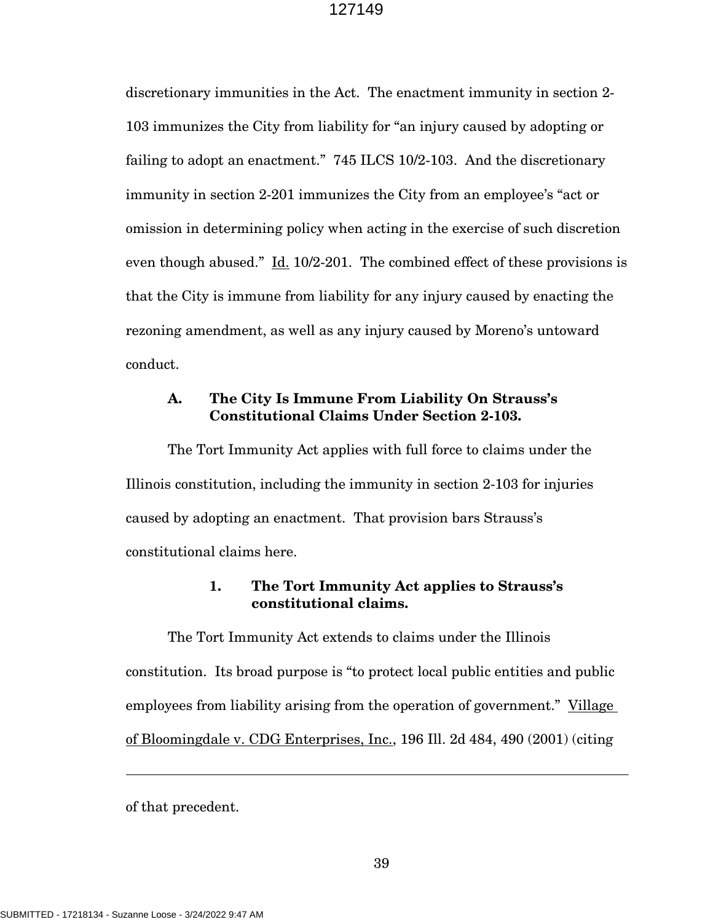discretionary immunities in the Act. The enactment immunity in section 2- 103 immunizes the City from liability for "an injury caused by adopting or failing to adopt an enactment." 745 ILCS 10/2-103. And the discretionary immunity in section 2-201 immunizes the City from an employee's "act or omission in determining policy when acting in the exercise of such discretion even though abused."  $\underline{Id}$ . 10/2-201. The combined effect of these provisions is that the City is immune from liability for any injury caused by enacting the rezoning amendment, as well as any injury caused by Moreno's untoward conduct.

## **A. The City Is Immune From Liability On Strauss's Constitutional Claims Under Section 2-103.**

The Tort Immunity Act applies with full force to claims under the Illinois constitution, including the immunity in section 2-103 for injuries caused by adopting an enactment. That provision bars Strauss's constitutional claims here.

## **1. The Tort Immunity Act applies to Strauss's constitutional claims.**

The Tort Immunity Act extends to claims under the Illinois constitution. Its broad purpose is "to protect local public entities and public employees from liability arising from the operation of government." Village of Bloomingdale v. CDG Enterprises, Inc., 196 Ill. 2d 484, 490 (2001) (citing

of that precedent.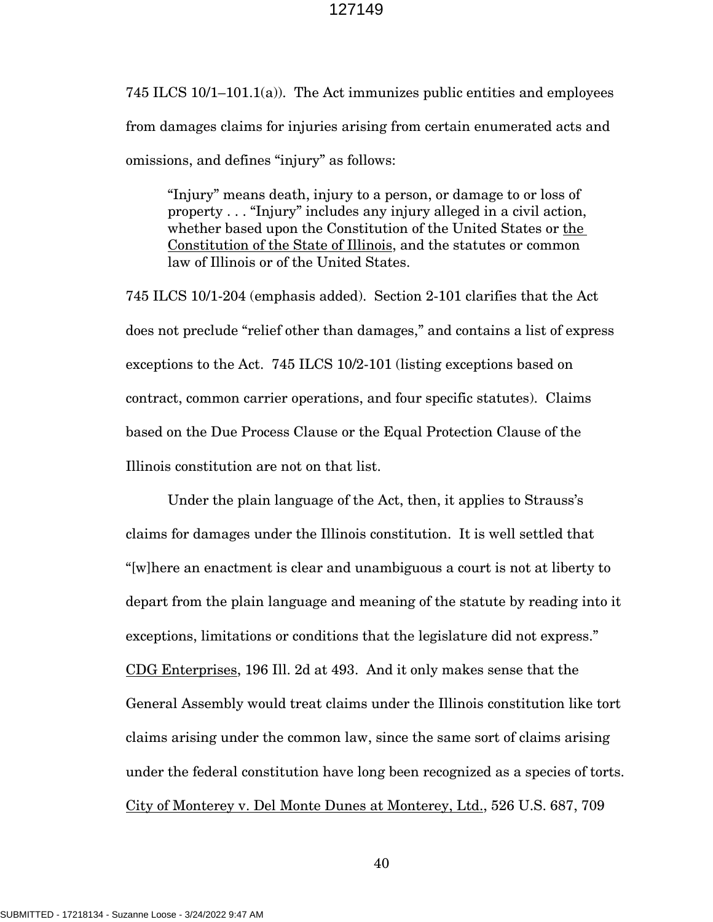745 ILCS 10/1–101.1(a)). The Act immunizes public entities and employees from damages claims for injuries arising from certain enumerated acts and omissions, and defines "injury" as follows:

"Injury" means death, injury to a person, or damage to or loss of property . . . "Injury" includes any injury alleged in a civil action, whether based upon the Constitution of the United States or the Constitution of the State of Illinois, and the statutes or common law of Illinois or of the United States.

745 ILCS 10/1-204 (emphasis added). Section 2-101 clarifies that the Act does not preclude "relief other than damages," and contains a list of express exceptions to the Act. 745 ILCS 10/2-101 (listing exceptions based on contract, common carrier operations, and four specific statutes). Claims based on the Due Process Clause or the Equal Protection Clause of the Illinois constitution are not on that list.

Under the plain language of the Act, then, it applies to Strauss's claims for damages under the Illinois constitution. It is well settled that "[w]here an enactment is clear and unambiguous a court is not at liberty to depart from the plain language and meaning of the statute by reading into it exceptions, limitations or conditions that the legislature did not express." CDG Enterprises, 196 Ill. 2d at 493. And it only makes sense that the General Assembly would treat claims under the Illinois constitution like tort claims arising under the common law, since the same sort of claims arising under the federal constitution have long been recognized as a species of torts. City of Monterey v. Del Monte Dunes at Monterey, Ltd., 526 U.S. 687, 709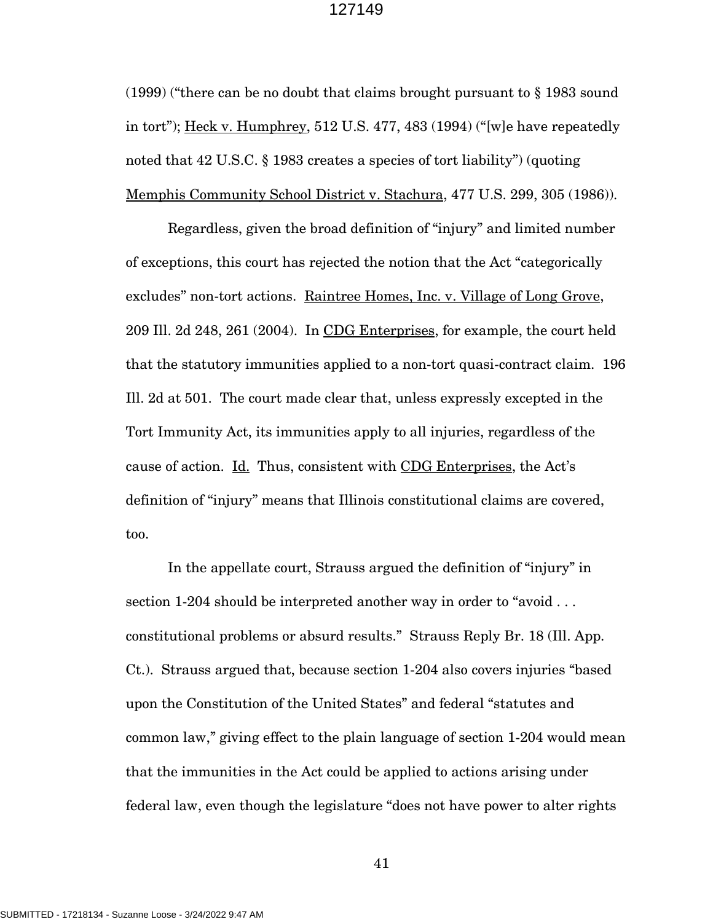(1999) ("there can be no doubt that claims brought pursuant to § 1983 sound in tort"); Heck v. Humphrey, 512 U.S. 477, 483 (1994) ("[w]e have repeatedly noted that 42 U.S.C. § 1983 creates a species of tort liability") (quoting Memphis Community School District v. Stachura, 477 U.S. 299, 305 (1986)).

Regardless, given the broad definition of "injury" and limited number of exceptions, this court has rejected the notion that the Act "categorically excludes" non-tort actions. Raintree Homes, Inc. v. Village of Long Grove, 209 Ill. 2d 248, 261 (2004). In CDG Enterprises, for example, the court held that the statutory immunities applied to a non-tort quasi-contract claim. 196 Ill. 2d at 501. The court made clear that, unless expressly excepted in the Tort Immunity Act, its immunities apply to all injuries, regardless of the cause of action. Id. Thus, consistent with CDG Enterprises, the Act's definition of "injury" means that Illinois constitutional claims are covered, too.

In the appellate court, Strauss argued the definition of "injury" in section 1-204 should be interpreted another way in order to "avoid . . . constitutional problems or absurd results." Strauss Reply Br. 18 (Ill. App. Ct.). Strauss argued that, because section 1-204 also covers injuries "based upon the Constitution of the United States" and federal "statutes and common law," giving effect to the plain language of section 1-204 would mean that the immunities in the Act could be applied to actions arising under federal law, even though the legislature "does not have power to alter rights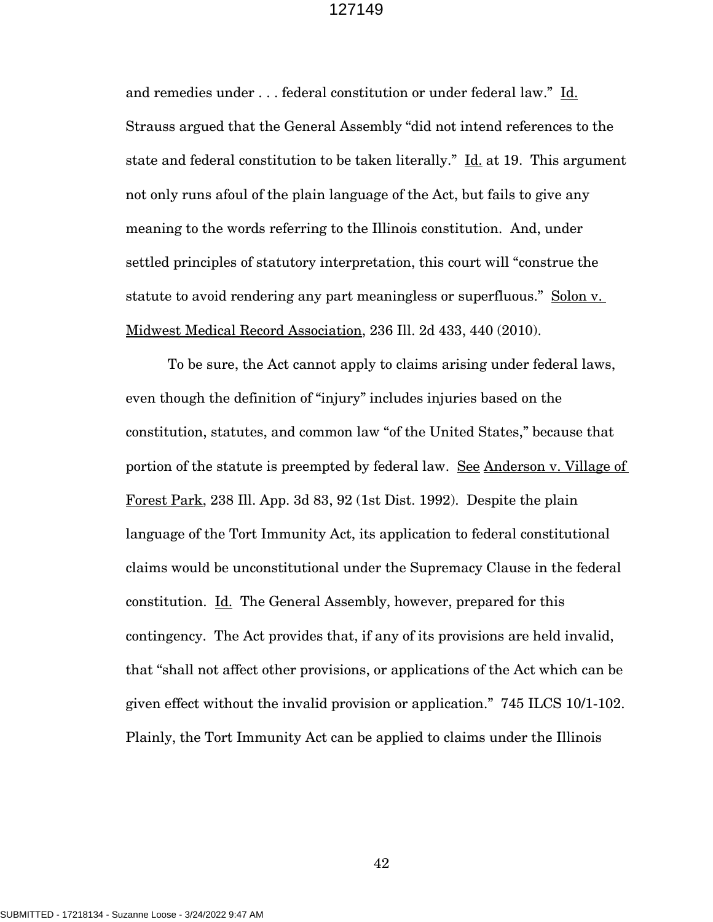and remedies under . . . federal constitution or under federal law." Id. Strauss argued that the General Assembly "did not intend references to the state and federal constitution to be taken literally." Id. at 19. This argument not only runs afoul of the plain language of the Act, but fails to give any meaning to the words referring to the Illinois constitution. And, under settled principles of statutory interpretation, this court will "construe the statute to avoid rendering any part meaningless or superfluous." Solon v. Midwest Medical Record Association, 236 Ill. 2d 433, 440 (2010).

To be sure, the Act cannot apply to claims arising under federal laws, even though the definition of "injury" includes injuries based on the constitution, statutes, and common law "of the United States," because that portion of the statute is preempted by federal law. See Anderson v. Village of Forest Park, 238 Ill. App. 3d 83, 92 (1st Dist. 1992). Despite the plain language of the Tort Immunity Act, its application to federal constitutional claims would be unconstitutional under the Supremacy Clause in the federal constitution. Id. The General Assembly, however, prepared for this contingency. The Act provides that, if any of its provisions are held invalid, that "shall not affect other provisions, or applications of the Act which can be given effect without the invalid provision or application." 745 ILCS 10/1-102. Plainly, the Tort Immunity Act can be applied to claims under the Illinois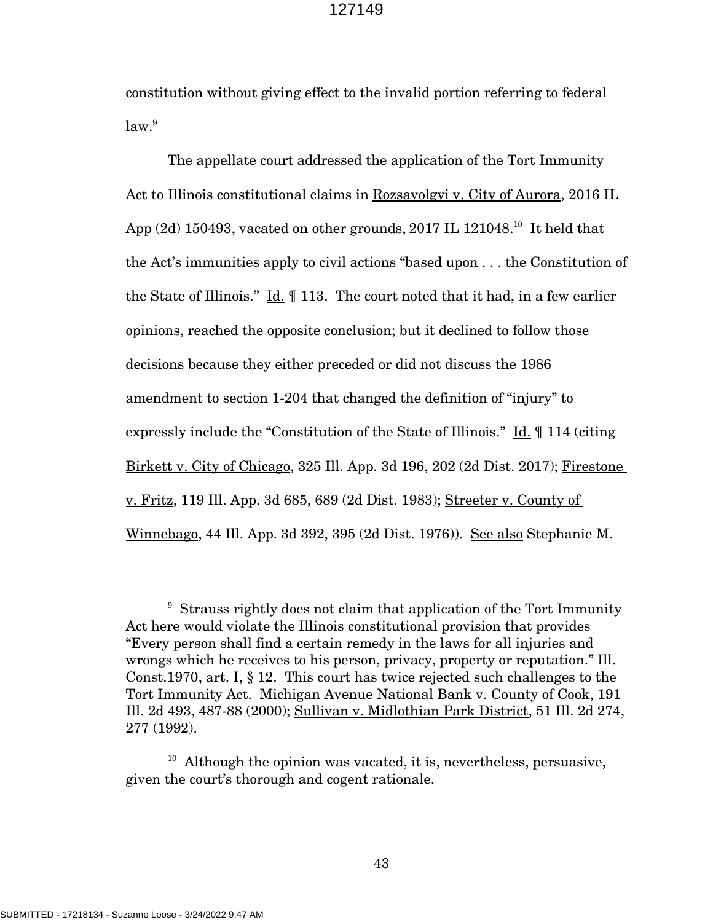constitution without giving effect to the invalid portion referring to federal law. 9

The appellate court addressed the application of the Tort Immunity Act to Illinois constitutional claims in Rozsavolgyi v. City of Aurora, 2016 IL App  $(2d)$  150493, vacated on other grounds, 2017 IL 121048.<sup>10</sup> It held that the Act's immunities apply to civil actions "based upon . . . the Constitution of the State of Illinois." Id. ¶ 113. The court noted that it had, in a few earlier opinions, reached the opposite conclusion; but it declined to follow those decisions because they either preceded or did not discuss the 1986 amendment to section 1-204 that changed the definition of "injury" to expressly include the "Constitution of the State of Illinois." Id. ¶ 114 (citing Birkett v. City of Chicago, 325 Ill. App. 3d 196, 202 (2d Dist. 2017); Firestone v. Fritz, 119 Ill. App. 3d 685, 689 (2d Dist. 1983); Streeter v. County of Winnebago, 44 Ill. App. 3d 392, 395 (2d Dist. 1976)). See also Stephanie M.

<sup>&</sup>lt;sup>9</sup> Strauss rightly does not claim that application of the Tort Immunity Act here would violate the Illinois constitutional provision that provides "Every person shall find a certain remedy in the laws for all injuries and wrongs which he receives to his person, privacy, property or reputation." Ill. Const.1970, art. I, § 12. This court has twice rejected such challenges to the Tort Immunity Act. Michigan Avenue National Bank v. County of Cook, 191 Ill. 2d 493, 487-88 (2000); Sullivan v. Midlothian Park District, 51 Ill. 2d 274, 277 (1992).

<sup>&</sup>lt;sup>10</sup> Although the opinion was vacated, it is, nevertheless, persuasive, given the court's thorough and cogent rationale.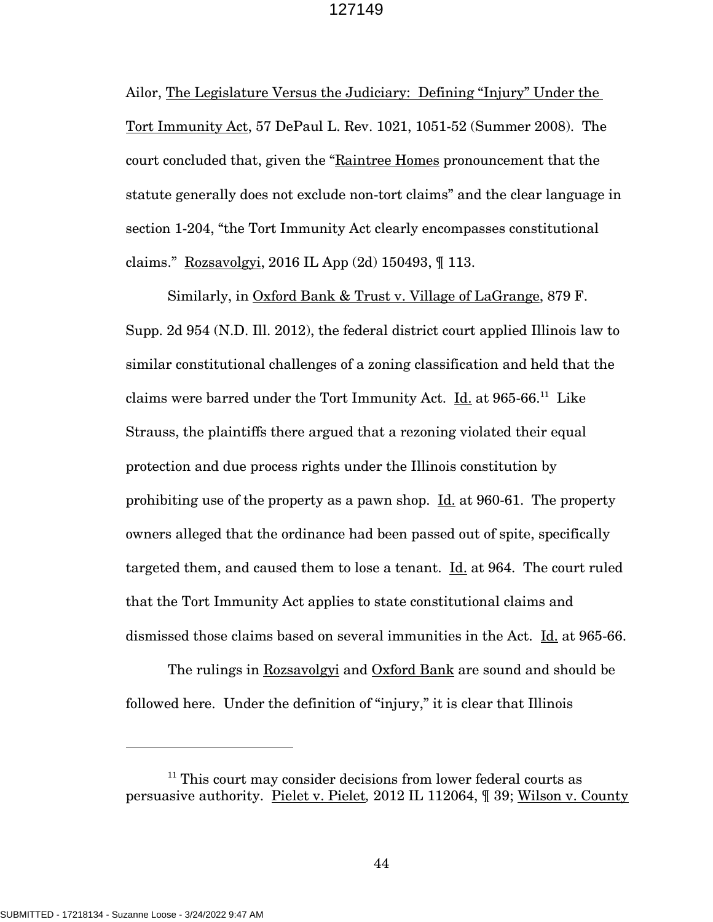Ailor, The Legislature Versus the Judiciary: Defining "Injury" Under the Tort Immunity Act, 57 DePaul L. Rev. 1021, 1051-52 (Summer 2008). The court concluded that, given the "Raintree Homes pronouncement that the statute generally does not exclude non-tort claims" and the clear language in section 1-204, "the Tort Immunity Act clearly encompasses constitutional claims." Rozsavolgyi, 2016 IL App (2d) 150493, ¶ 113.

Similarly, in Oxford Bank & Trust v. Village of LaGrange, 879 F. Supp. 2d 954 (N.D. Ill. 2012), the federal district court applied Illinois law to similar constitutional challenges of a zoning classification and held that the claims were barred under the Tort Immunity Act. Id. at 965-66.<sup>11</sup> Like Strauss, the plaintiffs there argued that a rezoning violated their equal protection and due process rights under the Illinois constitution by prohibiting use of the property as a pawn shop. Id. at 960-61. The property owners alleged that the ordinance had been passed out of spite, specifically targeted them, and caused them to lose a tenant. Id. at 964. The court ruled that the Tort Immunity Act applies to state constitutional claims and dismissed those claims based on several immunities in the Act. Id. at 965-66.

The rulings in Rozsavolgyi and Oxford Bank are sound and should be followed here. Under the definition of "injury," it is clear that Illinois

 $11$  This court may consider decisions from lower federal courts as persuasive authority. Pielet v. Pielet*,* 2012 IL 112064, ¶ 39; Wilson v. County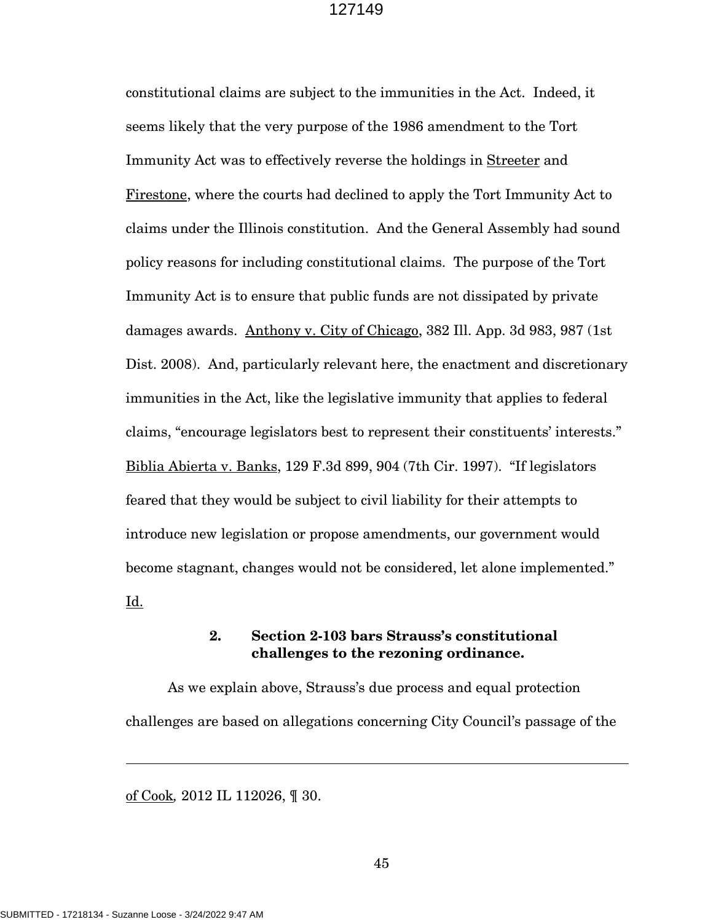constitutional claims are subject to the immunities in the Act. Indeed, it seems likely that the very purpose of the 1986 amendment to the Tort Immunity Act was to effectively reverse the holdings in Streeter and Firestone, where the courts had declined to apply the Tort Immunity Act to claims under the Illinois constitution. And the General Assembly had sound policy reasons for including constitutional claims. The purpose of the Tort Immunity Act is to ensure that public funds are not dissipated by private damages awards. Anthony v. City of Chicago, 382 Ill. App. 3d 983, 987 (1st Dist. 2008). And, particularly relevant here, the enactment and discretionary immunities in the Act, like the legislative immunity that applies to federal claims, "encourage legislators best to represent their constituents' interests." Biblia Abierta v. Banks, 129 F.3d 899, 904 (7th Cir. 1997). "If legislators feared that they would be subject to civil liability for their attempts to introduce new legislation or propose amendments, our government would become stagnant, changes would not be considered, let alone implemented." Id.

## **2. Section 2-103 bars Strauss's constitutional challenges to the rezoning ordinance.**

As we explain above, Strauss's due process and equal protection challenges are based on allegations concerning City Council's passage of the

of Cook*,* 2012 IL 112026, ¶ 30.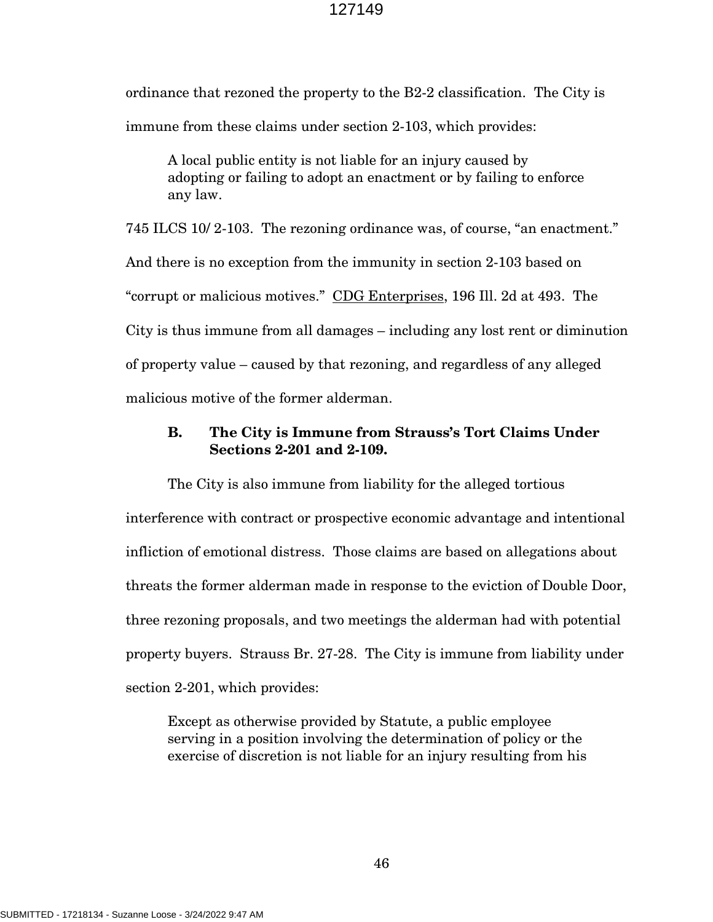ordinance that rezoned the property to the B2-2 classification. The City is immune from these claims under section 2-103, which provides:

A local public entity is not liable for an injury caused by adopting or failing to adopt an enactment or by failing to enforce any law.

745 ILCS 10/ 2-103. The rezoning ordinance was, of course, "an enactment." And there is no exception from the immunity in section 2-103 based on "corrupt or malicious motives." CDG Enterprises, 196 Ill. 2d at 493. The City is thus immune from all damages – including any lost rent or diminution of property value – caused by that rezoning, and regardless of any alleged malicious motive of the former alderman.

## **B. The City is Immune from Strauss's Tort Claims Under Sections 2-201 and 2-109.**

The City is also immune from liability for the alleged tortious interference with contract or prospective economic advantage and intentional infliction of emotional distress. Those claims are based on allegations about threats the former alderman made in response to the eviction of Double Door, three rezoning proposals, and two meetings the alderman had with potential property buyers. Strauss Br. 27-28. The City is immune from liability under section 2-201, which provides:

Except as otherwise provided by Statute, a public employee serving in a position involving the determination of policy or the exercise of discretion is not liable for an injury resulting from his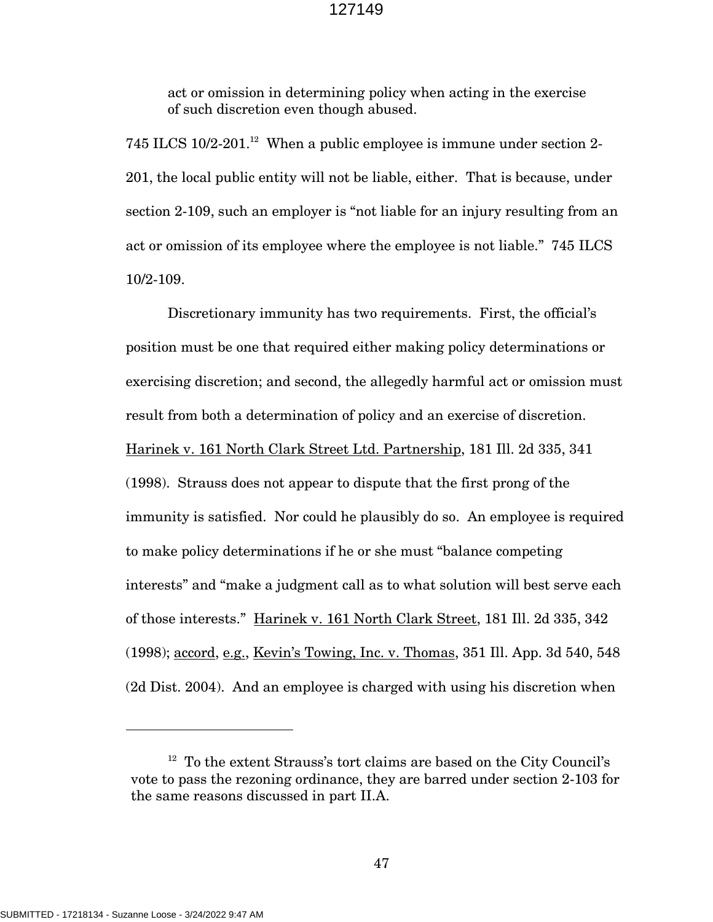act or omission in determining policy when acting in the exercise of such discretion even though abused.

745 ILCS  $10/2$ -201.<sup>12</sup> When a public employee is immune under section 2-201, the local public entity will not be liable, either. That is because, under section 2-109, such an employer is "not liable for an injury resulting from an act or omission of its employee where the employee is not liable." 745 ILCS 10/2-109.

Discretionary immunity has two requirements. First, the official's position must be one that required either making policy determinations or exercising discretion; and second, the allegedly harmful act or omission must result from both a determination of policy and an exercise of discretion. Harinek v. 161 North Clark Street Ltd. Partnership, 181 Ill. 2d 335, 341 (1998). Strauss does not appear to dispute that the first prong of the immunity is satisfied. Nor could he plausibly do so. An employee is required to make policy determinations if he or she must "balance competing interests" and "make a judgment call as to what solution will best serve each of those interests." Harinek v. 161 North Clark Street, 181 Ill. 2d 335, 342 (1998); accord, e.g., Kevin's Towing, Inc. v. Thomas, 351 Ill. App. 3d 540, 548 (2d Dist. 2004). And an employee is charged with using his discretion when

<sup>&</sup>lt;sup>12</sup> To the extent Strauss's tort claims are based on the City Council's vote to pass the rezoning ordinance, they are barred under section 2-103 for the same reasons discussed in part II.A.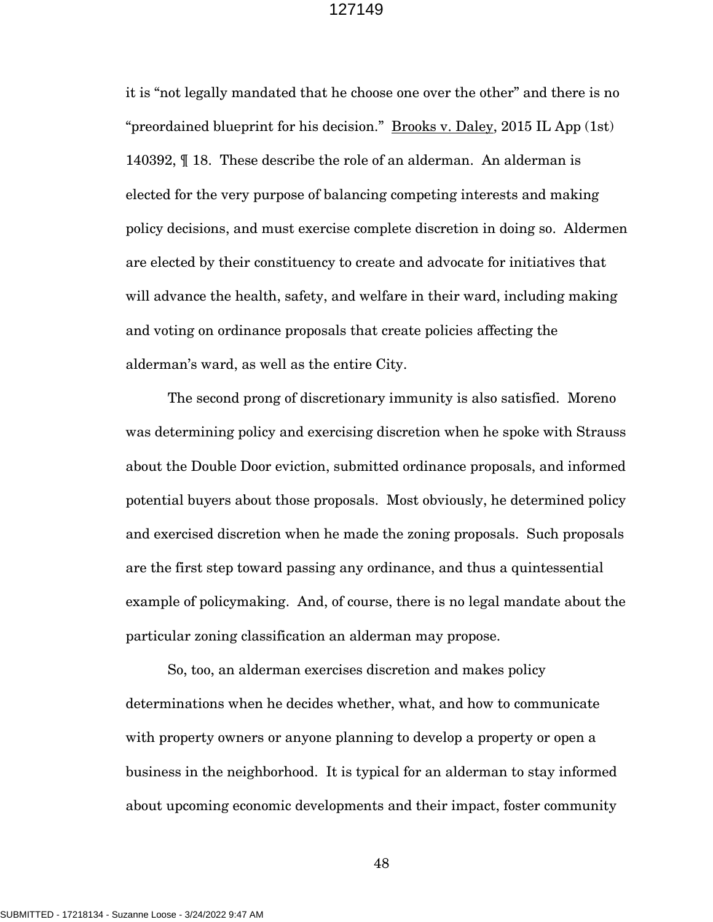it is "not legally mandated that he choose one over the other" and there is no "preordained blueprint for his decision." Brooks v. Daley, 2015 IL App (1st) 140392, ¶ 18. These describe the role of an alderman. An alderman is elected for the very purpose of balancing competing interests and making policy decisions, and must exercise complete discretion in doing so. Aldermen are elected by their constituency to create and advocate for initiatives that will advance the health, safety, and welfare in their ward, including making and voting on ordinance proposals that create policies affecting the alderman's ward, as well as the entire City.

The second prong of discretionary immunity is also satisfied. Moreno was determining policy and exercising discretion when he spoke with Strauss about the Double Door eviction, submitted ordinance proposals, and informed potential buyers about those proposals. Most obviously, he determined policy and exercised discretion when he made the zoning proposals. Such proposals are the first step toward passing any ordinance, and thus a quintessential example of policymaking. And, of course, there is no legal mandate about the particular zoning classification an alderman may propose.

So, too, an alderman exercises discretion and makes policy determinations when he decides whether, what, and how to communicate with property owners or anyone planning to develop a property or open a business in the neighborhood. It is typical for an alderman to stay informed about upcoming economic developments and their impact, foster community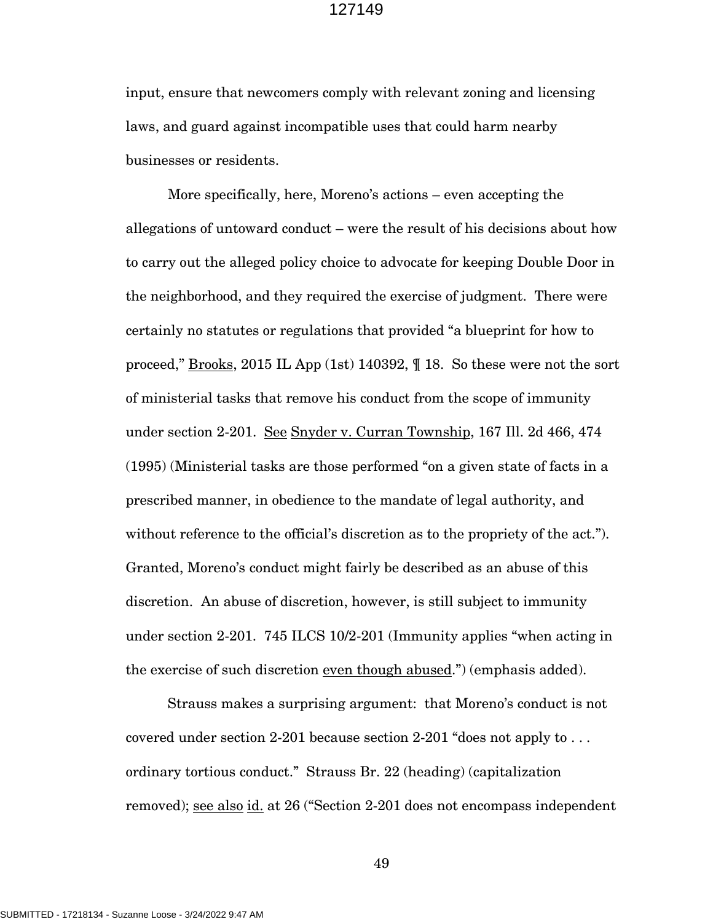input, ensure that newcomers comply with relevant zoning and licensing laws, and guard against incompatible uses that could harm nearby businesses or residents.

More specifically, here, Moreno's actions – even accepting the allegations of untoward conduct – were the result of his decisions about how to carry out the alleged policy choice to advocate for keeping Double Door in the neighborhood, and they required the exercise of judgment. There were certainly no statutes or regulations that provided "a blueprint for how to proceed," **Brooks**, 2015 IL App (1st) 140392,  $\parallel$  18. So these were not the sort of ministerial tasks that remove his conduct from the scope of immunity under section 2-201. See Snyder v. Curran Township, 167 Ill. 2d 466, 474 (1995) (Ministerial tasks are those performed "on a given state of facts in a prescribed manner, in obedience to the mandate of legal authority, and without reference to the official's discretion as to the propriety of the act."). Granted, Moreno's conduct might fairly be described as an abuse of this discretion. An abuse of discretion, however, is still subject to immunity under section 2-201. 745 ILCS 10/2-201 (Immunity applies "when acting in the exercise of such discretion even though abused.") (emphasis added).

Strauss makes a surprising argument: that Moreno's conduct is not covered under section 2-201 because section 2-201 "does not apply to . . . ordinary tortious conduct." Strauss Br. 22 (heading) (capitalization removed); <u>see also id.</u> at 26 ("Section 2-201 does not encompass independent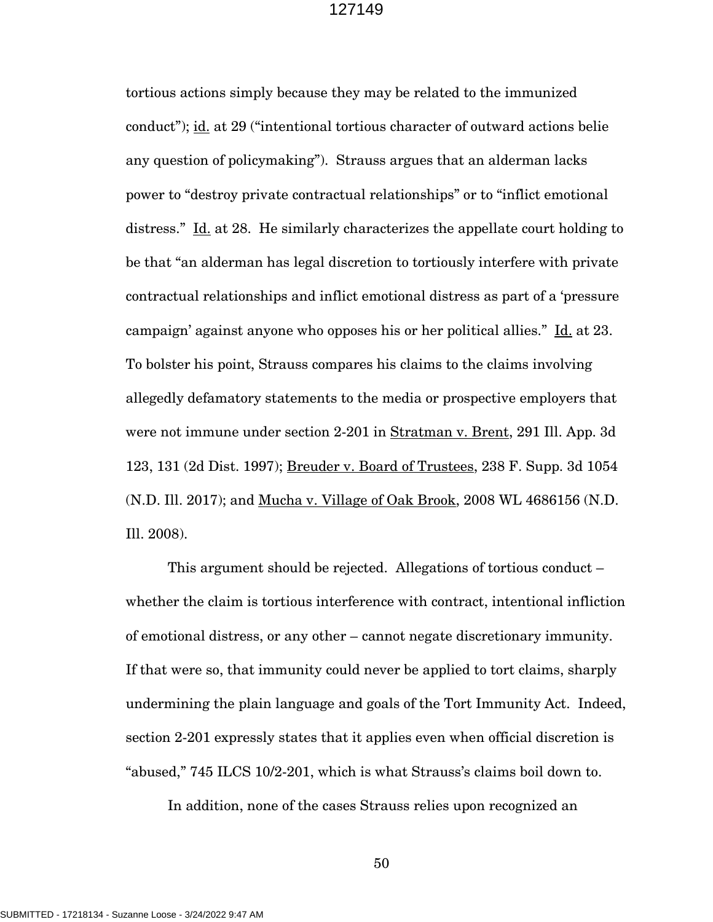tortious actions simply because they may be related to the immunized conduct"); id. at 29 ("intentional tortious character of outward actions belie any question of policymaking"). Strauss argues that an alderman lacks power to "destroy private contractual relationships" or to "inflict emotional distress." Id. at 28. He similarly characterizes the appellate court holding to be that "an alderman has legal discretion to tortiously interfere with private contractual relationships and inflict emotional distress as part of a 'pressure campaign' against anyone who opposes his or her political allies." Id. at 23. To bolster his point, Strauss compares his claims to the claims involving allegedly defamatory statements to the media or prospective employers that were not immune under section 2-201 in Stratman v. Brent, 291 Ill. App. 3d 123, 131 (2d Dist. 1997); Breuder v. Board of Trustees, 238 F. Supp. 3d 1054 (N.D. Ill. 2017); and Mucha v. Village of Oak Brook, 2008 WL 4686156 (N.D. Ill. 2008).

This argument should be rejected. Allegations of tortious conduct – whether the claim is tortious interference with contract, intentional infliction of emotional distress, or any other – cannot negate discretionary immunity. If that were so, that immunity could never be applied to tort claims, sharply undermining the plain language and goals of the Tort Immunity Act. Indeed, section 2-201 expressly states that it applies even when official discretion is "abused," 745 ILCS 10/2-201, which is what Strauss's claims boil down to.

In addition, none of the cases Strauss relies upon recognized an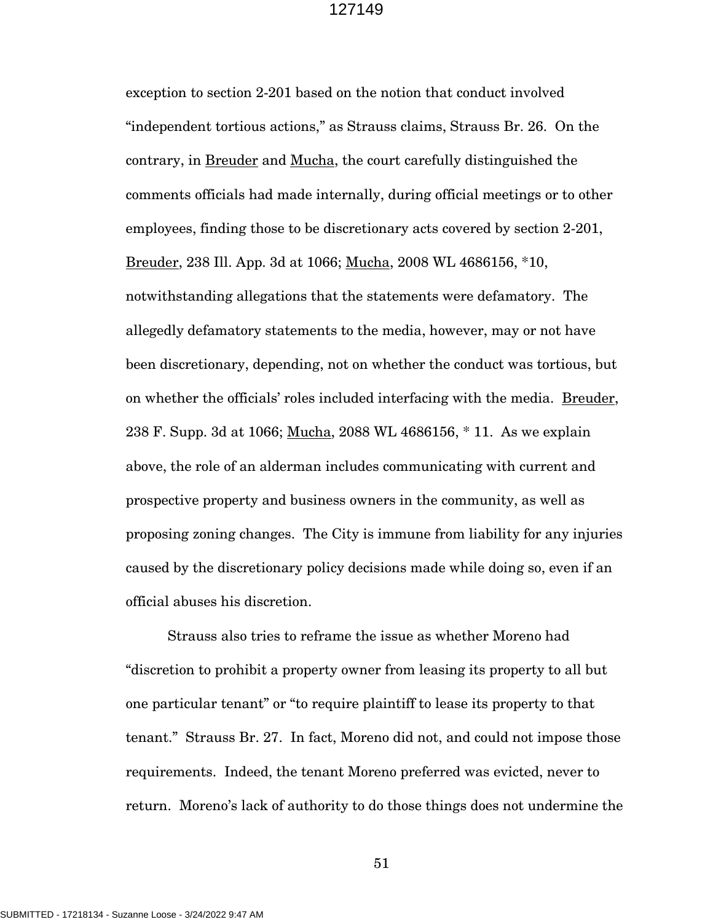exception to section 2-201 based on the notion that conduct involved "independent tortious actions," as Strauss claims, Strauss Br. 26. On the contrary, in Breuder and Mucha, the court carefully distinguished the comments officials had made internally, during official meetings or to other employees, finding those to be discretionary acts covered by section 2-201, Breuder, 238 Ill. App. 3d at 1066; Mucha, 2008 WL 4686156, \*10, notwithstanding allegations that the statements were defamatory. The allegedly defamatory statements to the media, however, may or not have been discretionary, depending, not on whether the conduct was tortious, but on whether the officials' roles included interfacing with the media. Breuder, 238 F. Supp. 3d at 1066; Mucha, 2088 WL 4686156, \* 11. As we explain above, the role of an alderman includes communicating with current and prospective property and business owners in the community, as well as proposing zoning changes. The City is immune from liability for any injuries caused by the discretionary policy decisions made while doing so, even if an official abuses his discretion.

Strauss also tries to reframe the issue as whether Moreno had "discretion to prohibit a property owner from leasing its property to all but one particular tenant" or "to require plaintiff to lease its property to that tenant." Strauss Br. 27. In fact, Moreno did not, and could not impose those requirements. Indeed, the tenant Moreno preferred was evicted, never to return. Moreno's lack of authority to do those things does not undermine the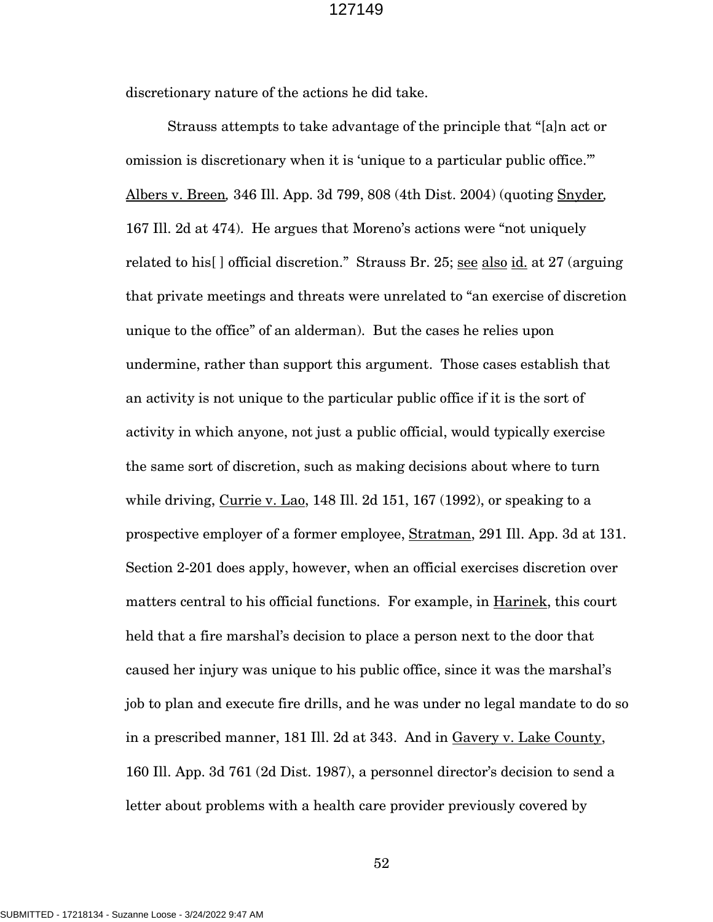discretionary nature of the actions he did take.

Strauss attempts to take advantage of the principle that "[a]n act or omission is discretionary when it is 'unique to a particular public office.'" Albers v. Breen*,* 346 Ill. App. 3d 799, 808 (4th Dist. 2004) (quoting Snyder*,*  167 Ill. 2d at 474). He argues that Moreno's actions were "not uniquely related to his<sup>[]</sup> official discretion." Strauss Br. 25; <u>see also id.</u> at 27 (arguing that private meetings and threats were unrelated to "an exercise of discretion unique to the office" of an alderman). But the cases he relies upon undermine, rather than support this argument. Those cases establish that an activity is not unique to the particular public office if it is the sort of activity in which anyone, not just a public official, would typically exercise the same sort of discretion, such as making decisions about where to turn while driving, Currie v. Lao, 148 Ill. 2d 151, 167 (1992), or speaking to a prospective employer of a former employee, Stratman, 291 Ill. App. 3d at 131. Section 2-201 does apply, however, when an official exercises discretion over matters central to his official functions. For example, in Harinek, this court held that a fire marshal's decision to place a person next to the door that caused her injury was unique to his public office, since it was the marshal's job to plan and execute fire drills, and he was under no legal mandate to do so in a prescribed manner, 181 Ill. 2d at 343. And in Gavery v. Lake County, 160 Ill. App. 3d 761 (2d Dist. 1987), a personnel director's decision to send a letter about problems with a health care provider previously covered by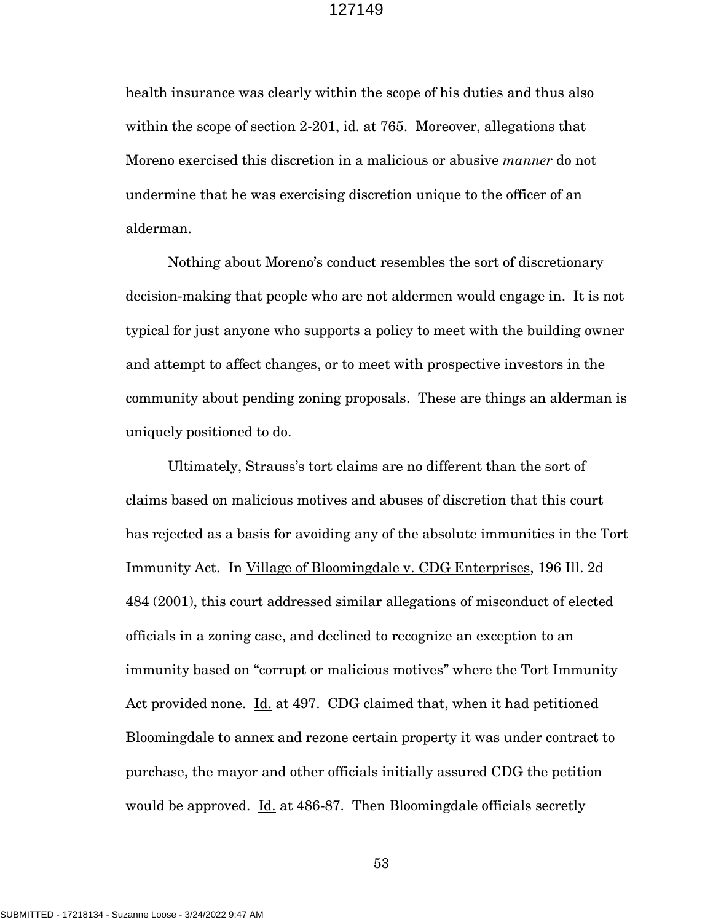health insurance was clearly within the scope of his duties and thus also within the scope of section 2-201, id. at 765. Moreover, allegations that Moreno exercised this discretion in a malicious or abusive *manner* do not undermine that he was exercising discretion unique to the officer of an alderman.

Nothing about Moreno's conduct resembles the sort of discretionary decision-making that people who are not aldermen would engage in. It is not typical for just anyone who supports a policy to meet with the building owner and attempt to affect changes, or to meet with prospective investors in the community about pending zoning proposals. These are things an alderman is uniquely positioned to do.

Ultimately, Strauss's tort claims are no different than the sort of claims based on malicious motives and abuses of discretion that this court has rejected as a basis for avoiding any of the absolute immunities in the Tort Immunity Act. In Village of Bloomingdale v. CDG Enterprises, 196 Ill. 2d 484 (2001), this court addressed similar allegations of misconduct of elected officials in a zoning case, and declined to recognize an exception to an immunity based on "corrupt or malicious motives" where the Tort Immunity Act provided none. Id. at 497. CDG claimed that, when it had petitioned Bloomingdale to annex and rezone certain property it was under contract to purchase, the mayor and other officials initially assured CDG the petition would be approved. Id. at 486-87. Then Bloomingdale officials secretly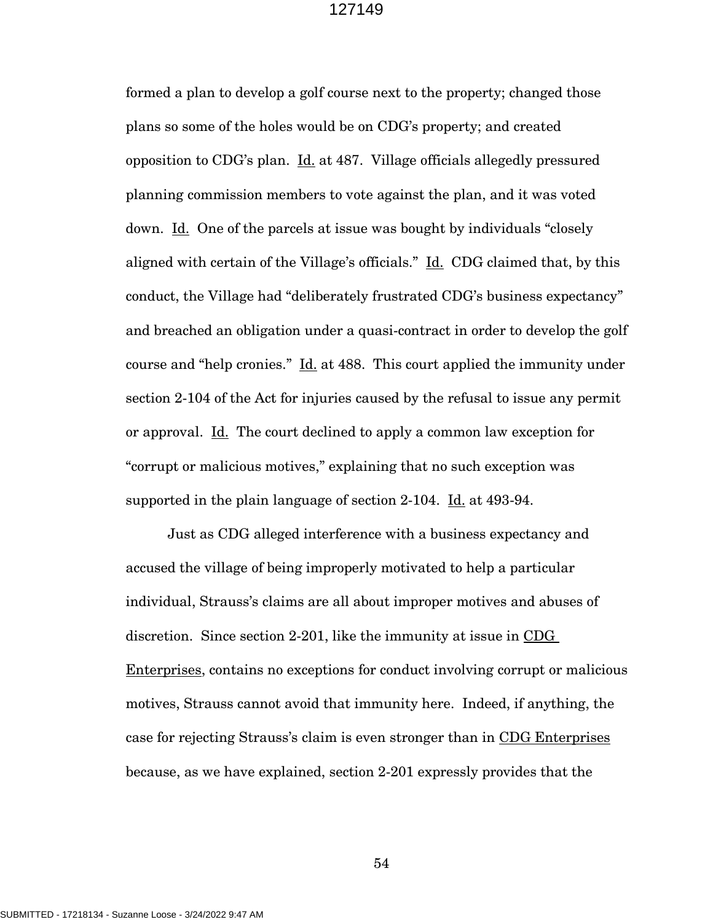formed a plan to develop a golf course next to the property; changed those plans so some of the holes would be on CDG's property; and created opposition to CDG's plan. Id. at 487. Village officials allegedly pressured planning commission members to vote against the plan, and it was voted down. Id. One of the parcels at issue was bought by individuals "closely" aligned with certain of the Village's officials." Id. CDG claimed that, by this conduct, the Village had "deliberately frustrated CDG's business expectancy" and breached an obligation under a quasi-contract in order to develop the golf course and "help cronies." Id. at 488. This court applied the immunity under section 2-104 of the Act for injuries caused by the refusal to issue any permit or approval. Id. The court declined to apply a common law exception for "corrupt or malicious motives," explaining that no such exception was supported in the plain language of section 2-104. Id. at 493-94.

Just as CDG alleged interference with a business expectancy and accused the village of being improperly motivated to help a particular individual, Strauss's claims are all about improper motives and abuses of discretion. Since section 2-201, like the immunity at issue in CDG Enterprises, contains no exceptions for conduct involving corrupt or malicious motives, Strauss cannot avoid that immunity here. Indeed, if anything, the case for rejecting Strauss's claim is even stronger than in CDG Enterprises because, as we have explained, section 2-201 expressly provides that the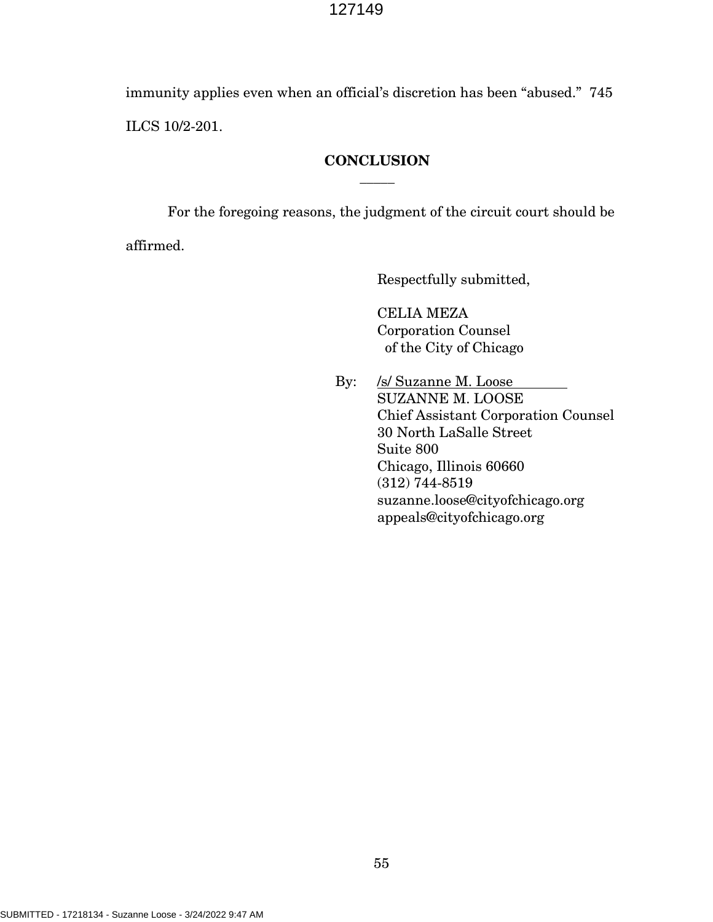immunity applies even when an official's discretion has been "abused." 745 ILCS 10/2-201.

## **CONCLUSION**  $\overline{\phantom{a}}$

For the foregoing reasons, the judgment of the circuit court should be

affirmed.

Respectfully submitted,

CELIA MEZA Corporation Counsel of the City of Chicago

By: /s/ Suzanne M. Loose SUZANNE M. LOOSE Chief Assistant Corporation Counsel 30 North LaSalle Street Suite 800 Chicago, Illinois 60660 (312) 744-8519 suzanne.loose@cityofchicago.org appeals@cityofchicago.org